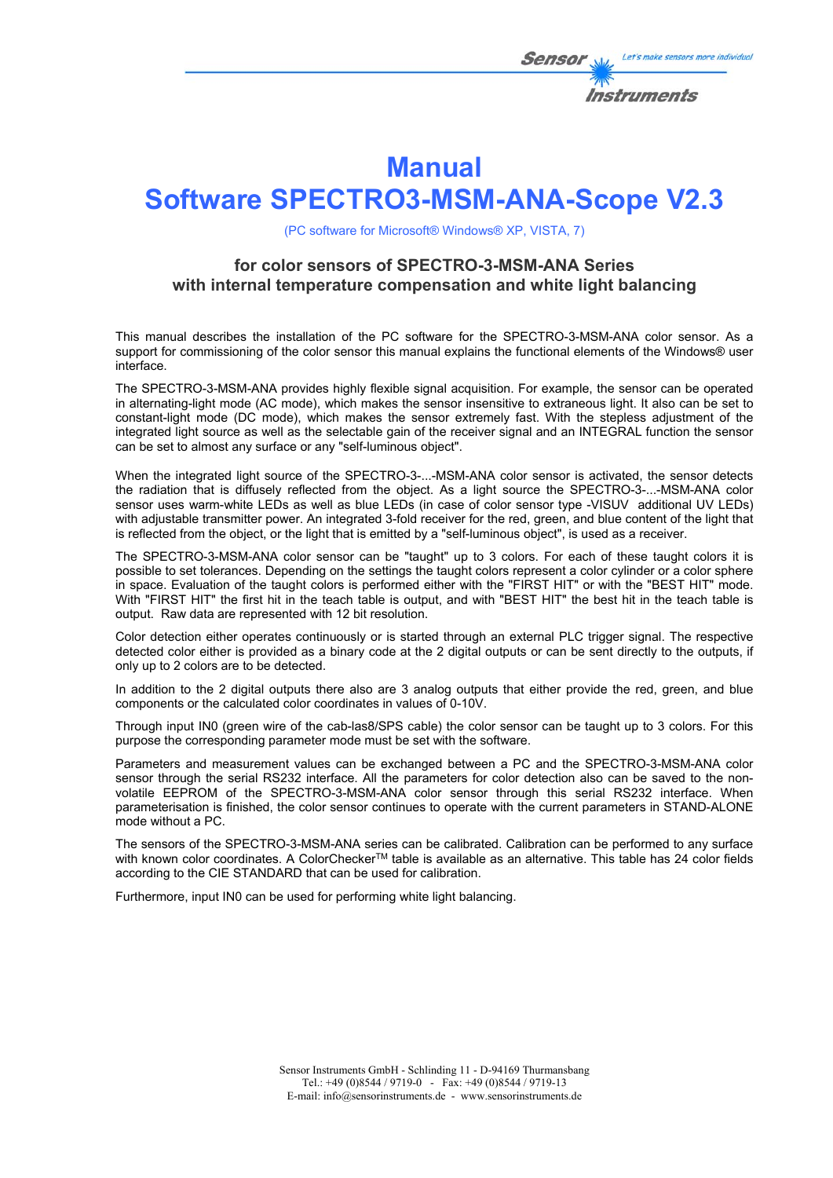

# **Manual**

# **Software SPECTRO3-MSM-ANA-Scope V2.3**

(PC software for Microsoft® Windows® XP, VISTA, 7)

# **for color sensors of SPECTRO-3-MSM-ANA Series with internal temperature compensation and white light balancing**

This manual describes the installation of the PC software for the SPECTRO-3-MSM-ANA color sensor. As a support for commissioning of the color sensor this manual explains the functional elements of the Windows® user interface.

The SPECTRO-3-MSM-ANA provides highly flexible signal acquisition. For example, the sensor can be operated in alternating-light mode (AC mode), which makes the sensor insensitive to extraneous light. It also can be set to constant-light mode (DC mode), which makes the sensor extremely fast. With the stepless adjustment of the integrated light source as well as the selectable gain of the receiver signal and an INTEGRAL function the sensor can be set to almost any surface or any "self-luminous object".

When the integrated light source of the SPECTRO-3-...-MSM-ANA color sensor is activated, the sensor detects the radiation that is diffusely reflected from the object. As a light source the SPECTRO-3-...-MSM-ANA color sensor uses warm-white LEDs as well as blue LEDs (in case of color sensor type -VISUV additional UV LEDs) with adjustable transmitter power. An integrated 3-fold receiver for the red, green, and blue content of the light that is reflected from the object, or the light that is emitted by a "self-luminous object", is used as a receiver.

The SPECTRO-3-MSM-ANA color sensor can be "taught" up to 3 colors. For each of these taught colors it is possible to set tolerances. Depending on the settings the taught colors represent a color cylinder or a color sphere in space. Evaluation of the taught colors is performed either with the "FIRST HIT" or with the "BEST HIT" mode. With "FIRST HIT" the first hit in the teach table is output, and with "BEST HIT" the best hit in the teach table is output. Raw data are represented with 12 bit resolution.

Color detection either operates continuously or is started through an external PLC trigger signal. The respective detected color either is provided as a binary code at the 2 digital outputs or can be sent directly to the outputs, if only up to 2 colors are to be detected.

In addition to the 2 digital outputs there also are 3 analog outputs that either provide the red, green, and blue components or the calculated color coordinates in values of 0-10V.

Through input IN0 (green wire of the cab-las8/SPS cable) the color sensor can be taught up to 3 colors. For this purpose the corresponding parameter mode must be set with the software.

Parameters and measurement values can be exchanged between a PC and the SPECTRO-3-MSM-ANA color sensor through the serial RS232 interface. All the parameters for color detection also can be saved to the nonvolatile EEPROM of the SPECTRO-3-MSM-ANA color sensor through this serial RS232 interface. When parameterisation is finished, the color sensor continues to operate with the current parameters in STAND-ALONE mode without a PC.

The sensors of the SPECTRO-3-MSM-ANA series can be calibrated. Calibration can be performed to any surface with known color coordinates. A ColorChecker™ table is available as an alternative. This table has 24 color fields according to the CIE STANDARD that can be used for calibration.

Furthermore, input IN0 can be used for performing white light balancing.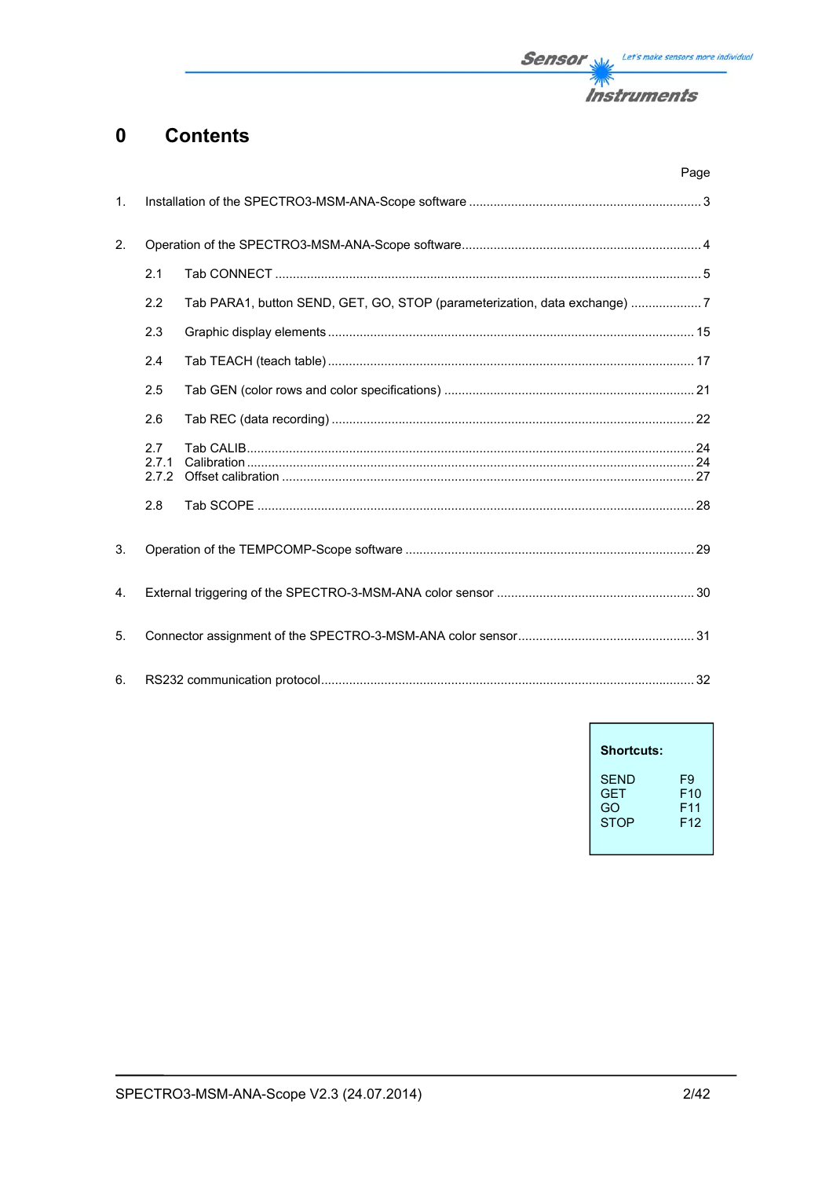

#### **Contents**  $\mathbf 0$

|                |                       | Page                                                                      |  |
|----------------|-----------------------|---------------------------------------------------------------------------|--|
| $\mathbf{1}$ . |                       |                                                                           |  |
| 2.             |                       |                                                                           |  |
|                | 2.1                   |                                                                           |  |
|                | 2.2                   | Tab PARA1, button SEND, GET, GO, STOP (parameterization, data exchange) 7 |  |
|                | 2.3                   |                                                                           |  |
|                | 2.4                   |                                                                           |  |
|                | 2.5                   |                                                                           |  |
|                | 2.6                   |                                                                           |  |
|                | 2.7<br>2.7.1<br>2.7.2 |                                                                           |  |
|                | 2.8                   |                                                                           |  |
| 3.             |                       |                                                                           |  |
| 4.             |                       |                                                                           |  |
| 5.             |                       |                                                                           |  |
| 6.             |                       |                                                                           |  |

| <b>Shortcuts:</b> |                 |
|-------------------|-----------------|
| SFND              | F9              |
| <b>GFT</b>        | F10             |
| GO                | F11             |
| <b>STOP</b>       | F <sub>12</sub> |

 $\overline{1}$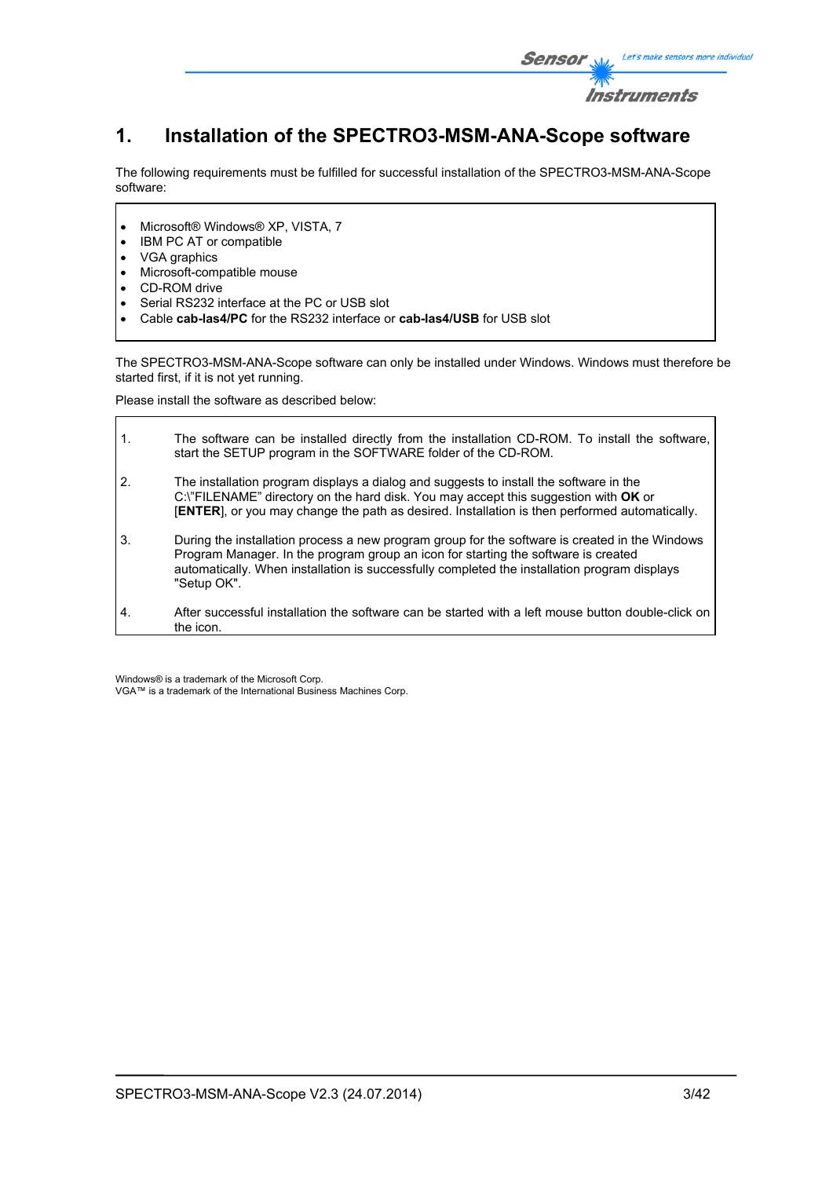

# **1. Installation of the SPECTRO3-MSM-ANA-Scope software**

The following requirements must be fulfilled for successful installation of the SPECTRO3-MSM-ANA-Scope software:

- Microsoft® Windows® XP, VISTA, 7
- IBM PC AT or compatible
- VGA graphics
- Microsoft-compatible mouse
- CD-ROM drive
- Serial RS232 interface at the PC or USB slot
- Cable **cab-las4/PC** for the RS232 interface or **cab-las4/USB** for USB slot

The SPECTRO3-MSM-ANA-Scope software can only be installed under Windows. Windows must therefore be started first, if it is not yet running.

Please install the software as described below:

| $\mathbf{1}$ . | The software can be installed directly from the installation CD-ROM. To install the software,<br>start the SETUP program in the SOFTWARE folder of the CD-ROM.                                                                                                                                      |
|----------------|-----------------------------------------------------------------------------------------------------------------------------------------------------------------------------------------------------------------------------------------------------------------------------------------------------|
| 2.             | The installation program displays a dialog and suggests to install the software in the<br>C:\"FILENAME" directory on the hard disk. You may accept this suggestion with OK or<br>[ENTER], or you may change the path as desired. Installation is then performed automatically.                      |
| 3.             | During the installation process a new program group for the software is created in the Windows<br>Program Manager. In the program group an icon for starting the software is created<br>automatically. When installation is successfully completed the installation program displays<br>"Setup OK". |
| 4.             | After successful installation the software can be started with a left mouse button double-click on<br>the icon.                                                                                                                                                                                     |

Windows® is a trademark of the Microsoft Corp. VGA™ is a trademark of the International Business Machines Corp.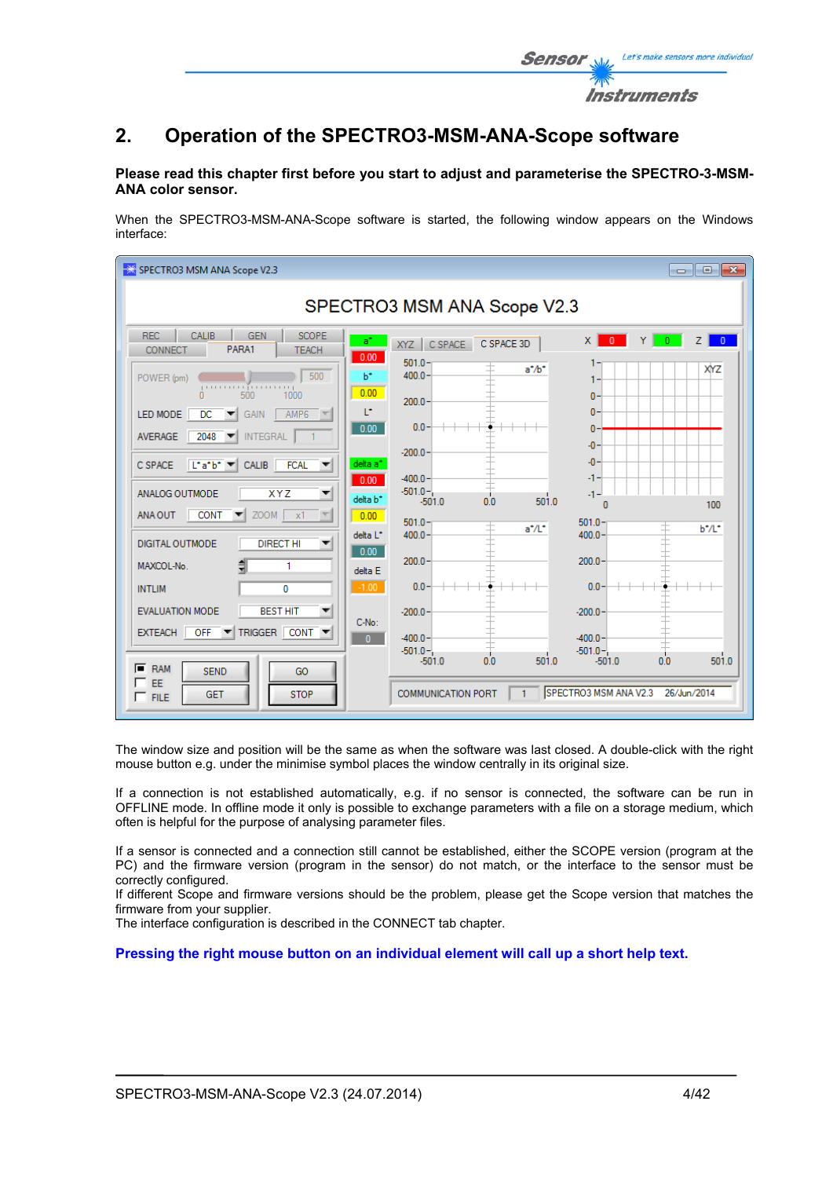

# **Please read this chapter first before you start to adjust and parameterise the SPECTRO-3-MSM-ANA color sensor.**

When the SPECTRO3-MSM-ANA-Scope software is started, the following window appears on the Windows interface:

| SPECTRO3 MSM ANA Scope V2.3                                                                                                                                            |                                                                                                                                                                        |                                                 |  |  |  |
|------------------------------------------------------------------------------------------------------------------------------------------------------------------------|------------------------------------------------------------------------------------------------------------------------------------------------------------------------|-------------------------------------------------|--|--|--|
| SPECTRO3 MSM ANA Scope V2.3                                                                                                                                            |                                                                                                                                                                        |                                                 |  |  |  |
| <b>REC</b><br><b>CALIB</b><br><b>SCOPE</b><br><b>GEN</b><br>PARA1<br><b>CONNECT</b><br><b>TEACH</b>                                                                    | $\times$<br>a*<br>XYZ CSPACE<br>C SPACE 3D<br>0.00<br>$501.0 -$                                                                                                        | <b>O</b> YO<br>Z <sub>1</sub><br>$\overline{0}$ |  |  |  |
| 500<br>POWER (pm)<br>processing<br>500<br>1000<br>n<br>LED MODE<br><b>DC</b><br>AMP <sub>6</sub><br>GAIN<br>$\overline{\phantom{a}}$                                   | $a^*$ / $b^*$<br>$400.0 -$<br>b*<br>0.00<br>$0 -$<br>$200.0 -$<br>T.<br>$\mathbf{0}$                                                                                   | <b>XYZ</b>                                      |  |  |  |
| <b>INTEGRAL</b><br>AVERAGE<br>2048<br>$\blacktriangledown$<br>$\left  \mathbf{L}^{\bullet} \mathbf{a}^{\bullet} \mathbf{b}^{\bullet} \right $<br>CALIB FCAL<br>C SPACE | $0.0 -$<br>0.00<br>$\mathbf{0}$<br>$-0-$<br>$-200.0 -$<br>$-0-$<br>delta a <sup>*</sup>                                                                                |                                                 |  |  |  |
| ANALOG OUTMODE<br><b>XYZ</b><br>▼<br>$ZOOM$ $x1$<br><b>CONT</b><br>ANA OUT                                                                                             | $-400.0 -$<br>-1.<br>0.00<br>$-501.0 -$<br>-1-<br>delta b <sup>*</sup><br>501.0<br>$-501.0$<br>0.0<br>0.00<br>$501.0 -$<br>$501.0 -$<br>$a^*/L^*$                      | 100<br>b*/L*                                    |  |  |  |
| <b>DIGITAL OUTMODE</b><br><b>DIRECT HI</b><br>▼<br>MAXCOL-No.<br>1                                                                                                     | delta L <sup>*</sup><br>$400.0 -$<br>$400.0 -$<br>0.00<br>$200.0 -$<br>200.0<br>delta E                                                                                |                                                 |  |  |  |
| <b>INTLIM</b><br>0<br><b>BEST HIT</b><br><b>EVALUATION MODE</b><br>OFF V TRIGGER CONT V<br><b>EXTEACH</b>                                                              | $0.0 -$<br>$0.0 -$<br>$-1.00$<br>$-200.0$<br>$-200.0$<br>C-No:                                                                                                         |                                                 |  |  |  |
| $F$ RAM<br><b>SEND</b><br>GO<br><b>EE</b><br><b>STOP</b><br><b>GET</b><br>$\Gamma$ FILE                                                                                | $-400.0 -$<br>$-400.0 -$<br>$\mathbf{0}$<br>$-501.0 -$<br>$-501.0 -$<br>0.0<br>501.0<br>$-501.0$<br>SPECTRO3 MSM ANA V2.3<br><b>COMMUNICATION PORT</b><br>$\mathbf{1}$ | 501.0<br>0.0<br>$-501.0$<br>26/Jun/2014         |  |  |  |

The window size and position will be the same as when the software was last closed. A double-click with the right mouse button e.g. under the minimise symbol places the window centrally in its original size.

If a connection is not established automatically, e.g. if no sensor is connected, the software can be run in OFFLINE mode. In offline mode it only is possible to exchange parameters with a file on a storage medium, which often is helpful for the purpose of analysing parameter files.

If a sensor is connected and a connection still cannot be established, either the SCOPE version (program at the PC) and the firmware version (program in the sensor) do not match, or the interface to the sensor must be correctly configured.

If different Scope and firmware versions should be the problem, please get the Scope version that matches the firmware from your supplier.

The interface configuration is described in the CONNECT tab chapter.

**Pressing the right mouse button on an individual element will call up a short help text.** 

Let's make sensors more individual

Instruments

Sensor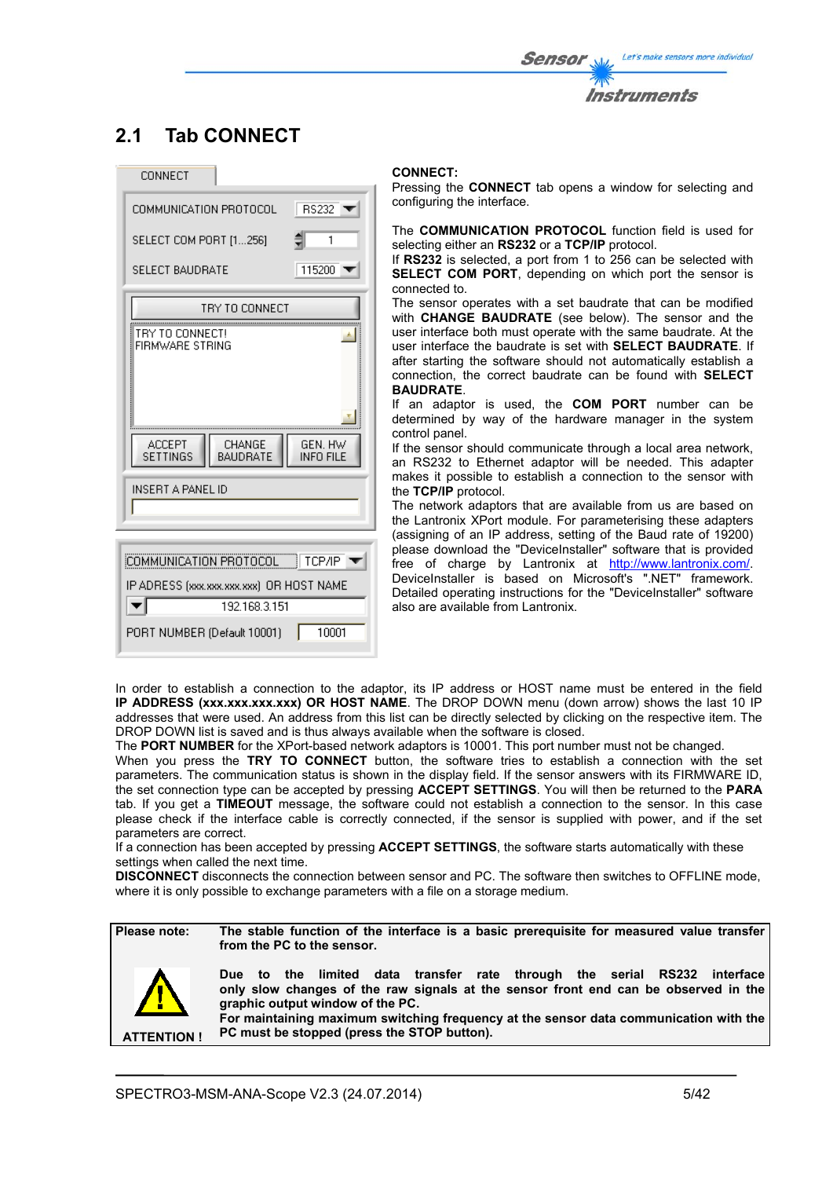# **2.1 Tab CONNECT**

| CONNECT                                                                        |  |  |
|--------------------------------------------------------------------------------|--|--|
| RS232<br>COMMUNICATION PROTOCOL                                                |  |  |
| SELECT COM PORT [1256]<br>1                                                    |  |  |
| SELECT BAUDRATE<br>115200                                                      |  |  |
| TRY TO CONNECT                                                                 |  |  |
| TRY TO CONNECT!<br>FIRMWARE STRING                                             |  |  |
| <b>ACCEPT</b><br>CHANGE<br>GEN. HW<br>BAUDRATE<br><b>INFO FILE</b><br>SETTINGS |  |  |
| INSERT A PANEL ID                                                              |  |  |
| COMMUNICATION PROTOCOL FCP/IP                                                  |  |  |
| IP ADRESS (xxx.xxx.xxx.xxx) OR HOST NAME                                       |  |  |
| 192.168.3.151<br>$\blacktriangledown$                                          |  |  |
| 10001<br>PORT NUMBER (Default 10001)                                           |  |  |

#### **CONNECT:**

Pressing the **CONNECT** tab opens a window for selecting and configuring the interface.

The **COMMUNICATION PROTOCOL** function field is used for selecting either an **RS232** or a **TCP/IP** protocol.

If **RS232** is selected, a port from 1 to 256 can be selected with **SELECT COM PORT**, depending on which port the sensor is connected to.

The sensor operates with a set baudrate that can be modified with **CHANGE BAUDRATE** (see below). The sensor and the user interface both must operate with the same baudrate. At the user interface the baudrate is set with **SELECT BAUDRATE**. If after starting the software should not automatically establish a connection, the correct baudrate can be found with **SELECT BAUDRATE**.

If an adaptor is used, the **COM PORT** number can be determined by way of the hardware manager in the system control panel.

If the sensor should communicate through a local area network, an RS232 to Ethernet adaptor will be needed. This adapter makes it possible to establish a connection to the sensor with the **TCP/IP** protocol.

The network adaptors that are available from us are based on the Lantronix XPort module. For parameterising these adapters (assigning of an IP address, setting of the Baud rate of 19200) please download the "DeviceInstaller" software that is provided free of charge by Lantronix at http://www.lantronix.com/. DeviceInstaller is based on Microsoft's ".NET" framework. Detailed operating instructions for the "DeviceInstaller" software also are available from Lantronix.

In order to establish a connection to the adaptor, its IP address or HOST name must be entered in the field **IP ADDRESS (xxx.xxx.xxx.xxx) OR HOST NAME**. The DROP DOWN menu (down arrow) shows the last 10 IP addresses that were used. An address from this list can be directly selected by clicking on the respective item. The DROP DOWN list is saved and is thus always available when the software is closed.

The **PORT NUMBER** for the XPort-based network adaptors is 10001. This port number must not be changed.

When you press the **TRY TO CONNECT** button, the software tries to establish a connection with the set parameters. The communication status is shown in the display field. If the sensor answers with its FIRMWARE ID, the set connection type can be accepted by pressing **ACCEPT SETTINGS**. You will then be returned to the **PARA** tab. If you get a **TIMEOUT** message, the software could not establish a connection to the sensor. In this case please check if the interface cable is correctly connected, if the sensor is supplied with power, and if the set parameters are correct.

If a connection has been accepted by pressing **ACCEPT SETTINGS**, the software starts automatically with these settings when called the next time.

**DISCONNECT** disconnects the connection between sensor and PC. The software then switches to OFFLINE mode, where it is only possible to exchange parameters with a file on a storage medium.

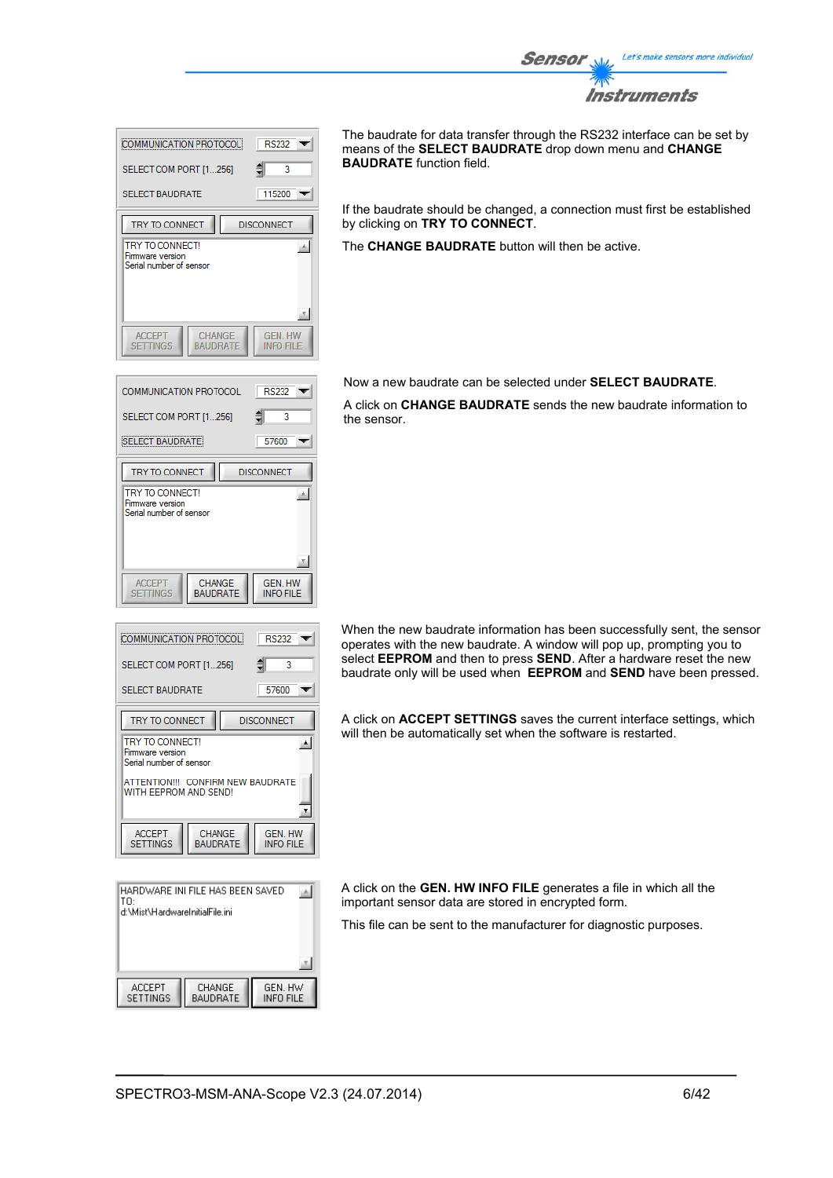

| COMMUNICATION PROTOCOL                                               | <b>RS232</b>                |  |
|----------------------------------------------------------------------|-----------------------------|--|
| SELECT COM PORT [1256]                                               | ₿<br>3                      |  |
| <b>SELECT BAUDRATE</b>                                               | 115200                      |  |
| TRY TO CONNECT                                                       | <b>DISCONNECT</b>           |  |
| TRY TO CONNECT!<br>Firmware version<br>Serial number of sensor       |                             |  |
| <b>CHANGE</b><br><b>ACCEPT</b><br><b>SETTINGS</b><br><b>BAUDRATE</b> | <b>GEN. HW</b><br>INFO FILE |  |

**RS232** 

57600

**GEN. HW<br>INFO FILE** 

 $RS232$ 

Ŕ

 $\overline{\phantom{0}}$ 

 $\blacktriangle$ 

 $\pmb{\mathrm{v}}$ 

GEN. HW

**INFO FILE** 

57600

**DISCONNECT** 

**DISCONNECT** 

₿ 3  $\overline{\phantom{a}}$ 

 $\overline{\phantom{a}}$ 

画

COMMUNICATION PROTOCOL

SELECT COM PORT [1...256]

**SELECT BAUDRATE** 

TRY TO CONNECT

**TRY TO CONNECT!** 

Firmware version Serial number of sensor

ACCEPT<br>SETTINGS

**COMMUNICATION PROTOCOL** 

SELECT COM PORT [1...256]

SELECT BALIDRATE

TRY TO CONNECT **TRY TO CONNECT** 

Firmware version erial number of sensor

**ACCEPT** 

**SETTINGS** 

CHANGE BAUDRATE The baudrate for data transfer through the RS232 interface can be set by means of the **SELECT BAUDRATE** drop down menu and **CHANGE BAUDRATE** function field.

If the baudrate should be changed, a connection must first be established by clicking on **TRY TO CONNECT**.

The **CHANGE BAUDRATE** button will then be active.

Now a new baudrate can be selected under **SELECT BAUDRATE**.

A click on **CHANGE BAUDRATE** sends the new baudrate information to the sensor.

When the new baudrate information has been successfully sent, the sensor operates with the new baudrate. A window will pop up, prompting you to select **EEPROM** and then to press **SEND**. After a hardware reset the new baudrate only will be used when **EEPROM** and **SEND** have been pressed.

A click on **ACCEPT SETTINGS** saves the current interface settings, which will then be automatically set when the software is restarted.

HARDWARE INI FILE HAS BEEN SAVED  $\mathbb{A}$ lтn d:\Mist\HardwareInitialFile.ini **ACCEPT** CHANGE<br>BAUDRATE GEN. HW<br>INFO FILE SETTINGS

ATTENTION !!! CONFIRM NEW BAUDRATE

CHANGE

**BAUDRATE** 

A click on the **GEN. HW INFO FILE** generates a file in which all the important sensor data are stored in encrypted form.

This file can be sent to the manufacturer for diagnostic purposes.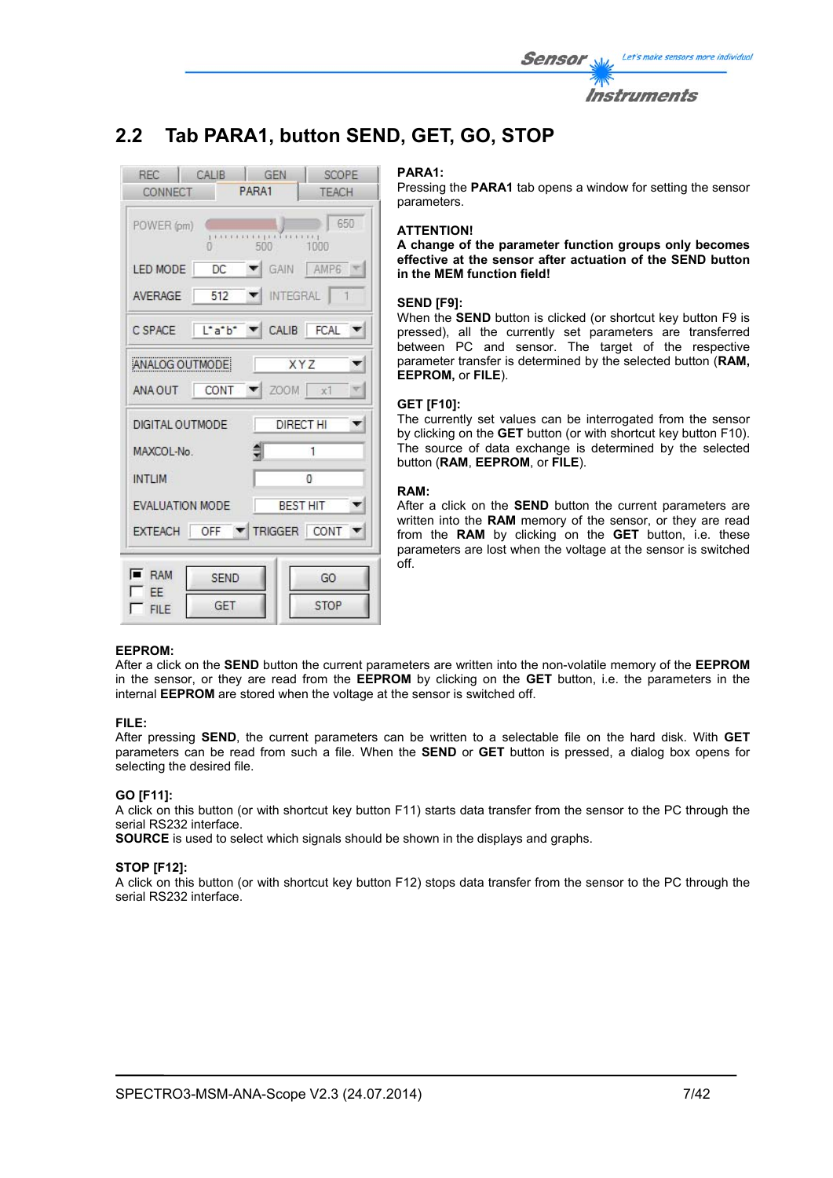

# **2.2 Tab PARA1, button SEND, GET, GO, STOP**



#### **PARA1:**

Pressing the **PARA1** tab opens a window for setting the sensor parameters.

#### **ATTENTION!**

**A change of the parameter function groups only becomes effective at the sensor after actuation of the SEND button in the MEM function field!** 

#### **SEND [F9]:**

When the **SEND** button is clicked (or shortcut key button F9 is pressed), all the currently set parameters are transferred between PC and sensor. The target of the respective parameter transfer is determined by the selected button (**RAM, EEPROM,** or **FILE**).

#### **GET [F10]:**

The currently set values can be interrogated from the sensor by clicking on the **GET** button (or with shortcut key button F10). The source of data exchange is determined by the selected button (**RAM**, **EEPROM**, or **FILE**).

#### **RAM:**

After a click on the **SEND** button the current parameters are written into the **RAM** memory of the sensor, or they are read from the **RAM** by clicking on the **GET** button, i.e. these parameters are lost when the voltage at the sensor is switched off.

### **EEPROM:**

After a click on the **SEND** button the current parameters are written into the non-volatile memory of the **EEPROM** in the sensor, or they are read from the **EEPROM** by clicking on the **GET** button, i.e. the parameters in the internal **EEPROM** are stored when the voltage at the sensor is switched off.

#### **FILE:**

After pressing **SEND**, the current parameters can be written to a selectable file on the hard disk. With **GET** parameters can be read from such a file. When the **SEND** or **GET** button is pressed, a dialog box opens for selecting the desired file.

### **GO [F11]:**

A click on this button (or with shortcut key button F11) starts data transfer from the sensor to the PC through the serial RS232 interface.

**SOURCE** is used to select which signals should be shown in the displays and graphs.

#### **STOP [F12]:**

A click on this button (or with shortcut key button F12) stops data transfer from the sensor to the PC through the serial RS232 interface.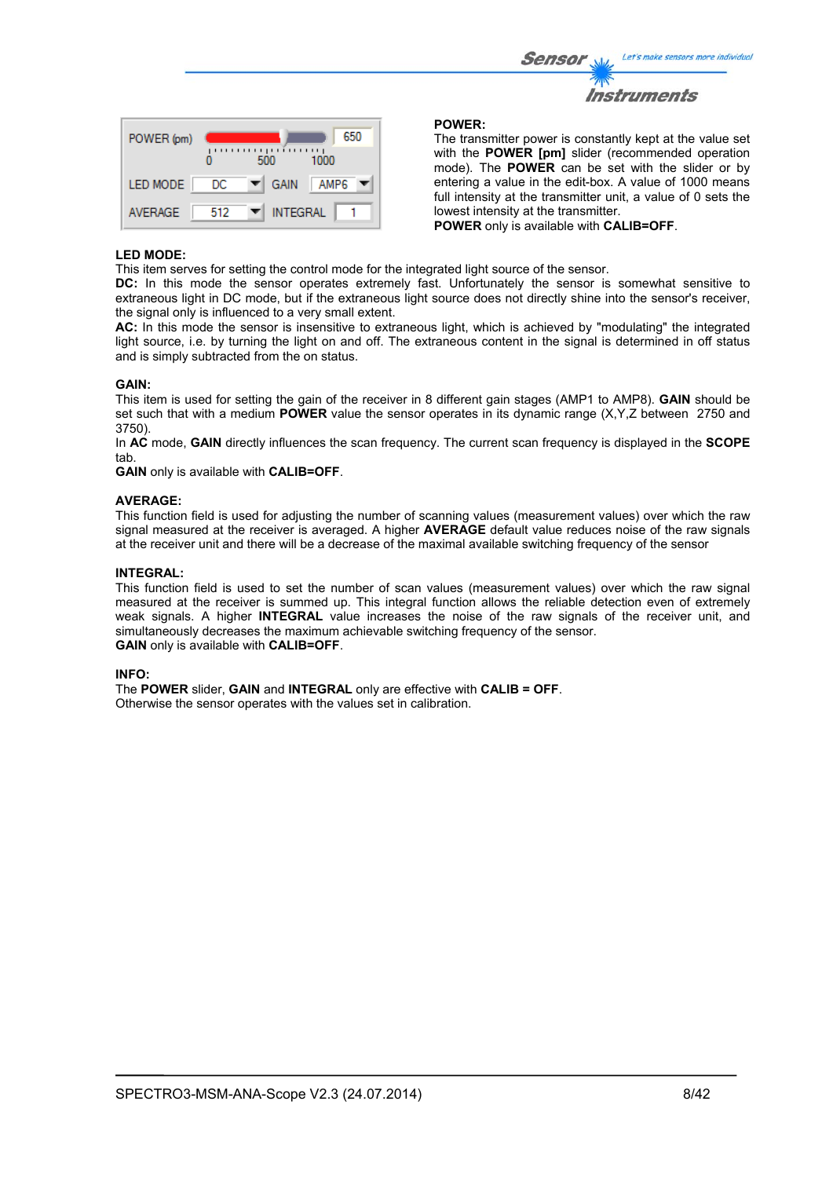| <b>Sensor</b> | Let's make sensors more individual |
|---------------|------------------------------------|
| $\mathcal{W}$ |                                    |
|               | Instruments                        |

| POWER (pm)      |     | ,,,,,,<br>500    | 650<br>,,,,,,<br>1000 |
|-----------------|-----|------------------|-----------------------|
| <b>LED MODE</b> | DC  | <b>GAIN</b><br>▼ | AMP <sub>6</sub>      |
| <b>AVERAGE</b>  | 512 | <b>INTEGRAL</b>  |                       |

#### **POWER:**

The transmitter power is constantly kept at the value set with the **POWER [pm]** slider (recommended operation mode). The **POWER** can be set with the slider or by entering a value in the edit-box. A value of 1000 means full intensity at the transmitter unit, a value of 0 sets the lowest intensity at the transmitter.

**POWER** only is available with **CALIB=OFF**.

#### **LED MODE:**

This item serves for setting the control mode for the integrated light source of the sensor.

**DC:** In this mode the sensor operates extremely fast. Unfortunately the sensor is somewhat sensitive to extraneous light in DC mode, but if the extraneous light source does not directly shine into the sensor's receiver, the signal only is influenced to a very small extent.

**AC:** In this mode the sensor is insensitive to extraneous light, which is achieved by "modulating" the integrated light source, i.e. by turning the light on and off. The extraneous content in the signal is determined in off status and is simply subtracted from the on status.

#### **GAIN:**

This item is used for setting the gain of the receiver in 8 different gain stages (AMP1 to AMP8). **GAIN** should be set such that with a medium **POWER** value the sensor operates in its dynamic range (X,Y,Z between 2750 and 3750).

In **AC** mode, **GAIN** directly influences the scan frequency. The current scan frequency is displayed in the **SCOPE** tab.

**GAIN** only is available with **CALIB=OFF**.

#### **AVERAGE:**

This function field is used for adjusting the number of scanning values (measurement values) over which the raw signal measured at the receiver is averaged. A higher **AVERAGE** default value reduces noise of the raw signals at the receiver unit and there will be a decrease of the maximal available switching frequency of the sensor

### **INTEGRAL:**

This function field is used to set the number of scan values (measurement values) over which the raw signal measured at the receiver is summed up. This integral function allows the reliable detection even of extremely weak signals. A higher **INTEGRAL** value increases the noise of the raw signals of the receiver unit, and simultaneously decreases the maximum achievable switching frequency of the sensor. **GAIN** only is available with **CALIB=OFF**.

#### **INFO:**

The **POWER** slider, **GAIN** and **INTEGRAL** only are effective with **CALIB = OFF**. Otherwise the sensor operates with the values set in calibration.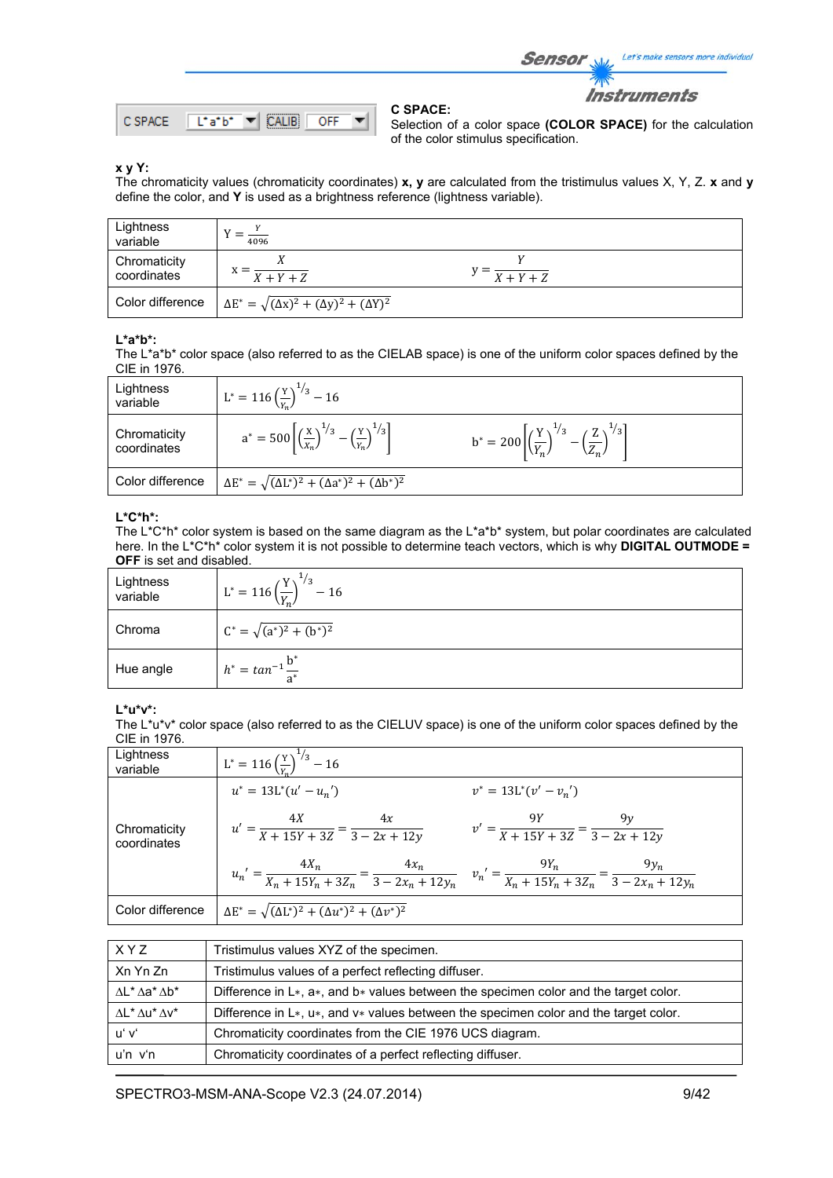

Selection of a color space **(COLOR SPACE)** for the calculation of the color stimulus specification.

Sensor

Let's make sensors more individual

**Instruments** 

### **x y Y:**

The chromaticity values (chromaticity coordinates) **x, y** are calculated from the tristimulus values X, Y, Z. **x** and **y** define the color, and **Y** is used as a brightness reference (lightness variable).

**C SPACE:** 

| Lightness<br>variable       | 4096                                                             |                           |
|-----------------------------|------------------------------------------------------------------|---------------------------|
| Chromaticity<br>coordinates | $X + Y + Z$                                                      | $y = \frac{X+Y+Z}{X+Y+Z}$ |
| Color difference            | $\Delta E^* = \sqrt{(\Delta x)^2 + (\Delta y)^2 + (\Delta Y)^2}$ |                           |

#### **L\*a\*b\*:**

The L\*a\*b\* color space (also referred to as the CIELAB space) is one of the uniform color spaces defined by the CIE in 1976.

| Lightness<br>variable       | $L^* = 116 \left(\frac{Y}{Y_n}\right)^{1/3} - 16$                                                  |                                                                                                    |
|-----------------------------|----------------------------------------------------------------------------------------------------|----------------------------------------------------------------------------------------------------|
| Chromaticity<br>coordinates | $a^* = 500 \left[ \left( \frac{x}{x_n} \right)^{1/3} - \left( \frac{y}{x_n} \right)^{1/3} \right]$ | $b^* = 200 \left[ \left( \frac{Y}{Y_n} \right)^{1/3} - \left( \frac{Z}{Z_n} \right)^{1/3} \right]$ |
| Color difference            | $\Delta E^* = \sqrt{(\Delta L^*)^2 + (\Delta a^*)^2 + (\Delta b^*)^2}$                             |                                                                                                    |

# **L\*C\*h\*:**

The L\*C\*h\* color system is based on the same diagram as the L\*a\*b\* system, but polar coordinates are calculated here. In the L\*C\*h\* color system it is not possible to determine teach vectors, which is why **DIGITAL OUTMODE = OFF** is set and disabled.

| Lightness<br>variable | $L^* = 116 \left(\frac{Y}{V}\right)$<br>$\frac{1}{3}$<br>$-16$ |  |
|-----------------------|----------------------------------------------------------------|--|
| Chroma                | $C^* = \sqrt{(a^*)^2 + (b^*)^2}$                               |  |
| Hue angle             | $h^* = \tan^{-1} \frac{b^*}{a^*}$                              |  |

#### **L\*u\*v\*:**

The L\*u\*v\* color space (also referred to as the CIELUV space) is one of the uniform color spaces defined by the CIE in 1976.

| Lightness<br>variable       | $L^* = 116 \left(\frac{Y}{V}\right)^{1/3} - 16$                                                                                                   |                                                          |
|-----------------------------|---------------------------------------------------------------------------------------------------------------------------------------------------|----------------------------------------------------------|
|                             | $u^* = 13L^*(u' - u_n')$                                                                                                                          | $v^* = 13L^*(v'-v_n')$                                   |
| Chromaticity<br>coordinates | $u' = \frac{4X}{X + 15Y + 3Z} = \frac{4x}{3 - 2x + 12y}$                                                                                          | $v' = \frac{9Y}{X + 15Y + 3Z} = \frac{9y}{3 - 2x + 12y}$ |
|                             | $u_n' = \frac{4X_n}{X_n + 15Y_n + 3Z_n} = \frac{4x_n}{3 - 2x_n + 12y_n}$ $v_n' = \frac{9Y_n}{X_n + 15Y_n + 3Z_n} = \frac{9y_n}{3 - 2x_n + 12y_n}$ |                                                          |
| Color difference            | $\Delta E^* = \sqrt{(\Delta L^*)^2 + (\Delta u^*)^2 + (\Delta v^*)^2}$                                                                            |                                                          |

| X Y Z                                 | Tristimulus values XYZ of the specimen.                                                  |
|---------------------------------------|------------------------------------------------------------------------------------------|
| Xn Yn Zn                              | Tristimulus values of a perfect reflecting diffuser.                                     |
| $\Lambda L^* \Lambda a^* \Lambda b^*$ | Difference in $L*, a*,$ and $b*$ values between the specimen color and the target color. |
| $\Lambda$ * $\Lambda$ u* $\Lambda$ v* | Difference in $L*, u*,$ and $v*$ values between the specimen color and the target color. |
| uʻ vʻ                                 | Chromaticity coordinates from the CIE 1976 UCS diagram.                                  |
| $u'n$ $v'n$                           | Chromaticity coordinates of a perfect reflecting diffuser.                               |

SPECTRO3-MSM-ANA-Scope V2.3 (24.07.2014) 9/42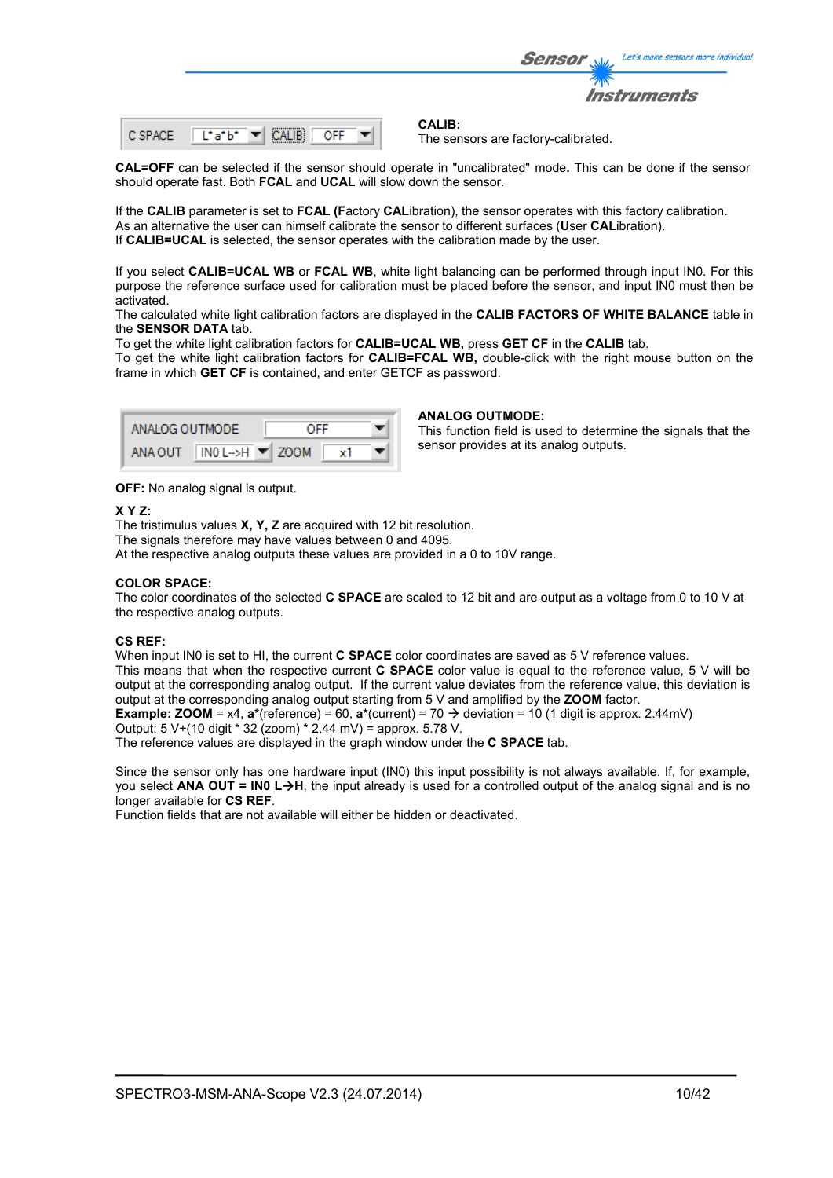|         |                                           | Let's make sensors more individua.<br><b>Sensor</b> |
|---------|-------------------------------------------|-----------------------------------------------------|
|         |                                           | <b>Instruments</b>                                  |
| C SPACE | Liatbi<br>OFF<br>$\overline{\phantom{a}}$ | CALIB:<br>The sensors are factory-calibrated.       |

**CAL=OFF** can be selected if the sensor should operate in "uncalibrated" mode**.** This can be done if the sensor should operate fast. Both **FCAL** and **UCAL** will slow down the sensor.

If the **CALIB** parameter is set to **FCAL (F**actory **CAL**ibration), the sensor operates with this factory calibration. As an alternative the user can himself calibrate the sensor to different surfaces (**U**ser **CAL**ibration). If **CALIB=UCAL** is selected, the sensor operates with the calibration made by the user.

If you select **CALIB=UCAL WB** or **FCAL WB**, white light balancing can be performed through input IN0. For this purpose the reference surface used for calibration must be placed before the sensor, and input IN0 must then be activated.

The calculated white light calibration factors are displayed in the **CALIB FACTORS OF WHITE BALANCE** table in the **SENSOR DATA** tab.

To get the white light calibration factors for **CALIB=UCAL WB,** press **GET CF** in the **CALIB** tab.

To get the white light calibration factors for **CALIB=FCAL WB,** double-click with the right mouse button on the frame in which **GET CF** is contained, and enter GETCF as password.

| ANALOG OUTMODE |                                       | OFF |    |  |
|----------------|---------------------------------------|-----|----|--|
| ANA OUT        | $INO$ L->H $\blacktriangleright$ ZOOM |     | x٦ |  |

#### **ANALOG OUTMODE:**

This function field is used to determine the signals that the sensor provides at its analog outputs.

**OFF:** No analog signal is output.

### **X Y Z:**

The tristimulus values **X, Y, Z** are acquired with 12 bit resolution. The signals therefore may have values between 0 and 4095. At the respective analog outputs these values are provided in a 0 to 10V range.

### **COLOR SPACE:**

The color coordinates of the selected **C SPACE** are scaled to 12 bit and are output as a voltage from 0 to 10 V at the respective analog outputs.

# **CS REF:**

When input IN0 is set to HI, the current **C SPACE** color coordinates are saved as 5 V reference values. This means that when the respective current **C SPACE** color value is equal to the reference value, 5 V will be output at the corresponding analog output. If the current value deviates from the reference value, this deviation is output at the corresponding analog output starting from 5 V and amplified by the **ZOOM** factor. **Example: <b>ZOOM** = x4,  $\mathbf{a}^*$ (reference) = 60,  $\mathbf{a}^*$ (current) = 70  $\rightarrow$  deviation = 10 (1 digit is approx. 2.44mV)

Output: 5 V+(10 digit \* 32 (zoom) \* 2.44 mV) = approx. 5.78 V.

The reference values are displayed in the graph window under the **C SPACE** tab.

Since the sensor only has one hardware input (IN0) this input possibility is not always available. If, for example, you select **ANA OUT = IN0 LH**, the input already is used for a controlled output of the analog signal and is no longer available for **CS REF**.

Function fields that are not available will either be hidden or deactivated.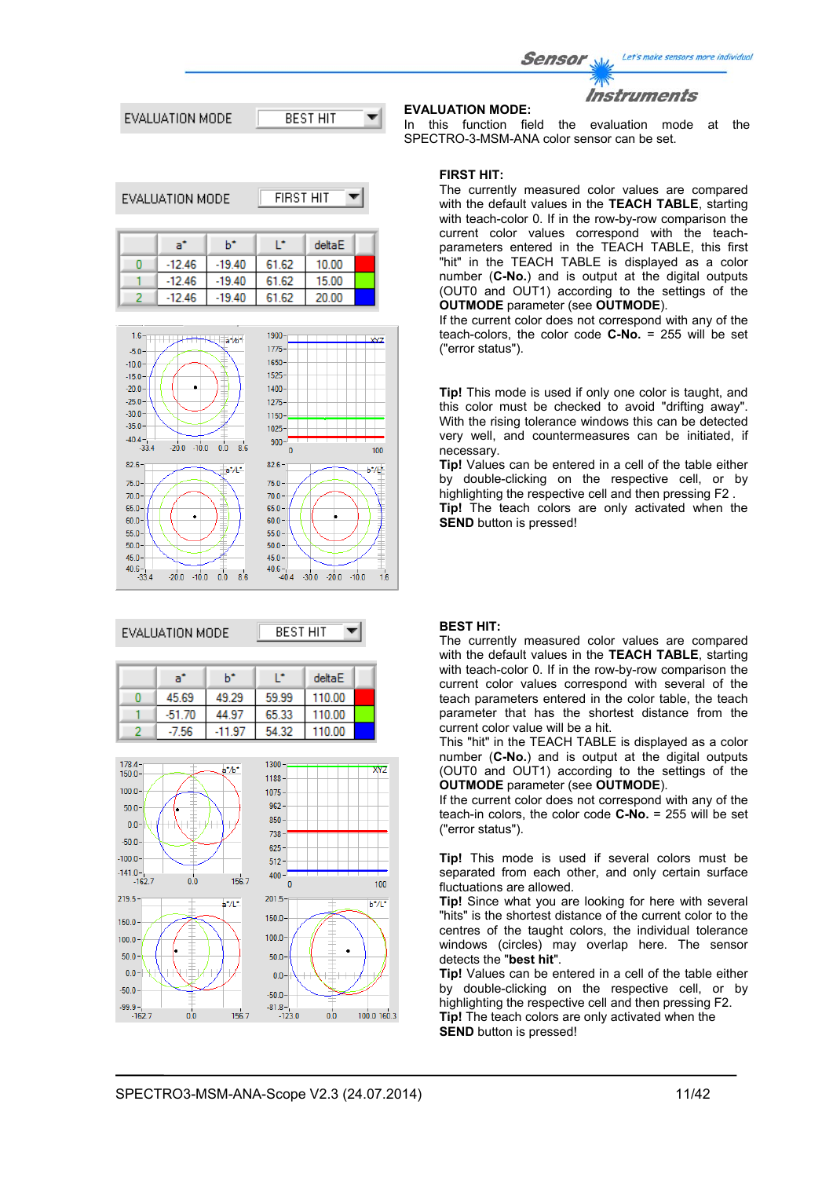Let's make sensors more individual Sensor Instruments **EVALUATION MODE:** EVALUATION MODE **BEST HIT** 

**FIRST HIT** 

EVALUATION MODE

| a"       | ь÷       |       | deltaE |  |
|----------|----------|-------|--------|--|
| $-12.46$ | $-19.40$ | 61.62 | 10.00  |  |
| $-12.46$ | $-19.40$ | 61.62 | 15.00  |  |
| $-12.46$ | $-19.40$ | 61.62 | 20.00  |  |



### EVALUATION MODE

**BEST HIT** ▼

| a.       | h*     |       | deltaE |  |
|----------|--------|-------|--------|--|
| 45.69    | 49.29  | 59.99 | 110.00 |  |
| $-51.70$ | 44.97  | 65.33 | 110.00 |  |
| $-7.56$  | -11.97 | 54.32 | 110.00 |  |



In this function field the evaluation mode at the SPECTRO-3-MSM-ANA color sensor can be set.

# **FIRST HIT:**

The currently measured color values are compared with the default values in the **TEACH TABLE**, starting with teach-color 0. If in the row-by-row comparison the current color values correspond with the teachparameters entered in the TEACH TABLE, this first "hit" in the TEACH TABLE is displayed as a color number (**C-No.**) and is output at the digital outputs (OUT0 and OUT1) according to the settings of the **OUTMODE** parameter (see **OUTMODE**).

If the current color does not correspond with any of the teach-colors, the color code **C-No.** = 255 will be set ("error status").

**Tip!** This mode is used if only one color is taught, and this color must be checked to avoid "drifting away". With the rising tolerance windows this can be detected very well, and countermeasures can be initiated, if necessary.

**Tip!** Values can be entered in a cell of the table either by double-clicking on the respective cell, or by highlighting the respective cell and then pressing F2 . **Tip!** The teach colors are only activated when the **SEND** button is pressed!

#### **BEST HIT:**

The currently measured color values are compared with the default values in the **TEACH TABLE**, starting with teach-color 0. If in the row-by-row comparison the current color values correspond with several of the teach parameters entered in the color table, the teach parameter that has the shortest distance from the current color value will be a hit.

This "hit" in the TEACH TABLE is displayed as a color number (**C-No.**) and is output at the digital outputs (OUT0 and OUT1) according to the settings of the **OUTMODE** parameter (see **OUTMODE**).

If the current color does not correspond with any of the teach-in colors, the color code **C-No.** = 255 will be set ("error status").

**Tip!** This mode is used if several colors must be separated from each other, and only certain surface fluctuations are allowed.

**Tip!** Since what you are looking for here with several "hits" is the shortest distance of the current color to the centres of the taught colors, the individual tolerance windows (circles) may overlap here. The sensor detects the "**best hit**".

**Tip!** Values can be entered in a cell of the table either by double-clicking on the respective cell, or by highlighting the respective cell and then pressing F2. **Tip!** The teach colors are only activated when the **SEND** button is pressed!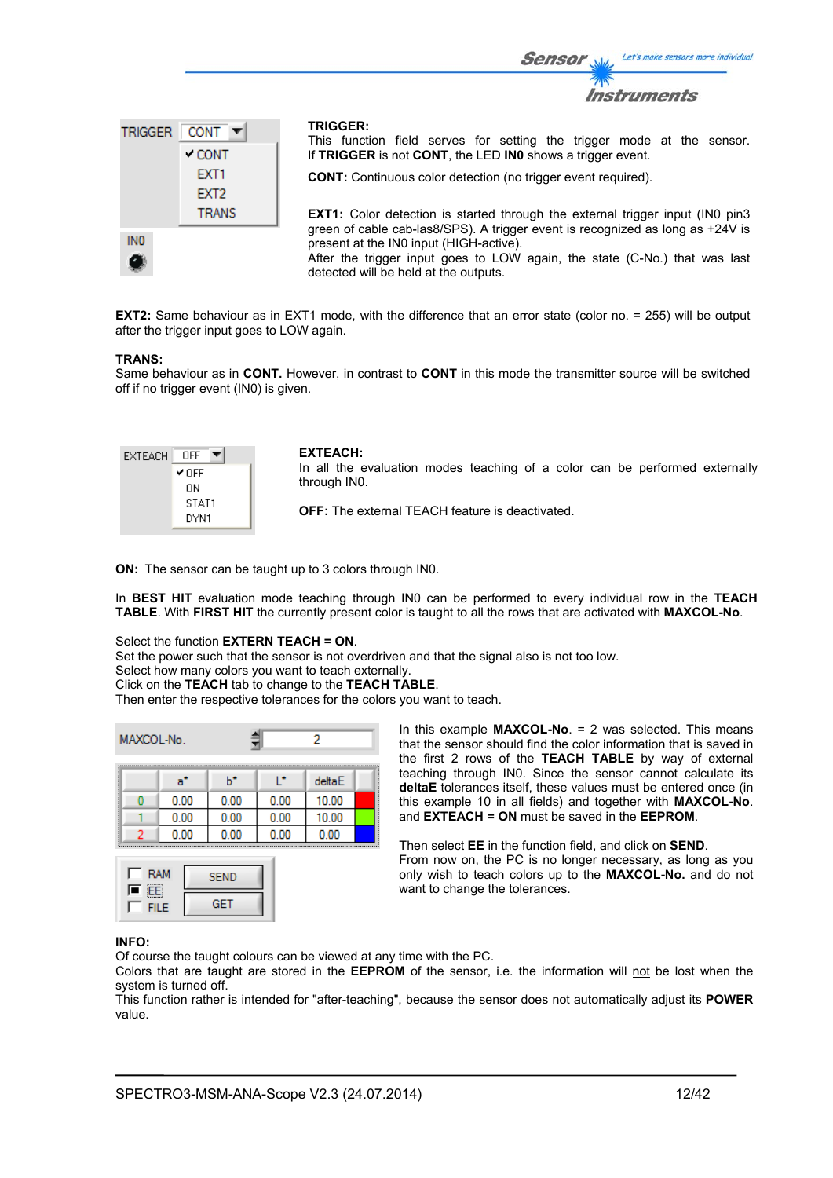

**EXT2:** Same behaviour as in EXT1 mode, with the difference that an error state (color no. = 255) will be output after the trigger input goes to LOW again.

#### **TRANS:**

Same behaviour as in **CONT.** However, in contrast to **CONT** in this mode the transmitter source will be switched off if no trigger event (IN0) is given.

| EXTEACH | OFF   |
|---------|-------|
|         | ✔ OFF |
|         | OΝ    |
|         | STAT1 |
|         | DYN1  |

#### **EXTEACH:**

In all the evaluation modes teaching of a color can be performed externally through IN0.

Sensor

**OFF:** The external TEACH feature is deactivated.

**ON:** The sensor can be taught up to 3 colors through IN0.

In **BEST HIT** evaluation mode teaching through IN0 can be performed to every individual row in the **TEACH TABLE**. With **FIRST HIT** the currently present color is taught to all the rows that are activated with **MAXCOL-No**.

# Select the function **EXTERN TEACH = ON**.

Set the power such that the sensor is not overdriven and that the signal also is not too low.

Select how many colors you want to teach externally.

Click on the **TEACH** tab to change to the **TEACH TABLE**.

Then enter the respective tolerances for the colors you want to teach.

| MAXCOL-No. |  |      |      |      | 2      |  |
|------------|--|------|------|------|--------|--|
|            |  | a°   | ь    | r    | deltaE |  |
|            |  | 0.00 | 0.00 | 0.00 | 10.00  |  |
|            |  | 0.00 | 0.00 | 0.00 | 10.00  |  |
|            |  | 0.00 | 0.00 | 0.00 | 0.00   |  |



In this example **MAXCOL-No**. = 2 was selected. This means that the sensor should find the color information that is saved in the first 2 rows of the **TEACH TABLE** by way of external teaching through IN0. Since the sensor cannot calculate its **deltaE** tolerances itself, these values must be entered once (in this example 10 in all fields) and together with **MAXCOL-No**. and **EXTEACH = ON** must be saved in the **EEPROM**.

Then select **EE** in the function field, and click on **SEND**. From now on, the PC is no longer necessary, as long as you only wish to teach colors up to the **MAXCOL-No.** and do not want to change the tolerances.

#### **INFO:**

Of course the taught colours can be viewed at any time with the PC.

Colors that are taught are stored in the **EEPROM** of the sensor, i.e. the information will not be lost when the system is turned off.

This function rather is intended for "after-teaching", because the sensor does not automatically adjust its **POWER** value.

Let's make sensors more individual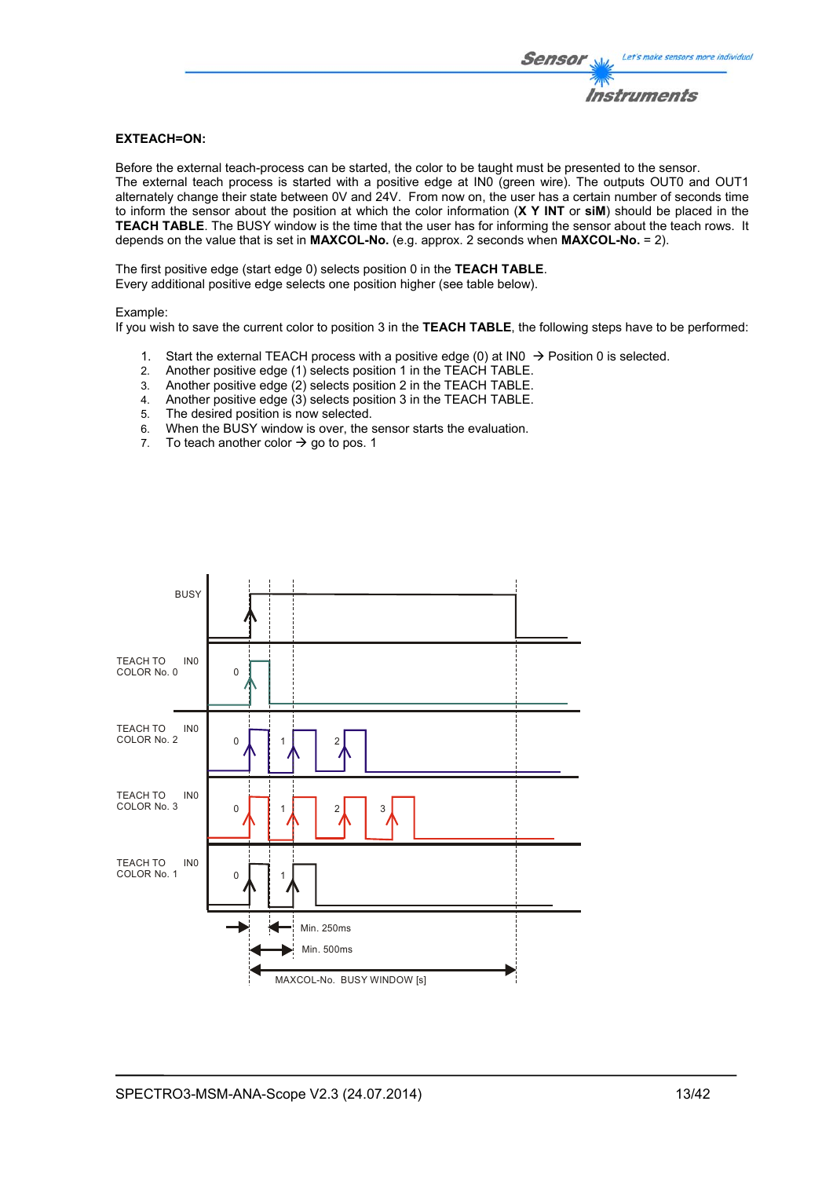# **EXTEACH=ON:**

Before the external teach-process can be started, the color to be taught must be presented to the sensor. The external teach process is started with a positive edge at IN0 (green wire). The outputs OUT0 and OUT1 alternately change their state between 0V and 24V. From now on, the user has a certain number of seconds time to inform the sensor about the position at which the color information (**X Y INT** or **siM**) should be placed in the **TEACH TABLE**. The BUSY window is the time that the user has for informing the sensor about the teach rows. It depends on the value that is set in **MAXCOL-No.** (e.g. approx. 2 seconds when **MAXCOL-No.** = 2).

The first positive edge (start edge 0) selects position 0 in the **TEACH TABLE**. Every additional positive edge selects one position higher (see table below).

#### Example:

If you wish to save the current color to position 3 in the **TEACH TABLE**, the following steps have to be performed:

- 1. Start the external TEACH process with a positive edge (0) at INO  $\rightarrow$  Position 0 is selected.
- 2. Another positive edge (1) selects position 1 in the TEACH TABLE.
- 3. Another positive edge (2) selects position 2 in the TEACH TABLE.
- 4. Another positive edge (3) selects position 3 in the TEACH TABLE.
- 5. The desired position is now selected.
- 6. When the BUSY window is over, the sensor starts the evaluation.
- 7. To teach another color  $\rightarrow$  go to pos. 1

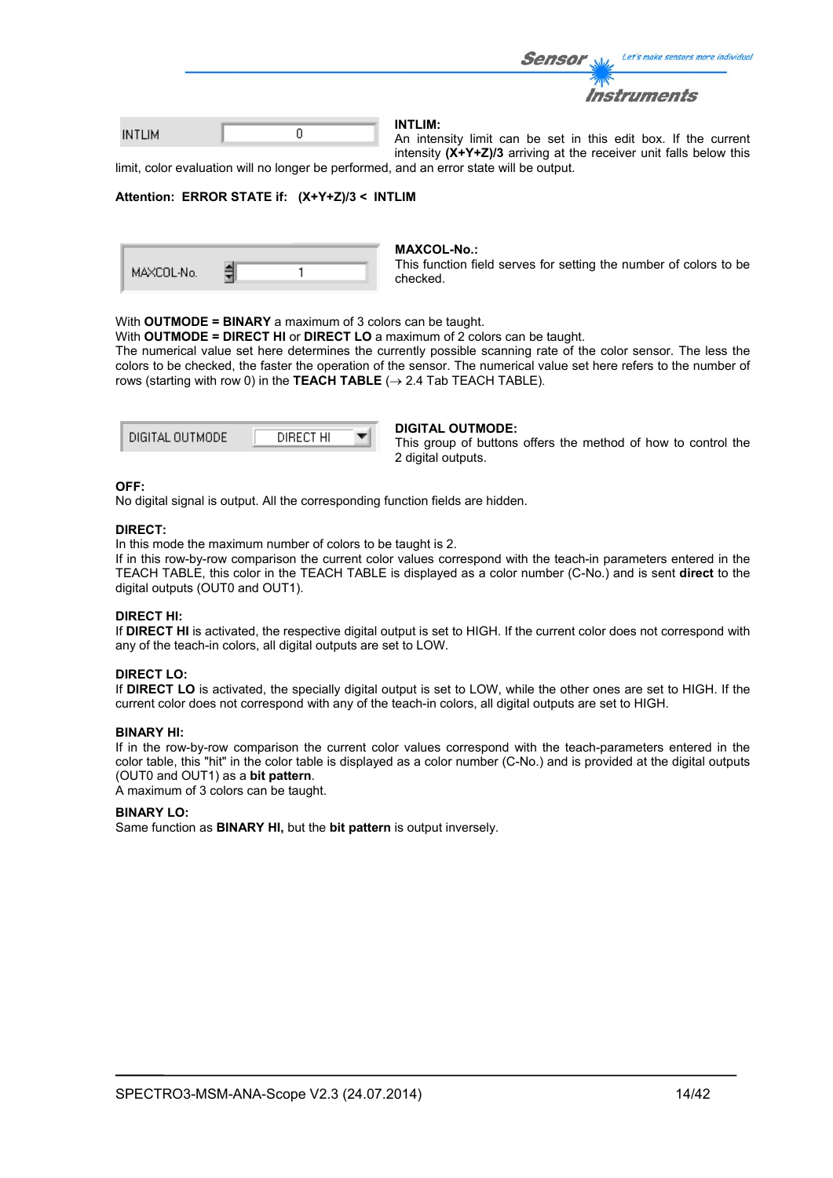|               |  | <b>Sensor</b>  | Let's make sensors more individue                              |
|---------------|--|----------------|----------------------------------------------------------------|
|               |  |                | <b>Instruments</b>                                             |
| <b>INTLIM</b> |  | <b>INTLIM:</b> | An intensity limit ago he got in this sait have 16 the sympany |

An intensity limit can be set in this edit box. If the current a d intensity **(X+Y+Z)/3** arriving at the receiver unit falls below this

limit, color evaluation will no longer be performed, and an error state will be output.

#### **Attention: ERROR STATE if: (X+Y+Z)/3 < INTLIM**

| MAXCOL-No. |  |  |
|------------|--|--|

#### **MAXCOL-No.:**

This function field serves for setting the number of colors to be checked.

#### With **OUTMODE = BINARY** a maximum of 3 colors can be taught.

With **OUTMODE = DIRECT HI** or **DIRECT LO** a maximum of 2 colors can be taught.

The numerical value set here determines the currently possible scanning rate of the color sensor. The less the colors to be checked, the faster the operation of the sensor. The numerical value set here refers to the number of rows (starting with row 0) in the **TEACH TABLE**  $(\rightarrow 2.4$  Tab TEACH TABLE).

| DIGITAL OUTMODE | DIRECT HI |  |
|-----------------|-----------|--|
|                 |           |  |

#### **DIGITAL OUTMODE:**

This group of buttons offers the method of how to control the 2 digital outputs.

### **OFF:**

No digital signal is output. All the corresponding function fields are hidden.

#### **DIRECT:**

In this mode the maximum number of colors to be taught is 2.

If in this row-by-row comparison the current color values correspond with the teach-in parameters entered in the TEACH TABLE, this color in the TEACH TABLE is displayed as a color number (C-No.) and is sent **direct** to the digital outputs (OUT0 and OUT1).

#### **DIRECT HI:**

If **DIRECT HI** is activated, the respective digital output is set to HIGH. If the current color does not correspond with any of the teach-in colors, all digital outputs are set to LOW.

# **DIRECT LO:**

If **DIRECT LO** is activated, the specially digital output is set to LOW, while the other ones are set to HIGH. If the current color does not correspond with any of the teach-in colors, all digital outputs are set to HIGH.

# **BINARY HI:**

If in the row-by-row comparison the current color values correspond with the teach-parameters entered in the color table, this "hit" in the color table is displayed as a color number (C-No.) and is provided at the digital outputs (OUT0 and OUT1) as a **bit pattern**.

A maximum of 3 colors can be taught.

#### **BINARY LO:**

Same function as **BINARY HI,** but the **bit pattern** is output inversely.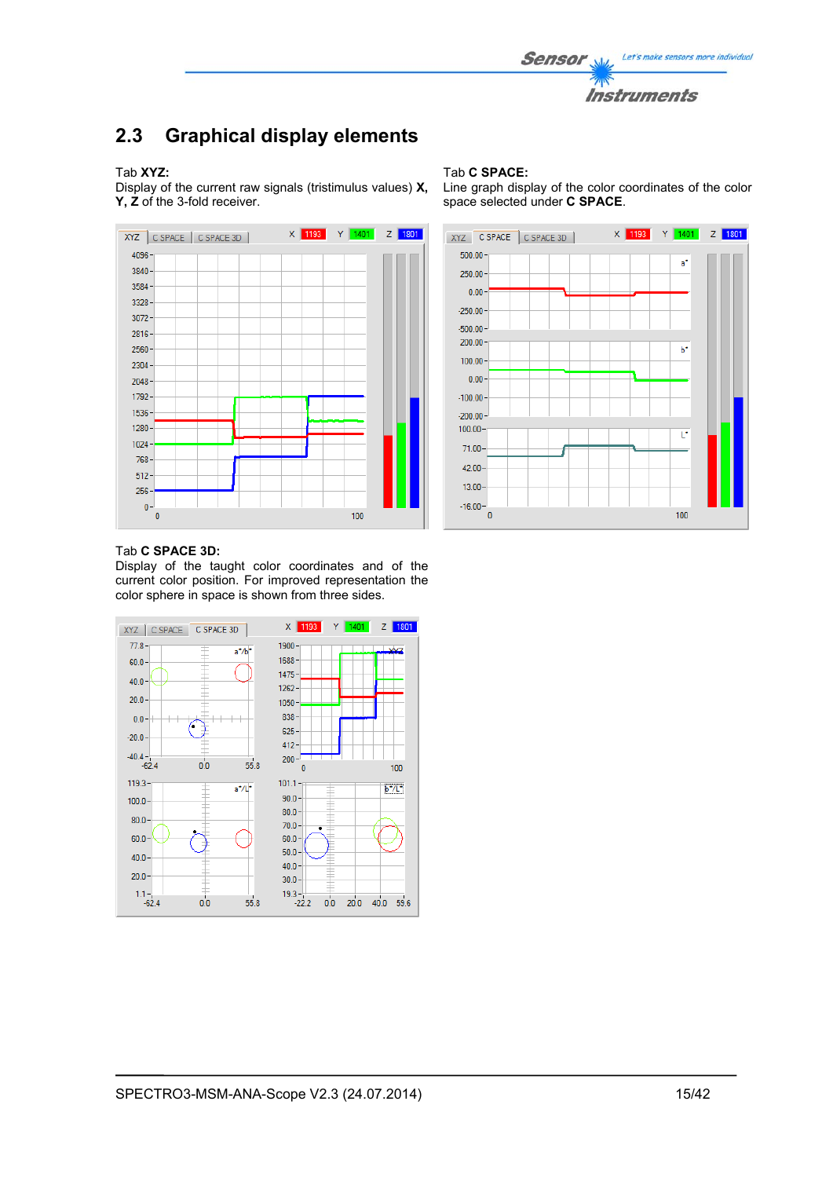

# **2.3 Graphical display elements**

### Tab **XYZ:**

Display of the current raw signals (tristimulus values) **X, Y, Z** of the 3-fold receiver.



#### Tab **C SPACE:**

Line graph display of the color coordinates of the color space selected under **C SPACE**.

![](_page_14_Figure_7.jpeg)

#### Tab **C SPACE 3D:**

Display of the taught color coordinates and of the current color position. For improved representation the color sphere in space is shown from three sides.

![](_page_14_Figure_10.jpeg)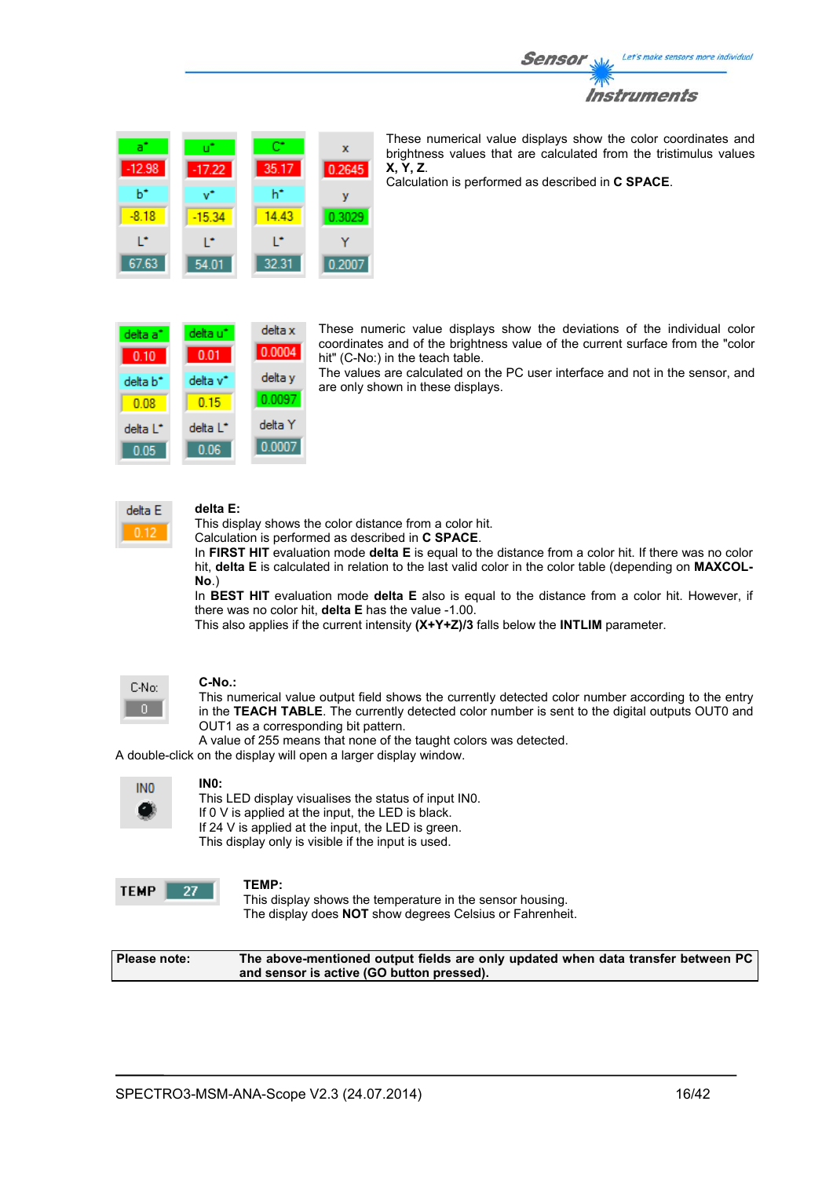![](_page_15_Picture_0.jpeg)

![](_page_15_Picture_1.jpeg)

These numerical value displays show the color coordinates and brightness values that are calculated from the tristimulus values **X, Y, Z**.

Calculation is performed as described in **C SPACE**.

| delta a*             | delta u <sup>r</sup> | delta x |
|----------------------|----------------------|---------|
| 0.10                 | 0.01                 | 0.0004  |
| delta b <sup>*</sup> | delta v*             | delta y |
| 0.08                 | 0.15                 | 0.0097  |
| delta L <sup>*</sup> | delta L <sup>*</sup> | delta Y |
| 0.05                 | 0.06                 | 0.0007  |

These numeric value displays show the deviations of the individual color coordinates and of the brightness value of the current surface from the "color hit" (C-No:) in the teach table.

The values are calculated on the PC user interface and not in the sensor, and are only shown in these displays.

![](_page_15_Picture_7.jpeg)

### **delta E:**

This display shows the color distance from a color hit.

Calculation is performed as described in **C SPACE**.

In **FIRST HIT** evaluation mode **delta E** is equal to the distance from a color hit. If there was no color hit, **delta E** is calculated in relation to the last valid color in the color table (depending on **MAXCOL-No**.)

In **BEST HIT** evaluation mode **delta E** also is equal to the distance from a color hit. However, if there was no color hit, **delta E** has the value -1.00.

This also applies if the current intensity **(X+Y+Z)/3** falls below the **INTLIM** parameter.

![](_page_15_Picture_14.jpeg)

#### **C-No.:**

This numerical value output field shows the currently detected color number according to the entry in the **TEACH TABLE**. The currently detected color number is sent to the digital outputs OUT0 and OUT1 as a corresponding bit pattern.

A value of 255 means that none of the taught colors was detected.

A double-click on the display will open a larger display window.

| INO |
|-----|
| ĸ   |

**IN0:** 

This LED display visualises the status of input IN0. If 0 V is applied at the input, the LED is black. If 24 V is applied at the input, the LED is green. This display only is visible if the input is used.

![](_page_15_Picture_22.jpeg)

### **TEMP:**

This display shows the temperature in the sensor housing. The display does **NOT** show degrees Celsius or Fahrenheit.

**Please note: The above-mentioned output fields are only updated when data transfer between PC and sensor is active (GO button pressed).**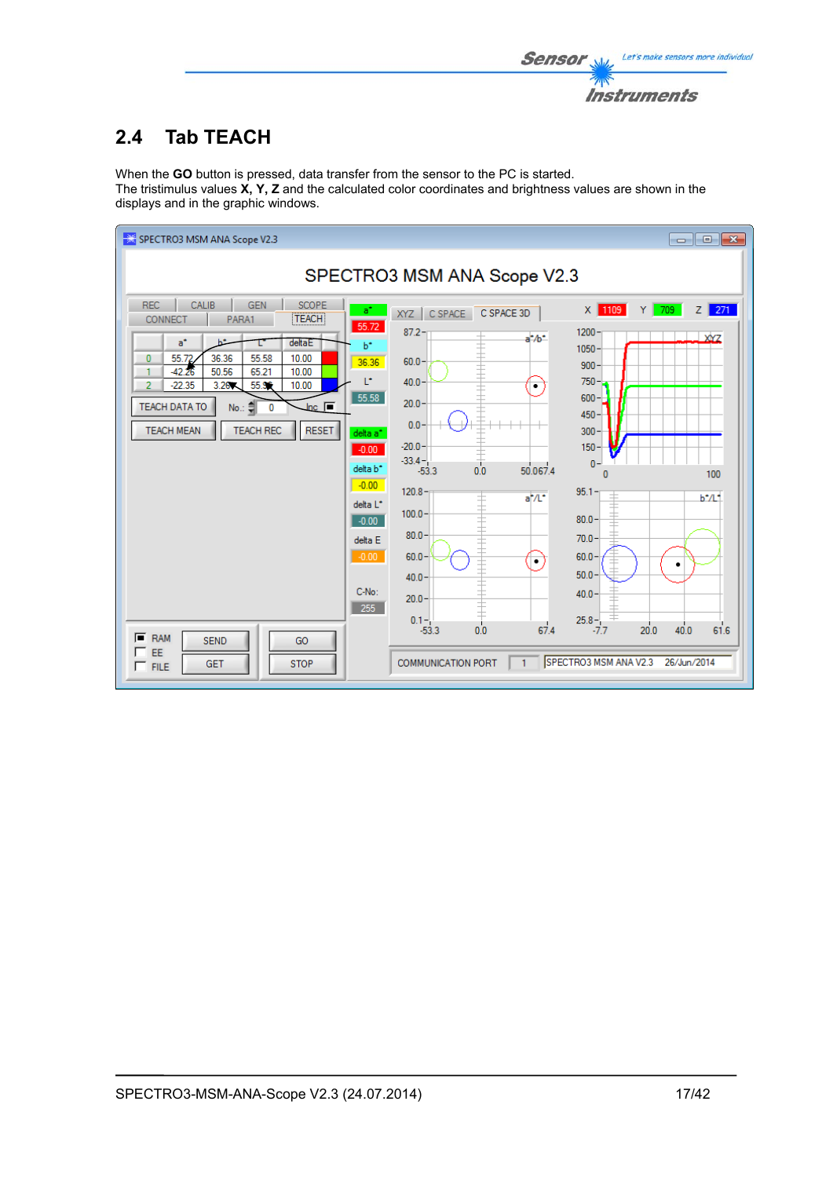![](_page_16_Picture_0.jpeg)

# **2.4 Tab TEACH**

When the **GO** button is pressed, data transfer from the sensor to the PC is started. The tristimulus values **X, Y, Z** and the calculated color coordinates and brightness values are shown in the displays and in the graphic windows.

![](_page_16_Figure_3.jpeg)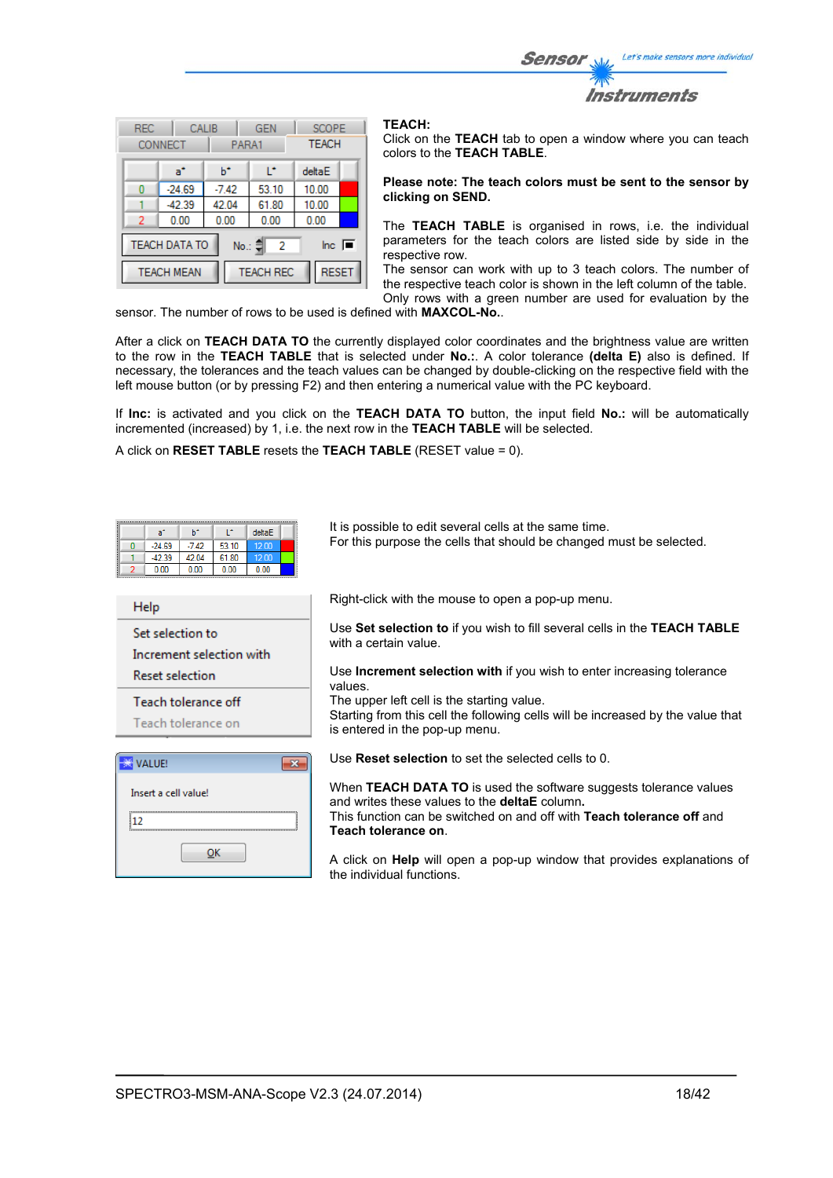Let's make sensors more individual Sensor Instruments

| <b>REC</b>                                                                                 | <b>CONNECT</b> | CALIB   | <b>GEN</b><br>PARA1 |        | <b>SCOPE</b><br><b>TEACH</b> |
|--------------------------------------------------------------------------------------------|----------------|---------|---------------------|--------|------------------------------|
|                                                                                            | a*             | ь       | r                   | deltaE |                              |
| Ω                                                                                          | $-24.69$       | $-7.42$ | 53.10               | 10.00  |                              |
|                                                                                            | $-42.39$       | 42.04   | 61.80               | 10.00  |                              |
| 2                                                                                          | 0.00           | 0.00    | 0.00                | 0.00   |                              |
| <b>TEACH DATA TO</b><br>$\overline{\mathsf{Inc}}$ $\overline{\blacksquare}$<br>No.: 훼<br>2 |                |         |                     |        |                              |
| <b>RESET</b><br><b>TEACH REC</b><br><b>TEACH MEAN</b>                                      |                |         |                     |        |                              |

#### **TEACH:**

Click on the **TEACH** tab to open a window where you can teach colors to the **TEACH TABLE**.

#### **Please note: The teach colors must be sent to the sensor by clicking on SEND.**

The **TEACH TABLE** is organised in rows, i.e. the individual parameters for the teach colors are listed side by side in the respective row.

The sensor can work with up to 3 teach colors. The number of the respective teach color is shown in the left column of the table. Only rows with a green number are used for evaluation by the

sensor. The number of rows to be used is defined with **MAXCOL-No.**.

After a click on **TEACH DATA TO** the currently displayed color coordinates and the brightness value are written to the row in the **TEACH TABLE** that is selected under **No.:**. A color tolerance **(delta E)** also is defined. If necessary, the tolerances and the teach values can be changed by double-clicking on the respective field with the left mouse button (or by pressing F2) and then entering a numerical value with the PC keyboard.

If **Inc:** is activated and you click on the **TEACH DATA TO** button, the input field **No.:** will be automatically incremented (increased) by 1, i.e. the next row in the **TEACH TABLE** will be selected.

A click on **RESET TABLE** resets the **TEACH TABLE** (RESET value = 0).

| L*<br>deltaE<br>ы<br>$a^*$<br>$-7.42$<br>53.10<br>$-24.69$<br>12.00<br>n<br>$-42.39$<br>42.04<br>61.80<br>12.00<br>0.00<br>0.00<br>0.00<br>0.00 | It is possible to edit several cells at the same time.<br>For this purpose the cells that should be changed must be selected. |
|-------------------------------------------------------------------------------------------------------------------------------------------------|-------------------------------------------------------------------------------------------------------------------------------|
| Help                                                                                                                                            | Right-click with the mouse to open a pop-up menu.                                                                             |
| Set selection to<br>Increment selection with                                                                                                    | Use Set selection to if you wish to fill several cells in the TEACH TABLE<br>with a certain value.                            |
| <b>Reset selection</b>                                                                                                                          | Use <b>Increment selection with</b> if you wish to enter increasing tolerance<br>values                                       |
| Teach tolerance off                                                                                                                             | The upper left cell is the starting value.                                                                                    |
| Teach tolerance on                                                                                                                              | Starting from this cell the following cells will be increased by the value that<br>is entered in the pop-up menu.             |
| VALUE!<br>$\mathbf{x}$                                                                                                                          | Use <b>Reset selection</b> to set the selected cells to 0.                                                                    |
| Insert a cell value!                                                                                                                            | When TEACH DATA TO is used the software suggests tolerance values<br>and writes these values to the <b>deltaE</b> column.     |
| 112                                                                                                                                             | This function can be switched on and off with <b>Teach tolerance off</b> and<br>Teach tolerance on.                           |
| ок                                                                                                                                              | A click on <b>Help</b> will open a pop-up window that provides explanations of<br>the individual functions.                   |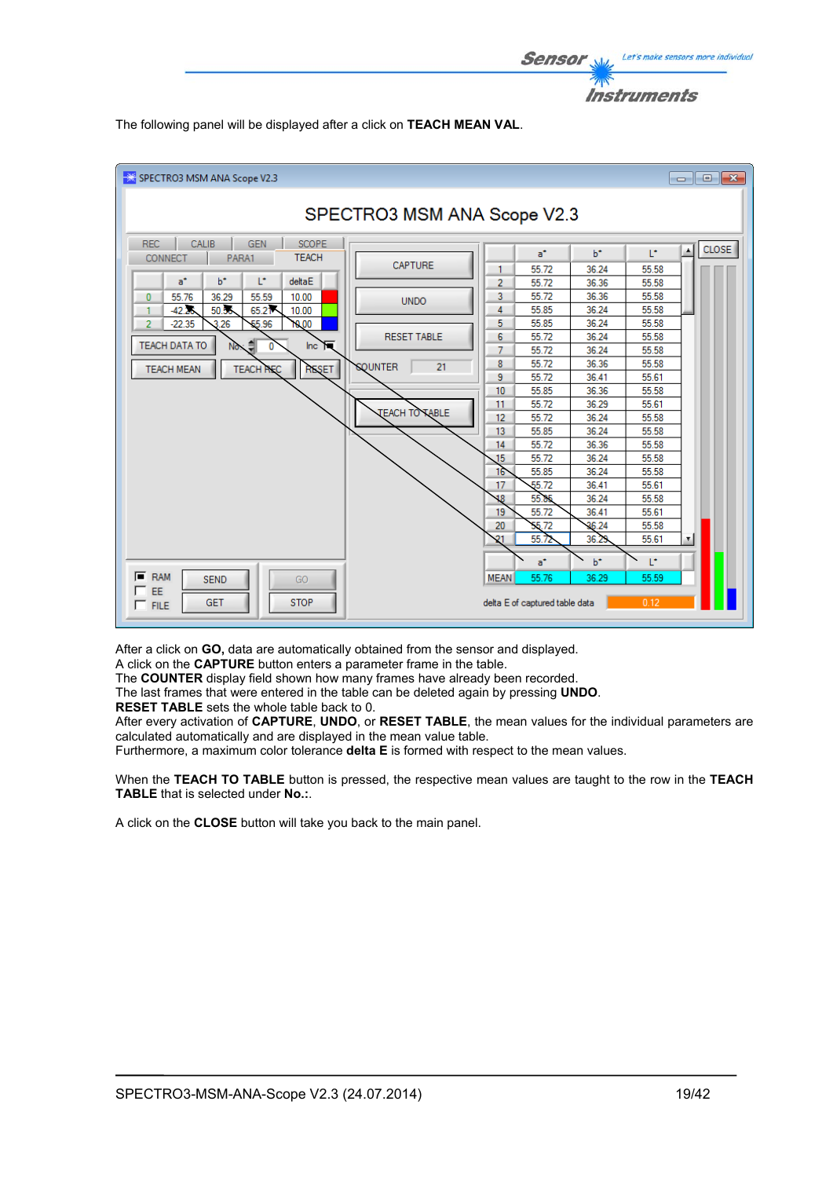![](_page_18_Picture_0.jpeg)

The following panel will be displayed after a click on **TEACH MEAN VAL**.

![](_page_18_Figure_2.jpeg)

After a click on **GO,** data are automatically obtained from the sensor and displayed.

A click on the **CAPTURE** button enters a parameter frame in the table.

The **COUNTER** display field shown how many frames have already been recorded.

The last frames that were entered in the table can be deleted again by pressing **UNDO**.

**RESET TABLE** sets the whole table back to 0.

After every activation of **CAPTURE**, **UNDO**, or **RESET TABLE**, the mean values for the individual parameters are calculated automatically and are displayed in the mean value table.

Furthermore, a maximum color tolerance **delta E** is formed with respect to the mean values.

When the **TEACH TO TABLE** button is pressed, the respective mean values are taught to the row in the **TEACH TABLE** that is selected under **No.:**.

A click on the **CLOSE** button will take you back to the main panel.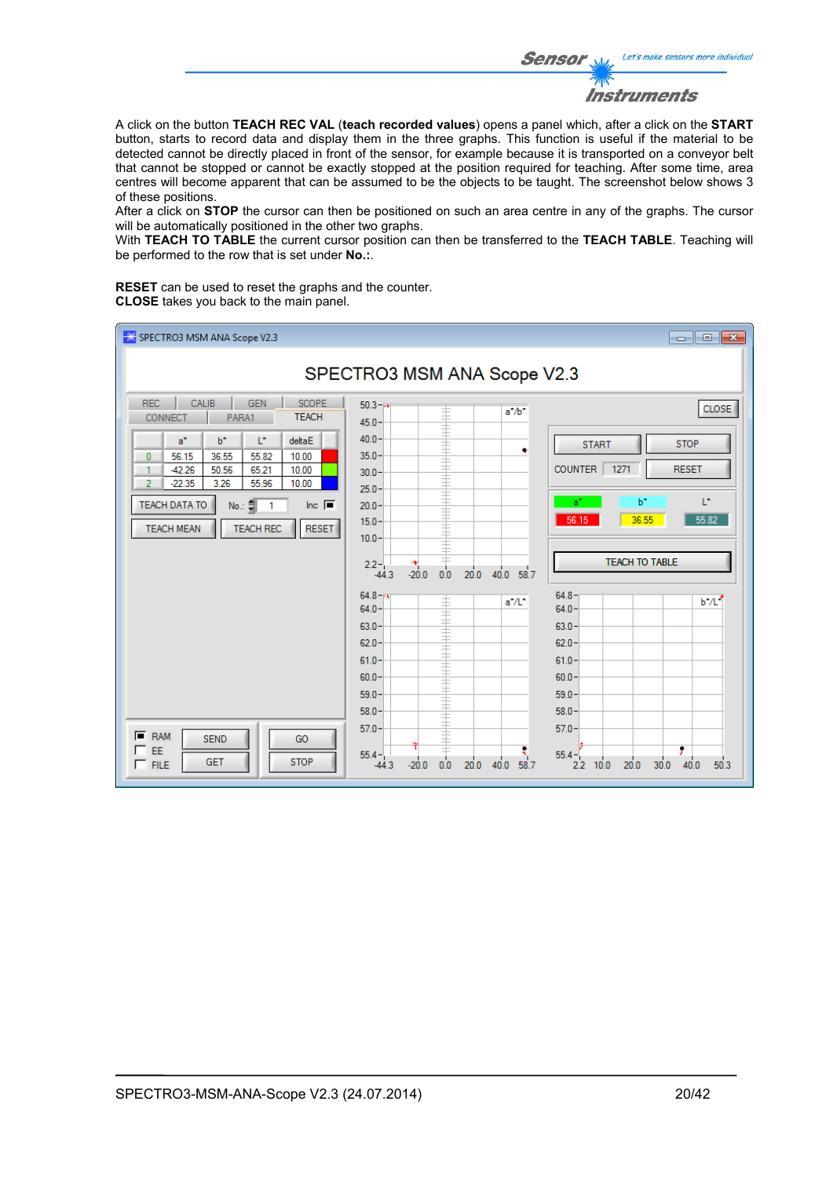Let's make sensors more individual **Sensor** Instruments

A click on the button **TEACH REC VAL** (**teach recorded values**) opens a panel which, after a click on the **START** button, starts to record data and display them in the three graphs. This function is useful if the material to be detected cannot be directly placed in front of the sensor, for example because it is transported on a conveyor belt that cannot be stopped or cannot be exactly stopped at the position required for teaching. After some time, area centres will become apparent that can be assumed to be the objects to be taught. The screenshot below shows 3 of these positions.

After a click on **STOP** the cursor can then be positioned on such an area centre in any of the graphs. The cursor will be automatically positioned in the other two graphs.

With **TEACH TO TABLE** the current cursor position can then be transferred to the **TEACH TABLE**. Teaching will be performed to the row that is set under **No.:**.

**RESET** can be used to reset the graphs and the counter. **CLOSE** takes you back to the main panel.

![](_page_19_Figure_5.jpeg)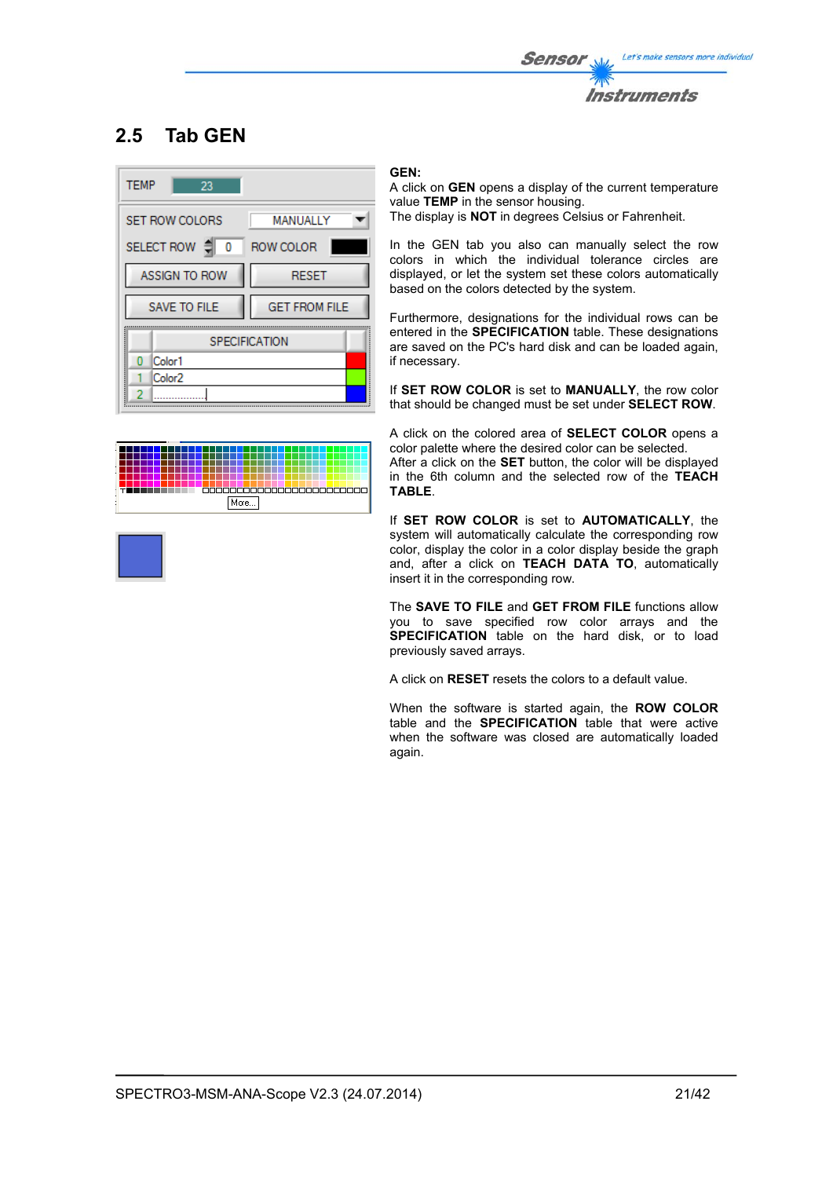![](_page_20_Picture_0.jpeg)

# **2.5 Tab GEN**

![](_page_20_Picture_2.jpeg)

# 500000000000000000000000 More...

### **GEN:**

A click on **GEN** opens a display of the current temperature value **TEMP** in the sensor housing. The display is **NOT** in degrees Celsius or Fahrenheit.

In the GEN tab you also can manually select the row colors in which the individual tolerance circles are displayed, or let the system set these colors automatically based on the colors detected by the system.

Furthermore, designations for the individual rows can be entered in the **SPECIFICATION** table. These designations are saved on the PC's hard disk and can be loaded again, if necessary.

If **SET ROW COLOR** is set to **MANUALLY**, the row color that should be changed must be set under **SELECT ROW**.

A click on the colored area of **SELECT COLOR** opens a color palette where the desired color can be selected.

After a click on the **SET** button, the color will be displayed in the 6th column and the selected row of the **TEACH TABLE**.

If **SET ROW COLOR** is set to **AUTOMATICALLY**, the system will automatically calculate the corresponding row color, display the color in a color display beside the graph and, after a click on **TEACH DATA TO**, automatically insert it in the corresponding row.

The **SAVE TO FILE** and **GET FROM FILE** functions allow you to save specified row color arrays and the **SPECIFICATION** table on the hard disk, or to load previously saved arrays.

A click on **RESET** resets the colors to a default value.

When the software is started again, the **ROW COLOR** table and the **SPECIFICATION** table that were active when the software was closed are automatically loaded again.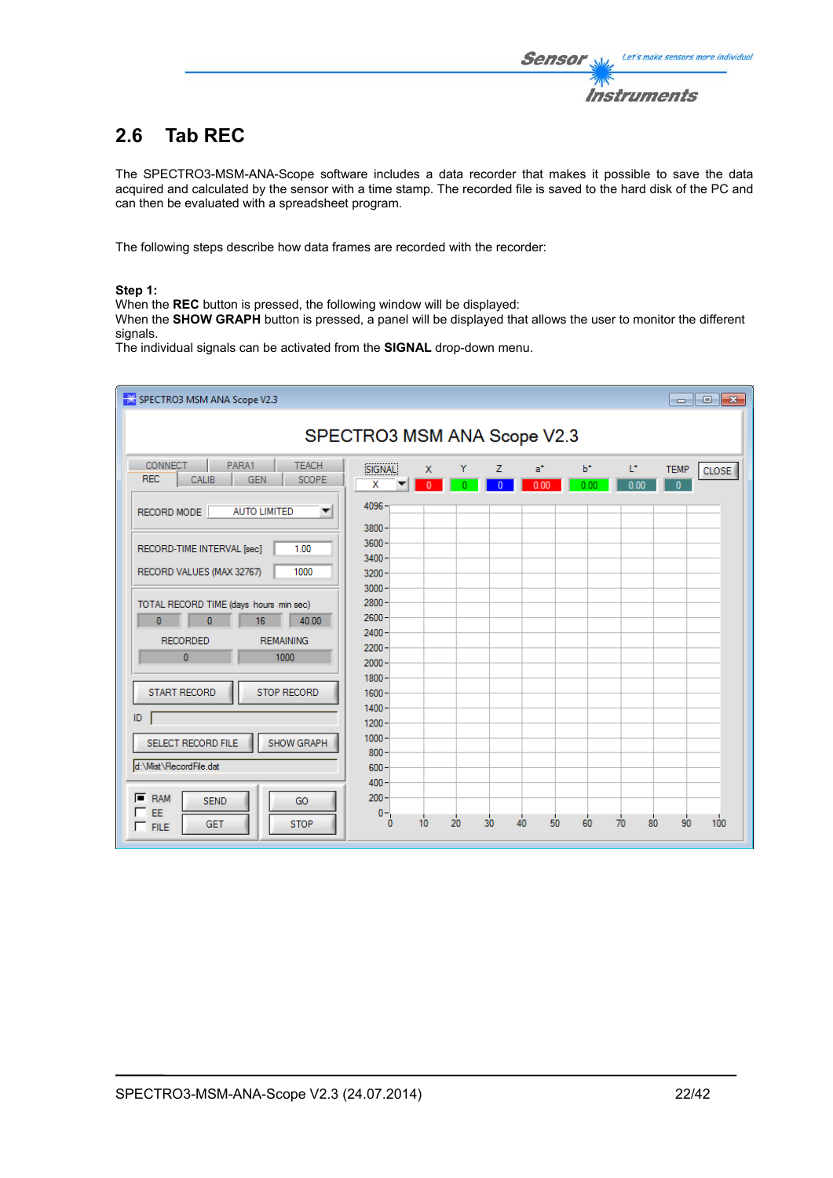# **2.6 Tab REC**

The SPECTRO3-MSM-ANA-Scope software includes a data recorder that makes it possible to save the data acquired and calculated by the sensor with a time stamp. The recorded file is saved to the hard disk of the PC and can then be evaluated with a spreadsheet program.

The following steps describe how data frames are recorded with the recorder:

### **Step 1:**

When the **REC** button is pressed, the following window will be displayed:

When the **SHOW GRAPH** button is pressed, a panel will be displayed that allows the user to monitor the different signals.

The individual signals can be activated from the **SIGNAL** drop-down menu.

| SPECTRO3 MSM ANA Scope V2.3                                                                         |                                |                    |    |                      |               |               |            |                             | $\begin{array}{ c c c c c }\hline \multicolumn{1}{ c }{\multicolumn{1}{c }{\hspace{-1.4ex}}\hline \multicolumn{1}{c }{\hspace{-1.4ex}}\hline \multicolumn{1}{c }{\hspace{-1.4ex}}\hline \multicolumn{1}{c }{\hspace{-1.4ex}}\hline \multicolumn{1}{c }{\hspace{-1.4ex}}\hline \multicolumn{1}{c }{\hspace{-1.4ex}}\hline \multicolumn{1}{c }{\hspace{-1.4ex}}\hline \multicolumn{1}{c }{\hspace{-1.4ex}}\hline \multicolumn{1}{c }{\hspace{-$ |
|-----------------------------------------------------------------------------------------------------|--------------------------------|--------------------|----|----------------------|---------------|---------------|------------|-----------------------------|-----------------------------------------------------------------------------------------------------------------------------------------------------------------------------------------------------------------------------------------------------------------------------------------------------------------------------------------------------------------------------------------------------------------------------------------------|
| SPECTRO3 MSM ANA Scope V2.3                                                                         |                                |                    |    |                      |               |               |            |                             |                                                                                                                                                                                                                                                                                                                                                                                                                                               |
| PARA1<br><b>CONNECT</b><br><b>TEACH</b><br><b>REC</b><br><b>GEN</b><br><b>CALIB</b><br><b>SCOPE</b> | SIGNAL<br>x                    | X.<br>$\mathbf{0}$ | Y  | Z.<br>$\overline{0}$ | $a^*$<br>0.00 | $b^*$<br>0.00 | L*<br>0.00 | <b>TEMP</b><br>$\mathbf{0}$ | CLOSE <sup></sup>                                                                                                                                                                                                                                                                                                                                                                                                                             |
| <b>AUTO LIMITED</b><br>RECORD MODE<br>$\overline{\phantom{a}}$                                      | 4096<br>$3800 -$               |                    |    |                      |               |               |            |                             |                                                                                                                                                                                                                                                                                                                                                                                                                                               |
| RECORD-TIME INTERVAL [sec]<br>1.00                                                                  | $3600 -$<br>$3400 -$           |                    |    |                      |               |               |            |                             |                                                                                                                                                                                                                                                                                                                                                                                                                                               |
| 1000<br>RECORD VALUES (MAX 32767)                                                                   | $3200 -$<br>$3000 -$           |                    |    |                      |               |               |            |                             |                                                                                                                                                                                                                                                                                                                                                                                                                                               |
| TOTAL RECORD TIME (days hours min sec)<br>$\mathbf{0}$<br>$\overline{0}$<br>16<br>40.00             | 2800<br>$2600 -$<br>$2400 -$   |                    |    |                      |               |               |            |                             |                                                                                                                                                                                                                                                                                                                                                                                                                                               |
| <b>REMAINING</b><br><b>RECORDED</b><br>$\mathbf{0}$<br>1000                                         | 2200<br>$2000 -$               |                    |    |                      |               |               |            |                             |                                                                                                                                                                                                                                                                                                                                                                                                                                               |
| <b>START RECORD</b><br><b>STOP RECORD</b>                                                           | $1800 -$<br>$1600 -$           |                    |    |                      |               |               |            |                             |                                                                                                                                                                                                                                                                                                                                                                                                                                               |
| ID                                                                                                  | $1400 -$<br>$1200 -$           |                    |    |                      |               |               |            |                             |                                                                                                                                                                                                                                                                                                                                                                                                                                               |
| SHOW GRAPH<br>SELECT RECORD FILE<br>d:\Mist\RecordFile.dat                                          | $1000 -$<br>$800 -$<br>$600 -$ |                    |    |                      |               |               |            |                             |                                                                                                                                                                                                                                                                                                                                                                                                                                               |
| $F$ RAM<br><b>SEND</b><br>GO                                                                        | $400 -$<br>$200 -$             |                    |    |                      |               |               |            |                             |                                                                                                                                                                                                                                                                                                                                                                                                                                               |
| EE<br><b>STOP</b><br><b>GET</b><br>$\Gamma$ FILE                                                    | $0 -$<br>o                     | 10                 | 20 | 30                   | 50<br>40      | 60            | 70<br>80   | 90                          | 100                                                                                                                                                                                                                                                                                                                                                                                                                                           |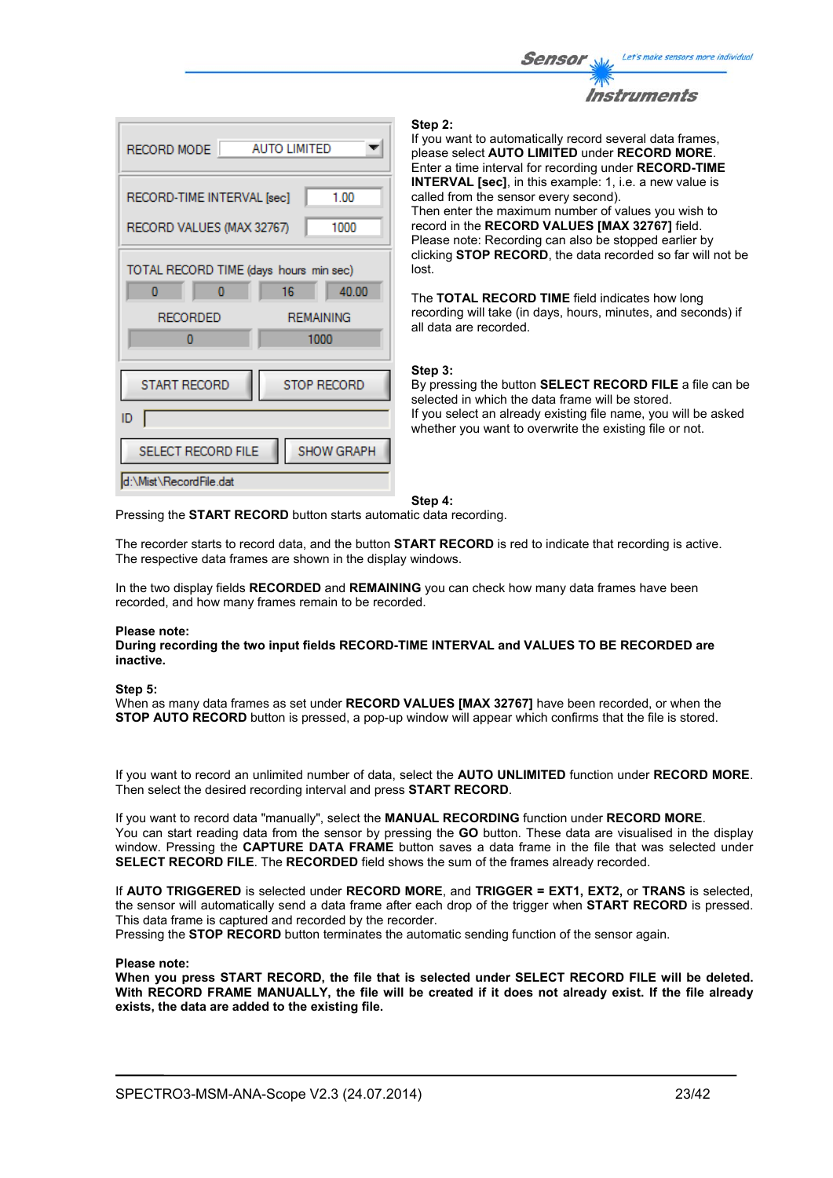![](_page_22_Picture_0.jpeg)

![](_page_22_Picture_1.jpeg)

#### **Step 2:**

If you want to automatically record several data frames, please select **AUTO LIMITED** under **RECORD MORE**. Enter a time interval for recording under **RECORD-TIME INTERVAL [sec]**, in this example: 1, i.e. a new value is called from the sensor every second). Then enter the maximum number of values you wish to record in the **RECORD VALUES [MAX 32767]** field. Please note: Recording can also be stopped earlier by clicking **STOP RECORD**, the data recorded so far will not be lost.

The **TOTAL RECORD TIME** field indicates how long recording will take (in days, hours, minutes, and seconds) if all data are recorded.

#### **Step 3:**

By pressing the button **SELECT RECORD FILE** a file can be selected in which the data frame will be stored. If you select an already existing file name, you will be asked whether you want to overwrite the existing file or not.

**Step 4:** 

Pressing the **START RECORD** button starts automatic data recording.

The recorder starts to record data, and the button **START RECORD** is red to indicate that recording is active. The respective data frames are shown in the display windows.

In the two display fields **RECORDED** and **REMAINING** you can check how many data frames have been recorded, and how many frames remain to be recorded.

#### **Please note:**

**During recording the two input fields RECORD-TIME INTERVAL and VALUES TO BE RECORDED are inactive.**

#### **Step 5:**

When as many data frames as set under **RECORD VALUES [MAX 32767]** have been recorded, or when the **STOP AUTO RECORD** button is pressed, a pop-up window will appear which confirms that the file is stored.

If you want to record an unlimited number of data, select the **AUTO UNLIMITED** function under **RECORD MORE**. Then select the desired recording interval and press **START RECORD**.

If you want to record data "manually", select the **MANUAL RECORDING** function under **RECORD MORE**. You can start reading data from the sensor by pressing the **GO** button. These data are visualised in the display window. Pressing the **CAPTURE DATA FRAME** button saves a data frame in the file that was selected under **SELECT RECORD FILE**. The **RECORDED** field shows the sum of the frames already recorded.

If **AUTO TRIGGERED** is selected under **RECORD MORE**, and **TRIGGER = EXT1, EXT2,** or **TRANS** is selected, the sensor will automatically send a data frame after each drop of the trigger when **START RECORD** is pressed. This data frame is captured and recorded by the recorder.

Pressing the **STOP RECORD** button terminates the automatic sending function of the sensor again.

#### **Please note:**

**When you press START RECORD, the file that is selected under SELECT RECORD FILE will be deleted. With RECORD FRAME MANUALLY, the file will be created if it does not already exist. If the file already exists, the data are added to the existing file.**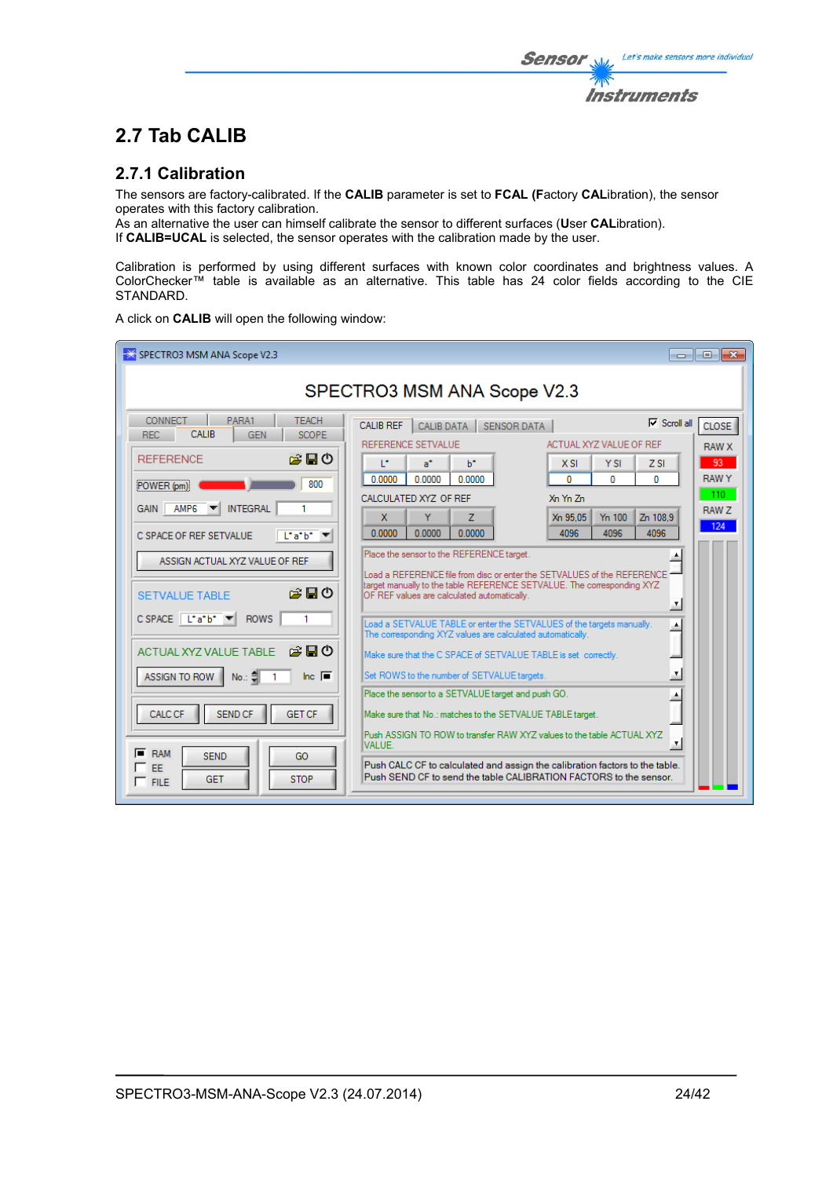The sensors are factory-calibrated. If the **CALIB** parameter is set to **FCAL (F**actory **CAL**ibration), the sensor operates with this factory calibration.

As an alternative the user can himself calibrate the sensor to different surfaces (**U**ser **CAL**ibration). If **CALIB=UCAL** is selected, the sensor operates with the calibration made by the user.

Calibration is performed by using different surfaces with known color coordinates and brightness values. A ColorChecker™ table is available as an alternative. This table has 24 color fields according to the CIE STANDARD.

A click on **CALIB** will open the following window:

| SPECTRO3 MSM ANA Scope V2.3<br>- 0 X                                                                                                                                                                                                                                                                                                                                                                                                                                                                                                                                                                                                                                                                                                                                                                                                                                                                                                                                                                                                                                                                                                                                                                                                                                                                                                                                                                                                                                                                                                                                                                                                                                                                                                                                                                                                                                                                                                                                                           |                                     |
|------------------------------------------------------------------------------------------------------------------------------------------------------------------------------------------------------------------------------------------------------------------------------------------------------------------------------------------------------------------------------------------------------------------------------------------------------------------------------------------------------------------------------------------------------------------------------------------------------------------------------------------------------------------------------------------------------------------------------------------------------------------------------------------------------------------------------------------------------------------------------------------------------------------------------------------------------------------------------------------------------------------------------------------------------------------------------------------------------------------------------------------------------------------------------------------------------------------------------------------------------------------------------------------------------------------------------------------------------------------------------------------------------------------------------------------------------------------------------------------------------------------------------------------------------------------------------------------------------------------------------------------------------------------------------------------------------------------------------------------------------------------------------------------------------------------------------------------------------------------------------------------------------------------------------------------------------------------------------------------------|-------------------------------------|
| SPECTRO3 MSM ANA Scope V2.3                                                                                                                                                                                                                                                                                                                                                                                                                                                                                                                                                                                                                                                                                                                                                                                                                                                                                                                                                                                                                                                                                                                                                                                                                                                                                                                                                                                                                                                                                                                                                                                                                                                                                                                                                                                                                                                                                                                                                                    |                                     |
| PARA1<br>CONNECT<br><b>TEACH</b><br>$\nabla$ Scroll all<br><b>CALIB REF</b><br><b>CALIB DATA</b><br>SENSOR DATA<br>CALIB<br><b>REC</b><br><b>GEN</b><br><b>SCOPE</b><br>REFERENCE SETVALUE<br>ACTUAL XYZ VALUE OF REF<br><b>RAW X</b><br>房間の<br><b>REFERENCE</b><br>T.<br>a*<br>b*<br><b>YSI</b><br>X SI<br>$Z$ SI<br><b>RAWY</b><br>0.0000<br>0.0000<br>0.0000<br>$\mathbf{0}$<br>$\mathbf{0}$<br>$\Omega$<br>800<br>POWER (pm)<br>CALCULATED XYZ OF REF<br>Xn Yn Zn<br><b>INTEGRAL</b><br>AMP <sub>6</sub><br><b>GAIN</b><br>RAW Z<br>Ÿ<br>x<br>Xn 95.05<br>Y <sub>n</sub> 100<br>Zn 108.9<br>z<br>0.0000<br>0.0000<br>0.0000<br>4096<br>4096<br>4096<br>L'a'b'<br>C SPACE OF REF SETVALUE<br>Place the sensor to the REFERENCE target.<br>ASSIGN ACTUAL XYZ VALUE OF REF<br>Load a REFERENCE file from disc or enter the SETVALUES of the REFERENCE =<br>target manually to the table REFERENCE SETVALUE. The corresponding XYZ<br>房間の<br><b>SETVALUE TABLE</b><br>OF REF values are calculated automatically.<br>×.<br>$C$ SPACE $\begin{bmatrix} 1^* a^* b^* \end{bmatrix}$<br><b>ROWS</b><br>Load a SETVALUE TABLE or enter the SETVALUES of the targets manually.<br>A<br>The corresponding XYZ values are calculated automatically.<br>全日の<br><b>ACTUAL XYZ VALUE TABLE</b><br>Make sure that the C SPACE of SETVALUE TABLE is set correctly.<br>×<br>Inc. $\blacksquare$<br>Set ROWS to the number of SETVALUE targets.<br>ASSIGN TO ROW<br>$No.: \exists$<br>Place the sensor to a SETVALUE target and push GO.<br>۸<br><b>SEND CF</b><br><b>GET CF</b><br><b>CALC CF</b><br>Make sure that No.: matches to the SETVALUE TABLE target.<br>Push ASSIGN TO ROW to transfer RAW XYZ values to the table ACTUAL XYZ<br>$\pmb{\tau}$<br>VALUE.<br><b>RAM</b><br><b>SEND</b><br>GO<br>Push CALC CF to calculated and assign the calibration factors to the table.<br>EE<br>Push SEND CF to send the table CALIBRATION FACTORS to the sensor.<br><b>STOP</b><br><b>GET</b><br>$\Gamma$ FILE | <b>CLOSE</b><br>93<br>$-110$<br>124 |

Let's make sensors more individual

**Instruments** 

Sensor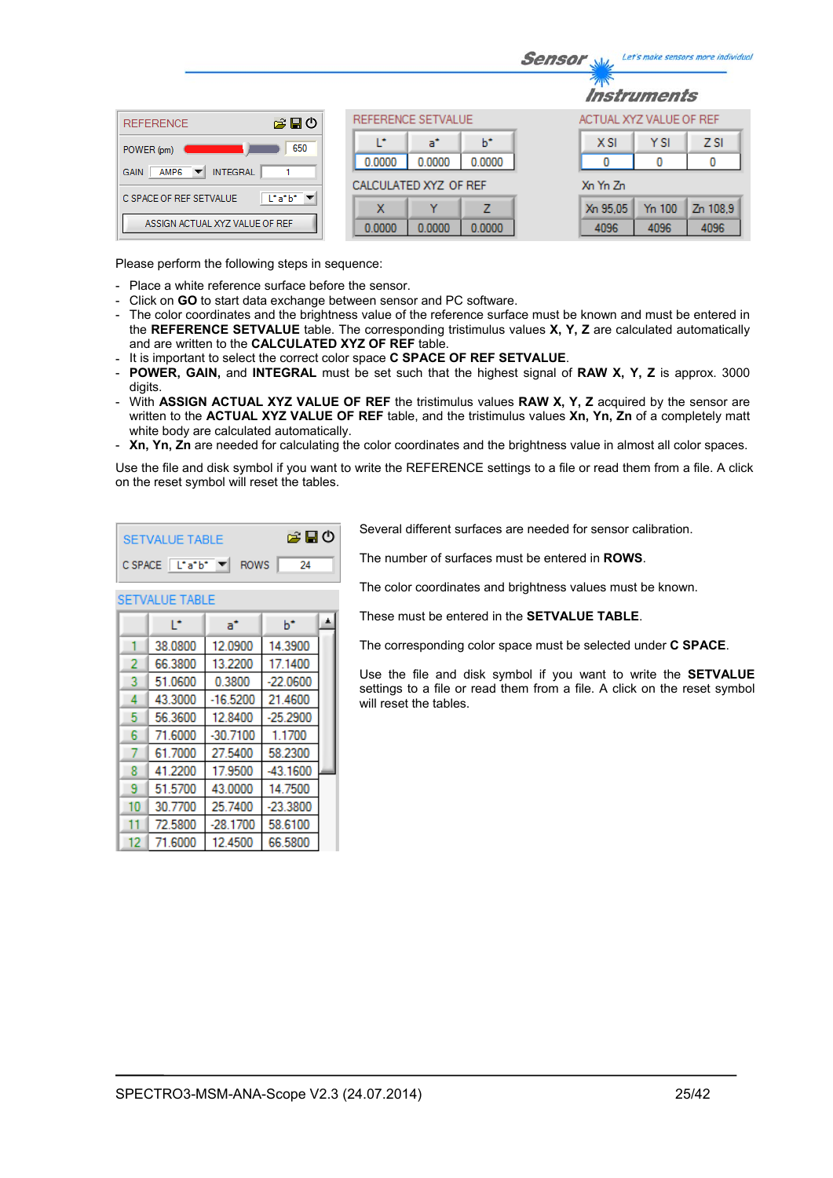|                                                                    |                            | Let's make sensors more individua<br><b>Sensor</b> |
|--------------------------------------------------------------------|----------------------------|----------------------------------------------------|
|                                                                    |                            | <i><b>Instruments</b></i>                          |
| 合日の<br><b>REFERENCE</b>                                            | REFERENCE SETVALUE         | ACTUAL XYZ VALUE OF REF                            |
| 650<br>POWER (pm)                                                  | ь<br>r<br>a°               | <b>YSI</b><br>Z <sub>SI</sub><br><b>XSI</b>        |
| <b>INTEGRAL</b><br>AMP <sub>6</sub><br><b>GAIN</b><br>▼            | 0.0000<br>0.0000<br>0.0000 | 0<br>0                                             |
|                                                                    | CALCULATED XYZ OF REF      | Xn Yn Zn                                           |
| $\lfloor \cdot a \cdot b \cdot \rfloor$<br>C SPACE OF REF SETVALUE | v<br>7<br>x                | Y <sub>n</sub> 100<br>Zn 108.9<br>Xn 95,05         |
| ASSIGN ACTUAL XYZ VALUE OF REF                                     | 0.0000<br>0.0000<br>0.0000 | 4096<br>4096<br>4096                               |

Please perform the following steps in sequence:

- Place a white reference surface before the sensor.
- Click on **GO** to start data exchange between sensor and PC software.
- The color coordinates and the brightness value of the reference surface must be known and must be entered in the **REFERENCE SETVALUE** table. The corresponding tristimulus values **X, Y, Z** are calculated automatically and are written to the **CALCULATED XYZ OF REF** table.
- It is important to select the correct color space **C SPACE OF REF SETVALUE**.

A

 $b^*$ 

- **POWER, GAIN,** and **INTEGRAL** must be set such that the highest signal of **RAW X, Y, Z** is approx. 3000 digits.
- With **ASSIGN ACTUAL XYZ VALUE OF REF** the tristimulus values **RAW X, Y, Z** acquired by the sensor are written to the **ACTUAL XYZ VALUE OF REF** table, and the tristimulus values **Xn, Yn, Zn** of a completely matt white body are calculated automatically.
- **Xn, Yn, Zn** are needed for calculating the color coordinates and the brightness value in almost all color spaces.

Use the file and disk symbol if you want to write the REFERENCE settings to a file or read them from a file. A click on the reset symbol will reset the tables.

| SETVALUE TABLE                                                        | 第日の |     |
|-----------------------------------------------------------------------|-----|-----|
| $C$ SPACE $\boxed{\begin{bmatrix} \bot^* a^* b^* \end{bmatrix}}$ ROWS |     | -24 |

 $a^*$ 

**SETVALUE TABLE** 

Ŀ.

Several different surfaces are needed for sensor calibration.

The number of surfaces must be entered in **ROWS**.

The color coordinates and brightness values must be known.

These must be entered in the **SETVALUE TABLE**.

The corresponding color space must be selected under **C SPACE**.

Use the file and disk symbol if you want to write the **SETVALUE** settings to a file or read them from a file. A click on the reset symbol will reset the tables.

|    | 38.0800 | 12.0900    | 14.3900    |  |
|----|---------|------------|------------|--|
| 2  | 66.3800 | 13.2200    | 17.1400    |  |
| 3  | 51.0600 | 0.3800     | $-22.0600$ |  |
| 4  | 43.3000 | $-16.5200$ | 21.4600    |  |
| 5  | 56.3600 | 12.8400    | $-25.2900$ |  |
| 6  | 71.6000 | $-30.7100$ | 1.1700     |  |
|    | 61.7000 | 27.5400    | 58.2300    |  |
| 8  | 41.2200 | 17.9500    | $-43.1600$ |  |
| 9  | 51.5700 | 43.0000    | 14.7500    |  |
| 10 | 30.7700 | 25.7400    | $-23.3800$ |  |
| 11 | 72.5800 | $-28.1700$ | 58.6100    |  |
| 12 | 71.6000 | 12.4500    | 66.5800    |  |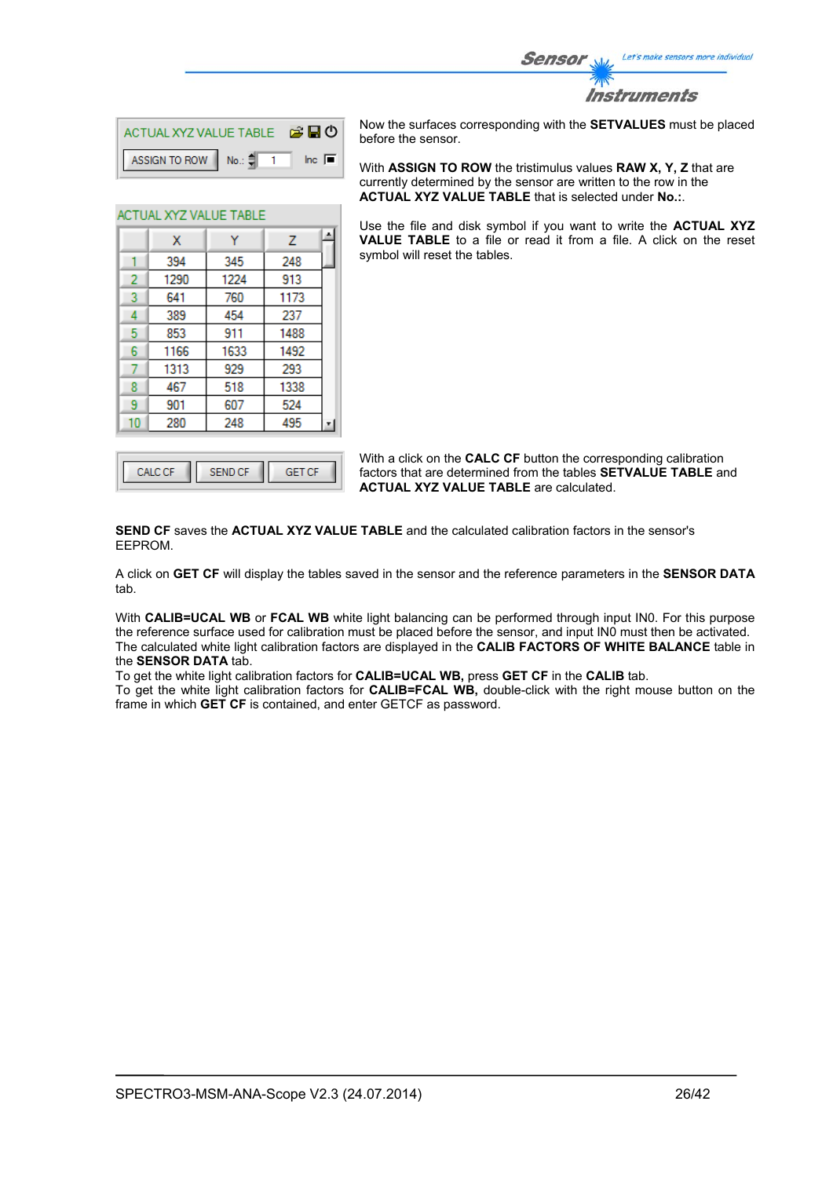![](_page_25_Picture_0.jpeg)

| ACTUAL XYZ VALUE TABLE <b>B D</b>  |  |                |
|------------------------------------|--|----------------|
| ASSIGN TO ROW No.: $\frac{4}{3}$ 1 |  | $\ln c$ $\Box$ |

Ÿ

345

1224

760

454

911

1633

929

518

607

248

A

 $\overline{z}$ 

248

913

1173

237

1488

1492

293

1338 524

495

**ACTUAL XYZ VALUE TABLE** 

 $\mathbf{x}$ 

394

1290

641

389

853

1166

1313

467

901

280

1  $\overline{2}$ 

3

 $\overline{4}$ 

5

6

7

8

9

 $10$ 

Now the surfaces corresponding with the **SETVALUES** must be placed before the sensor.

With **ASSIGN TO ROW** the tristimulus values **RAW X, Y, Z** that are currently determined by the sensor are written to the row in the **ACTUAL XYZ VALUE TABLE** that is selected under **No.:**.

Use the file and disk symbol if you want to write the **ACTUAL XYZ VALUE TABLE** to a file or read it from a file. A click on the reset symbol will reset the tables.

With a click on the **CALC CF** button the corresponding calibration factors that are determined from the tables **SETVALUE TABLE** and **ACTUAL XYZ VALUE TABLE** are calculated.

**SEND CF** saves the **ACTUAL XYZ VALUE TABLE** and the calculated calibration factors in the sensor's EEPROM.

A click on **GET CF** will display the tables saved in the sensor and the reference parameters in the **SENSOR DATA** tab.

With **CALIB=UCAL WB** or **FCAL WB** white light balancing can be performed through input IN0. For this purpose the reference surface used for calibration must be placed before the sensor, and input IN0 must then be activated. The calculated white light calibration factors are displayed in the **CALIB FACTORS OF WHITE BALANCE** table in the **SENSOR DATA** tab.

To get the white light calibration factors for **CALIB=UCAL WB,** press **GET CF** in the **CALIB** tab.

To get the white light calibration factors for **CALIB=FCAL WB,** double-click with the right mouse button on the frame in which **GET CF** is contained, and enter GETCF as password.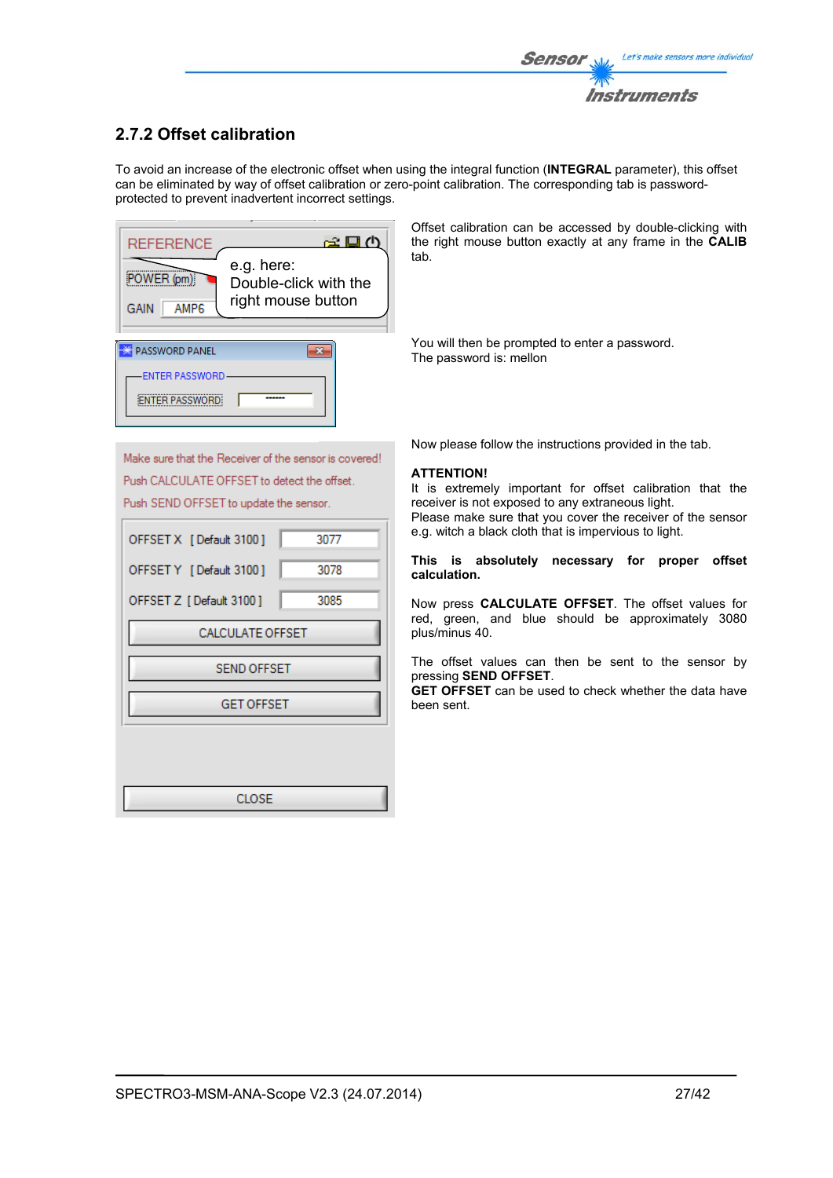# **2.7.2 Offset calibration**

To avoid an increase of the electronic offset when using the integral function (**INTEGRAL** parameter), this offset can be eliminated by way of offset calibration or zero-point calibration. The corresponding tab is passwordprotected to prevent inadvertent incorrect settings.

![](_page_26_Picture_3.jpeg)

Offset calibration can be accessed by double-clicking with the right mouse button exactly at any frame in the **CALIB** tab.

You will then be prompted to enter a password. The password is: mellon

Make sure that the Receiver of the sensor is covered! Push CALCULATE OFFSET to detect the offset. Push SEND OFFSET to update the sensor.

| OFFSET X [Default 3100] | 3077 |
|-------------------------|------|
| OFFSET Y [Default 3100] | 3078 |
| OFFSET Z [Default 3100] | 3085 |
| <b>CALCULATE OFFSET</b> |      |
| <b>SEND OFFSET</b>      |      |
| <b>GET OFFSET</b>       |      |
|                         |      |
|                         |      |
| CLOSE                   |      |

Now please follow the instructions provided in the tab.

#### **ATTENTION!**

It is extremely important for offset calibration that the receiver is not exposed to any extraneous light. Please make sure that you cover the receiver of the sensor e.g. witch a black cloth that is impervious to light.

#### **This is absolutely necessary for proper offset calculation.**

Now press **CALCULATE OFFSET**. The offset values for red, green, and blue should be approximately 3080 plus/minus 40.

The offset values can then be sent to the sensor by pressing **SEND OFFSET**.

**GET OFFSET** can be used to check whether the data have been sent.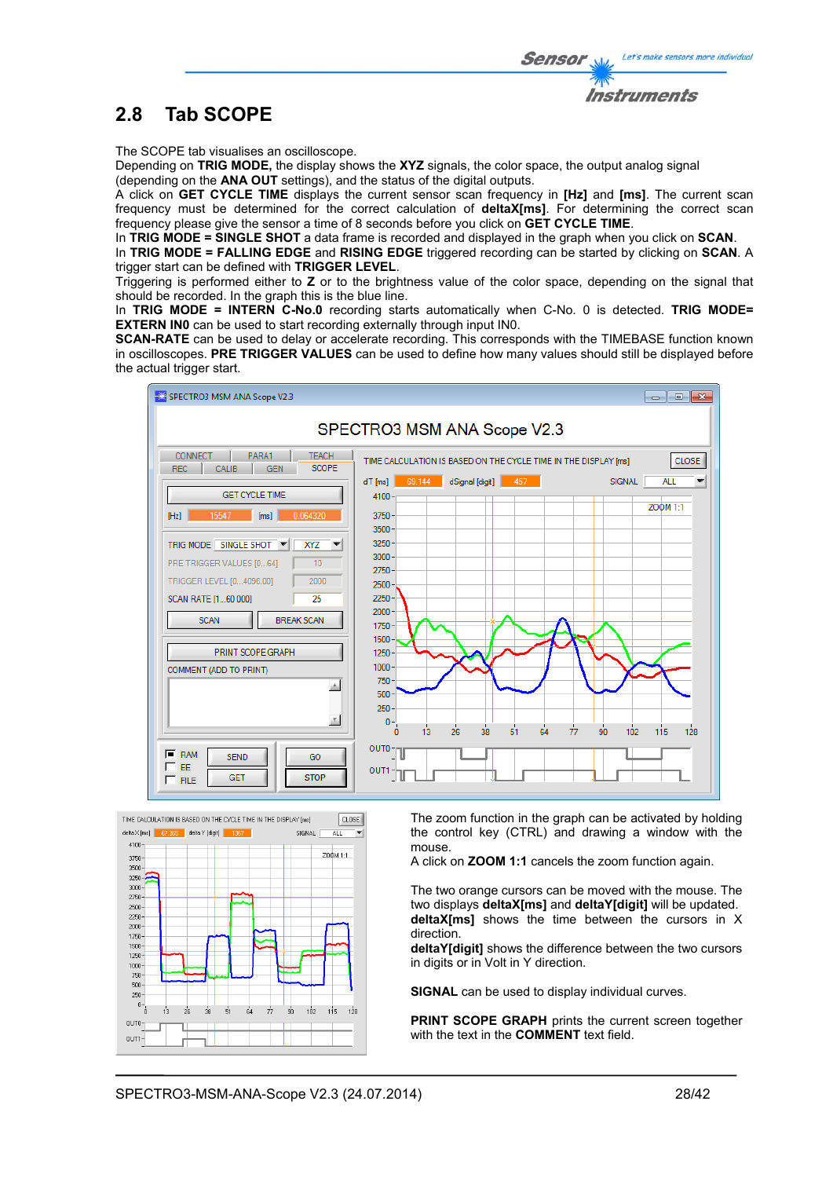![](_page_27_Picture_1.jpeg)

Instruments

The SCOPE tab visualises an oscilloscope.

Depending on **TRIG MODE,** the display shows the **XYZ** signals, the color space, the output analog signal (depending on the **ANA OUT** settings), and the status of the digital outputs.

A click on **GET CYCLE TIME** displays the current sensor scan frequency in **[Hz]** and **[ms]**. The current scan frequency must be determined for the correct calculation of **deltaX[ms]**. For determining the correct scan frequency please give the sensor a time of 8 seconds before you click on **GET CYCLE TIME**.

In **TRIG MODE = SINGLE SHOT** a data frame is recorded and displayed in the graph when you click on **SCAN**.

In **TRIG MODE = FALLING EDGE** and **RISING EDGE** triggered recording can be started by clicking on **SCAN**. A trigger start can be defined with **TRIGGER LEVEL**.

Triggering is performed either to **Z** or to the brightness value of the color space, depending on the signal that should be recorded. In the graph this is the blue line.

In **TRIG MODE = INTERN C-No.0** recording starts automatically when C-No. 0 is detected. **TRIG MODE= EXTERN IN0** can be used to start recording externally through input IN0.

**SCAN-RATE** can be used to delay or accelerate recording. This corresponds with the TIMEBASE function known in oscilloscopes. **PRE TRIGGER VALUES** can be used to define how many values should still be displayed before the actual trigger start.

![](_page_27_Figure_10.jpeg)

![](_page_27_Figure_11.jpeg)

The zoom function in the graph can be activated by holding the control key (CTRL) and drawing a window with the mouse.

A click on **ZOOM 1:1** cancels the zoom function again.

The two orange cursors can be moved with the mouse. The two displays **deltaX[ms]** and **deltaY[digit]** will be updated. **deltaX[ms]** shows the time between the cursors in X direction.

**deltaY[digit]** shows the difference between the two cursors in digits or in Volt in Y direction.

**SIGNAL** can be used to display individual curves.

**PRINT SCOPE GRAPH** prints the current screen together with the text in the **COMMENT** text field.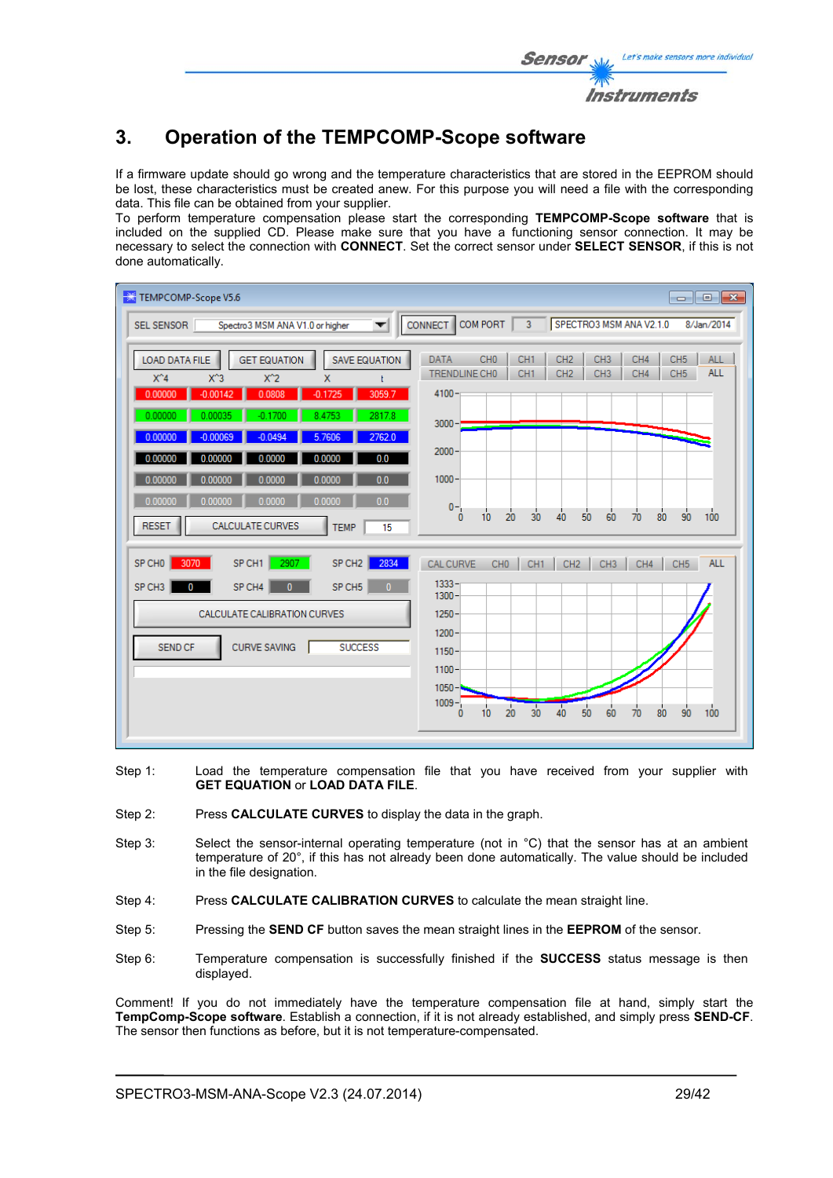# **3. Operation of the TEMPCOMP-Scope software**

If a firmware update should go wrong and the temperature characteristics that are stored in the EEPROM should be lost, these characteristics must be created anew. For this purpose you will need a file with the corresponding data. This file can be obtained from your supplier.

To perform temperature compensation please start the corresponding **TEMPCOMP-Scope software** that is included on the supplied CD. Please make sure that you have a functioning sensor connection. It may be necessary to select the connection with **CONNECT**. Set the correct sensor under **SELECT SENSOR**, if this is not done automatically.

| TEMPCOMP-Scope V5.6                                                                                                                                                                                                                                                             | $\begin{array}{c c c c c c} \hline \multicolumn{3}{c }{\mathbf{C}} & \multicolumn{3}{c }{\mathbf{X}} \end{array}$                                                                                                                                                         |
|---------------------------------------------------------------------------------------------------------------------------------------------------------------------------------------------------------------------------------------------------------------------------------|---------------------------------------------------------------------------------------------------------------------------------------------------------------------------------------------------------------------------------------------------------------------------|
| SEL SENSOR<br>Spectro3 MSM ANA V1.0 or higher<br>▼                                                                                                                                                                                                                              | COM PORT<br>CONNECT<br>$\overline{3}$<br>SPECTRO3 MSM ANA V2.1.0<br>8/Jan/2014                                                                                                                                                                                            |
| <b>LOAD DATA FILE</b><br><b>GET EQUATION</b><br><b>SAVE EQUATION</b><br>$X^4$<br>$X^3$<br>$X^2$<br>x<br>$-0.00142$<br>0.0808<br>3059.7<br>0.00000<br>$-0.1725$<br>0.00035<br>2817.8<br>0.00000<br>$-0.1700$<br>8.4753<br>0.00000<br>$-0.00069$<br>$-0.0494$<br>5.7606<br>2762.0 | CH <sub>0</sub><br>CH <sub>1</sub><br>CH <sub>3</sub><br>CH4<br>CH <sub>5</sub><br><b>DATA</b><br>CH <sub>2</sub><br><b>ALL</b><br><b>ALL</b><br>TRENDLINE CHO<br>CH <sub>1</sub><br>CH <sub>2</sub><br>CH <sub>3</sub><br>CH4<br>CH <sub>5</sub><br>$4100 -$<br>$3000 -$ |
| 0.0<br>0.00000<br>0.0000<br>0.0000<br>0.00000<br>0.0<br>0.00000<br>0.0000<br>0.00000<br>0.0000                                                                                                                                                                                  | $2000 -$<br>$1000 -$                                                                                                                                                                                                                                                      |
| 0.0000<br>0.0<br>0.00000<br>0.00000<br>0.0000<br><b>CALCULATE CURVES</b><br><b>RESET</b><br><b>TEMP</b><br>15                                                                                                                                                                   | $0 -$<br>90<br>100<br>30<br>50<br>70<br>10<br>20<br>40<br>60<br>80<br>0                                                                                                                                                                                                   |
| 2907<br>SP CH1<br>SP CH <sub>2</sub><br>2834<br>SP CHO<br>3070                                                                                                                                                                                                                  | <b>CAL CURVE</b><br>CH <sub>0</sub><br>CH <sub>1</sub><br>CH <sub>2</sub><br><b>ALL</b><br>CH <sub>3</sub><br>CH4<br>CH <sub>5</sub>                                                                                                                                      |
| SP CH <sub>3</sub><br>SP CH4<br>SP CH5<br>$\mathbf{0}$<br>$\mathbf{0}$<br>$\Omega$                                                                                                                                                                                              | $1333 -$<br>$1300 -$                                                                                                                                                                                                                                                      |
| CALCULATE CALIBRATION CURVES                                                                                                                                                                                                                                                    | $1250 -$                                                                                                                                                                                                                                                                  |
| <b>CURVE SAVING</b><br><b>SEND CF</b><br><b>SUCCESS</b>                                                                                                                                                                                                                         | $1200 -$<br>$1150 -$<br>$1100 -$                                                                                                                                                                                                                                          |
|                                                                                                                                                                                                                                                                                 | $1050 -$<br>$1009 -$<br>40<br>20<br>30<br>50<br>90<br>100<br>10<br>60<br>80<br>70<br>0                                                                                                                                                                                    |

- Step 1: Load the temperature compensation file that you have received from your supplier with **GET EQUATION** or **LOAD DATA FILE**.
- Step 2: Press **CALCULATE CURVES** to display the data in the graph.
- Step 3: Select the sensor-internal operating temperature (not in °C) that the sensor has at an ambient temperature of 20°, if this has not already been done automatically. The value should be included in the file designation.
- Step 4: Press **CALCULATE CALIBRATION CURVES** to calculate the mean straight line.
- Step 5: Pressing the **SEND CF** button saves the mean straight lines in the **EEPROM** of the sensor.
- Step 6: Temperature compensation is successfully finished if the **SUCCESS** status message is then displayed.

Comment! If you do not immediately have the temperature compensation file at hand, simply start the **TempComp-Scope software**. Establish a connection, if it is not already established, and simply press **SEND-CF**. The sensor then functions as before, but it is not temperature-compensated.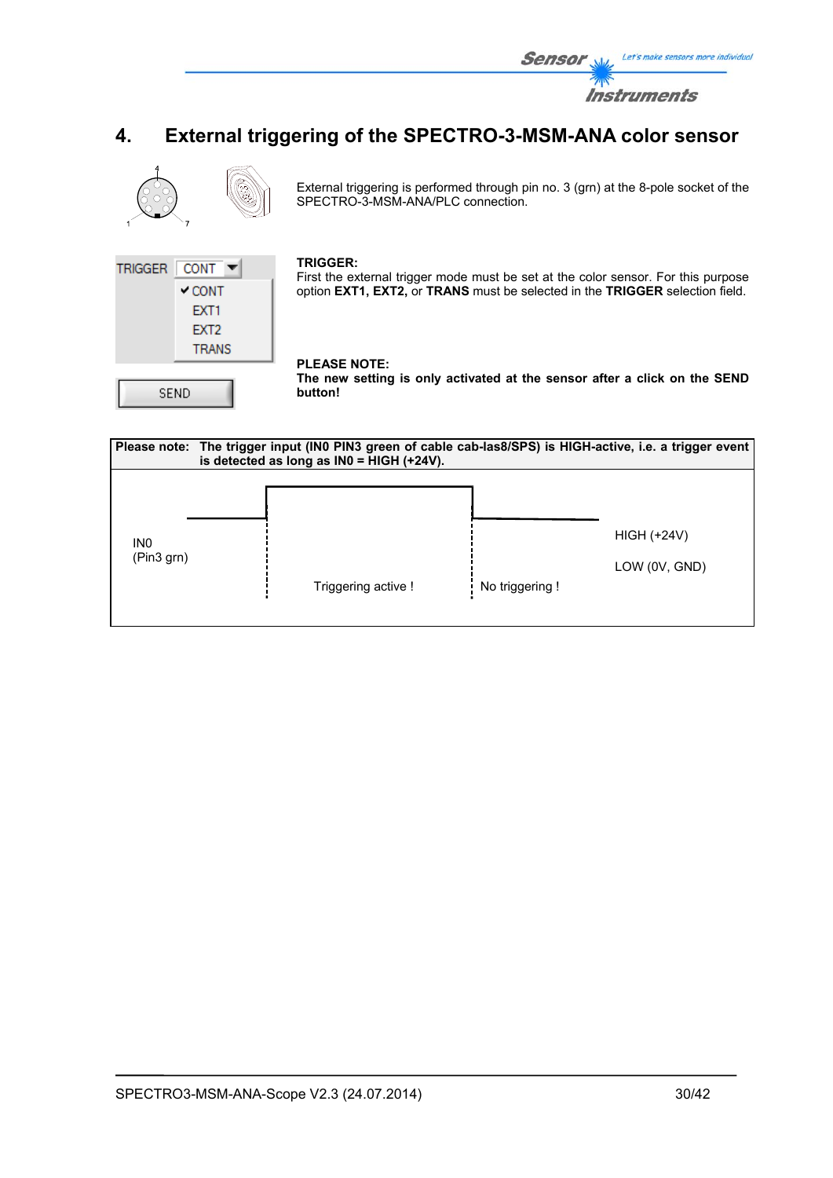![](_page_29_Picture_0.jpeg)

# **4. External triggering of the SPECTRO-3-MSM-ANA color sensor**

![](_page_29_Picture_2.jpeg)

External triggering is performed through pin no. 3 (grn) at the 8-pole socket of the SPECTRO-3-MSM-ANA/PLC connection.

![](_page_29_Picture_4.jpeg)

#### **TRIGGER:**

First the external trigger mode must be set at the color sensor. For this purpose option **EXT1, EXT2,** or **TRANS** must be selected in the **TRIGGER** selection field.

# **PLEASE NOTE:**

**The new setting is only activated at the sensor after a click on the SEND button!** 

![](_page_29_Figure_9.jpeg)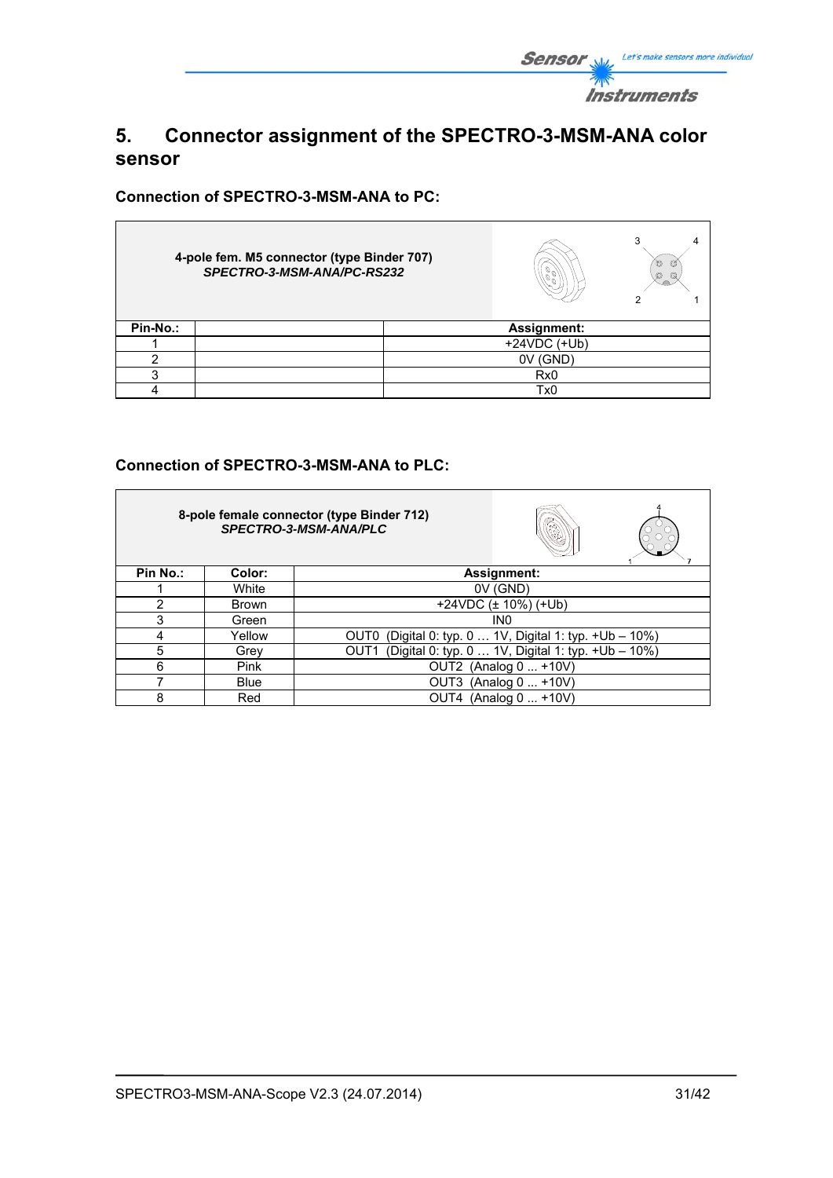![](_page_30_Picture_0.jpeg)

# **5. Connector assignment of the SPECTRO-3-MSM-ANA color sensor**

**Connection of SPECTRO-3-MSM-ANA to PC:** 

|          | 4-pole fem. M5 connector (type Binder 707)<br>SPECTRO-3-MSM-ANA/PC-RS232 |                 | 3<br>O<br>O<br>Ø<br>Q |
|----------|--------------------------------------------------------------------------|-----------------|-----------------------|
| Pin-No.: |                                                                          | Assignment:     |                       |
|          |                                                                          | $+24VDC$ (+Ub)  |                       |
|          |                                                                          | 0V (GND)        |                       |
| ◠        |                                                                          | Rx <sub>0</sub> |                       |
|          |                                                                          | Tx0             |                       |

# **Connection of SPECTRO-3-MSM-ANA to PLC:**

|               |              | 8-pole female connector (type Binder 712)<br>SPECTRO-3-MSM-ANA/PLC |
|---------------|--------------|--------------------------------------------------------------------|
| Pin No.:      | Color:       | Assignment:                                                        |
|               | White        | 0V (GND)                                                           |
| $\mathcal{P}$ | <b>Brown</b> | +24VDC $(\pm 10\%)$ (+Ub)                                          |
| 3             | Green        | IN <sub>0</sub>                                                    |
| 4             | Yellow       | OUT0 (Digital 0: typ. 0  1V, Digital 1: typ. +Ub - 10%)            |
| 5             | Grey         | (Digital 0: typ. 0  1V, Digital 1: typ. +Ub - 10%)<br>OUT1         |
| 6             | <b>Pink</b>  | OUT2 (Analog 0  +10V)                                              |
|               | <b>Blue</b>  | OUT3 (Analog 0  +10V)                                              |
| 8             | Red          | OUT4 (Analog 0  +10V)                                              |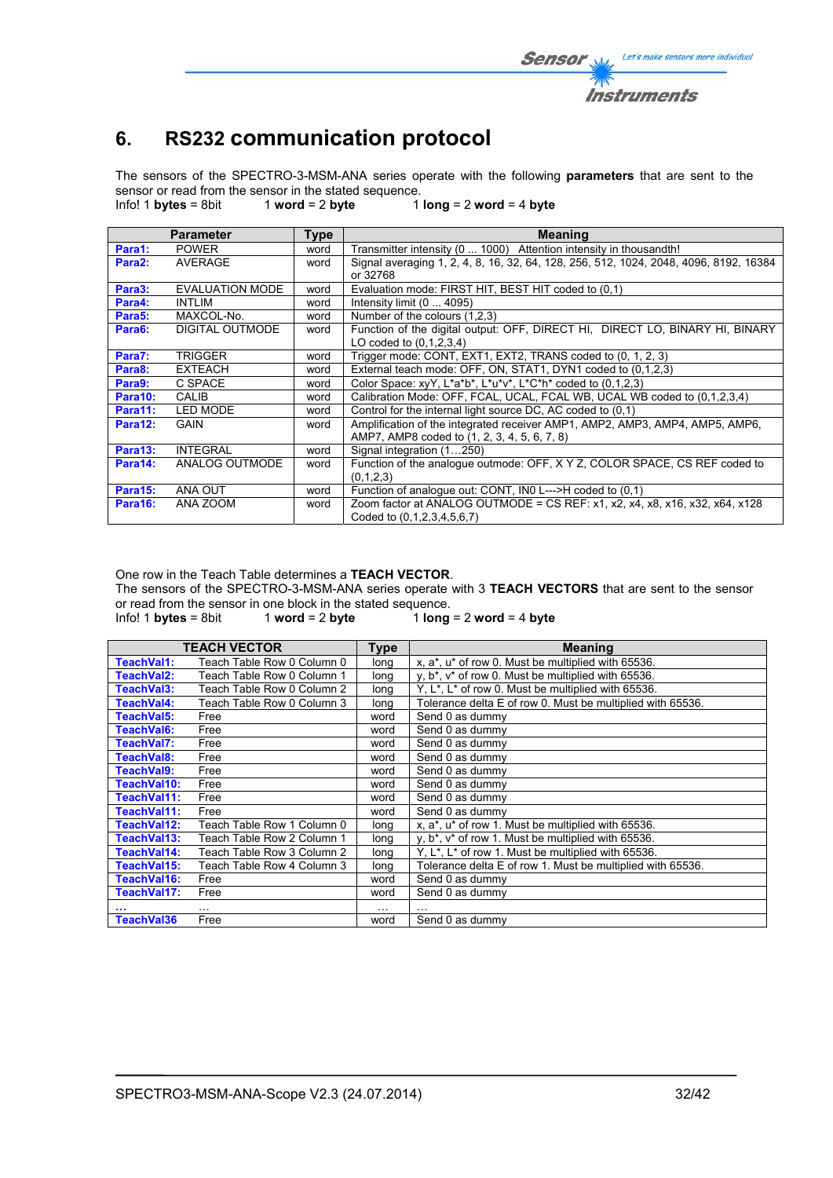# **6. RS232 communication protocol**

The sensors of the SPECTRO-3-MSM-ANA series operate with the following **parameters** that are sent to the sensor or read from the sensor in the stated sequence.<br>Info! 1 bytes = 8bit 1 word = 2 byte 1

Info! 1 **bytes** = 8bit 1 **word** = 2 **byte** 1 **long** = 2 **word** = 4 **byte**

|                     | <b>Parameter</b> | <b>Type</b> | <b>Meaning</b>                                                                                            |
|---------------------|------------------|-------------|-----------------------------------------------------------------------------------------------------------|
| Para1:              | <b>POWER</b>     | word        | Transmitter intensity (0  1000) Attention intensity in thousandth!                                        |
| Para2:              | AVERAGE          | word        | Signal averaging 1, 2, 4, 8, 16, 32, 64, 128, 256, 512, 1024, 2048, 4096, 8192, 16384                     |
|                     |                  |             | or 32768                                                                                                  |
| Para3:              | EVALUATION MODE  | word        | Evaluation mode: FIRST HIT, BEST HIT coded to (0.1)                                                       |
| Para4:              | <b>INTLIM</b>    | word        | Intensity limit (0  4095)                                                                                 |
| Para <sub>5</sub> : | MAXCOL-No.       | word        | Number of the colours (1.2.3)                                                                             |
| Para6:              | DIGITAL OUTMODE  | word        | Function of the digital output: OFF, DIRECT HI, DIRECT LO, BINARY HI, BINARY                              |
|                     |                  |             | LO coded to (0,1,2,3,4)                                                                                   |
| Para7:              | <b>TRIGGER</b>   | word        | Trigger mode: CONT, EXT1, EXT2, TRANS coded to (0, 1, 2, 3)                                               |
| Para8:              | <b>EXTEACH</b>   | word        | External teach mode: OFF, ON, STAT1, DYN1 coded to (0.1.2.3)                                              |
| Para9:              | C SPACE          | word        | Color Space: $xyY$ , $L^*a^*b^*$ , $L^*u^*v^*$ , $L^*C^*h^*$ coded to (0,1,2,3)                           |
| Para10:             | <b>CALIB</b>     | word        | Calibration Mode: OFF, FCAL, UCAL, FCAL WB, UCAL WB coded to (0.1.2.3.4)                                  |
| Para11:             | <b>LED MODE</b>  | word        | Control for the internal light source DC, AC coded to (0,1)                                               |
| Para12:             | GAIN             | word        | Amplification of the integrated receiver AMP1, AMP2, AMP3, AMP4, AMP5, AMP6,                              |
|                     |                  |             | AMP7, AMP8 coded to (1, 2, 3, 4, 5, 6, 7, 8)                                                              |
| Para13:             | <b>INTEGRAL</b>  | word        | Signal integration (1250)                                                                                 |
| Para14:             | ANALOG OUTMODE   | word        | Function of the analogue outmode: OFF, X Y Z, COLOR SPACE, CS REF coded to                                |
|                     |                  |             | (0,1,2,3)                                                                                                 |
| Para15:             | ANA OUT          | word        | Function of analogue out: CONT, INO L--->H coded to (0.1)                                                 |
| Para16:             | ANA ZOOM         | word        | Zoom factor at ANALOG OUTMODE = CS REF: x1, x2, x4, x8, x16, x32, x64, x128<br>Coded to (0,1,2,3,4,5,6,7) |

One row in the Teach Table determines a **TEACH VECTOR**.

The sensors of the SPECTRO-3-MSM-ANA series operate with 3 **TEACH VECTORS** that are sent to the sensor or read from the sensor in one block in the stated sequence.<br>Info! 1 bytes = 8bit 1 word = 2 byte 1 long

 $1$  **long** = 2 **word** = 4 **byte** 

|                   | <b>TEACH VECTOR</b>        | <b>Type</b> | <b>Meaning</b>                                                              |
|-------------------|----------------------------|-------------|-----------------------------------------------------------------------------|
| TeachVal1:        | Teach Table Row 0 Column 0 | long        | x, a*, u* of row 0. Must be multiplied with 65536.                          |
| TeachVal2:        | Teach Table Row 0 Column 1 | long        | y, b <sup>*</sup> , v <sup>*</sup> of row 0. Must be multiplied with 65536. |
| TeachVal3:        | Teach Table Row 0 Column 2 | long        | Y, L <sup>*</sup> , L <sup>*</sup> of row 0. Must be multiplied with 65536. |
| TeachVal4:        | Teach Table Row 0 Column 3 | long        | Tolerance delta E of row 0. Must be multiplied with 65536.                  |
| <b>TeachVal5:</b> | Free                       | word        | Send 0 as dummy                                                             |
| TeachVal6:        | Free                       | word        | Send 0 as dummy                                                             |
| <b>TeachVal7:</b> | Free                       | word        | Send 0 as dummy                                                             |
| TeachVal8:        | Free                       | word        | Send 0 as dummy                                                             |
| TeachVal9:        | Free                       | word        | Send 0 as dummy                                                             |
| TeachVal10:       | Free                       | word        | Send 0 as dummy                                                             |
| TeachVal11:       | Free                       | word        | Send 0 as dummy                                                             |
| TeachVal11:       | Free                       | word        | Send 0 as dummy                                                             |
| TeachVal12:       | Teach Table Row 1 Column 0 | long        | x, a*, u* of row 1. Must be multiplied with 65536.                          |
| TeachVal13:       | Teach Table Row 2 Column 1 | long        | $y, b^*$ , $v^*$ of row 1. Must be multiplied with 65536.                   |
| TeachVal14:       | Teach Table Row 3 Column 2 | long        | Y, $L^*$ , $L^*$ of row 1. Must be multiplied with 65536.                   |
| TeachVal15:       | Teach Table Row 4 Column 3 | long        | Tolerance delta E of row 1. Must be multiplied with 65536.                  |
| TeachVal16:       | Free                       | word        | Send 0 as dummy                                                             |
| TeachVal17:       | Free                       | word        | Send 0 as dummy                                                             |
|                   | .                          | $\cdots$    |                                                                             |
| TeachVal36        | Free                       | word        | Send 0 as dummy                                                             |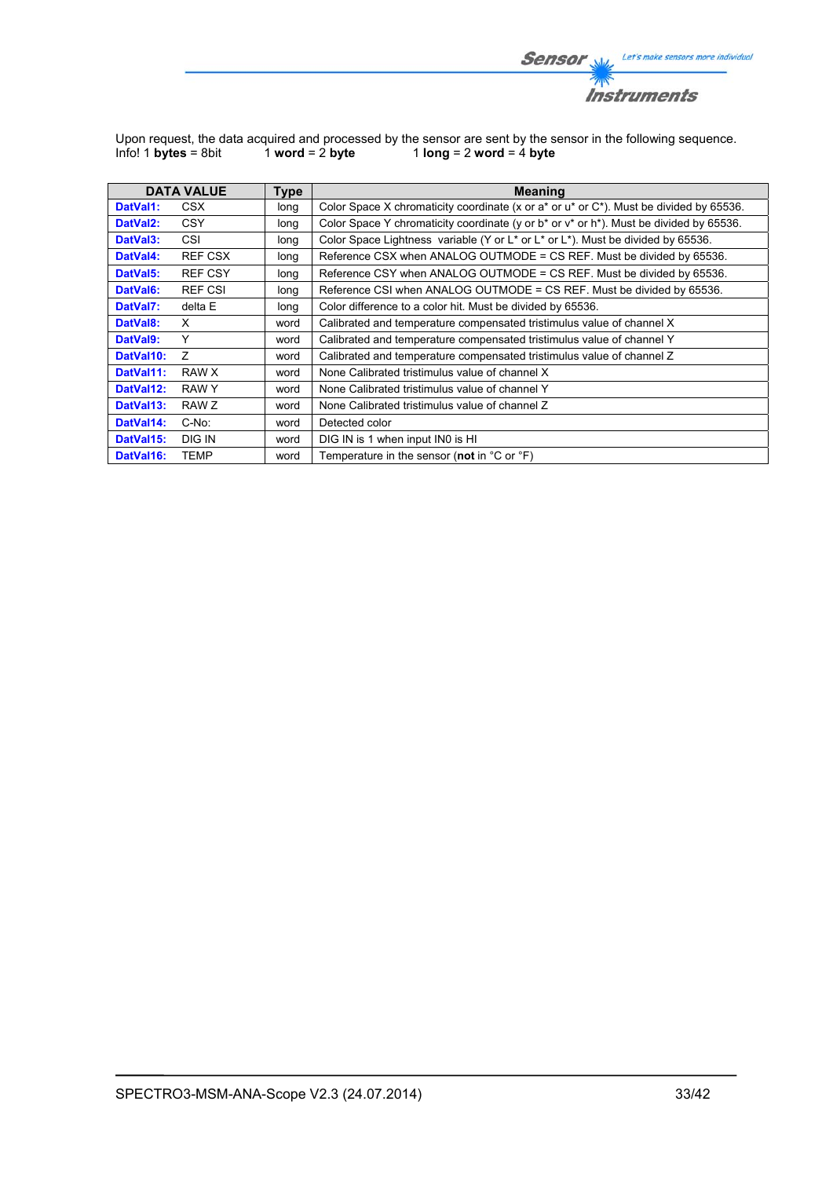![](_page_32_Picture_0.jpeg)

Upon request, the data acquired and processed by the sensor are sent by the sensor in the following sequence. Info! 1 **bytes** = 8bit 1 **word** = 2 **byte** 1 **long** = 2 **word** = 4 **byte**

|                       | <b>DATA VALUE</b> | Type | <b>Meaning</b>                                                                                   |
|-----------------------|-------------------|------|--------------------------------------------------------------------------------------------------|
| DatVal1:              | CSX               | long | Color Space X chromaticity coordinate (x or a* or $a^*$ or $C^*$ ). Must be divided by 65536.    |
| DatVal <sub>2</sub> : | <b>CSY</b>        | long | Color Space Y chromaticity coordinate (y or $b^*$ or $v^*$ or $h^*$ ). Must be divided by 65536. |
| DatVal3:              | <b>CSI</b>        | long | Color Space Lightness variable (Y or L* or L* or L*). Must be divided by 65536.                  |
| DatVal4:              | <b>REF CSX</b>    | long | Reference CSX when ANALOG OUTMODE = CS REF. Must be divided by 65536.                            |
| DatVal5:              | <b>REF CSY</b>    | long | Reference CSY when ANALOG OUTMODE = CS REF. Must be divided by 65536.                            |
| DatVal6:              | <b>REF CSI</b>    | long | Reference CSI when ANALOG OUTMODE = CS REF. Must be divided by 65536.                            |
| DatVal7:              | delta E           | long | Color difference to a color hit. Must be divided by 65536.                                       |
| DatVal8:              | X                 | word | Calibrated and temperature compensated tristimulus value of channel X                            |
| DatVal9:              | Y                 | word | Calibrated and temperature compensated tristimulus value of channel Y                            |
| DatVal10:             | $\overline{z}$    | word | Calibrated and temperature compensated tristimulus value of channel Z                            |
| DatVal11:             | RAW X             | word | None Calibrated tristimulus value of channel X                                                   |
| DatVal12:             | RAW Y             | word | None Calibrated tristimulus value of channel Y                                                   |
| DatVal13:             | RAW Z             | word | None Calibrated tristimulus value of channel Z                                                   |
| DatVal14:             | C-No:             | word | Detected color                                                                                   |
| DatVal15:             | <b>DIG IN</b>     | word | DIG IN is 1 when input IN0 is HI                                                                 |
| DatVal16:             | <b>TEMP</b>       | word | Temperature in the sensor (not in $^{\circ}$ C or $^{\circ}$ F)                                  |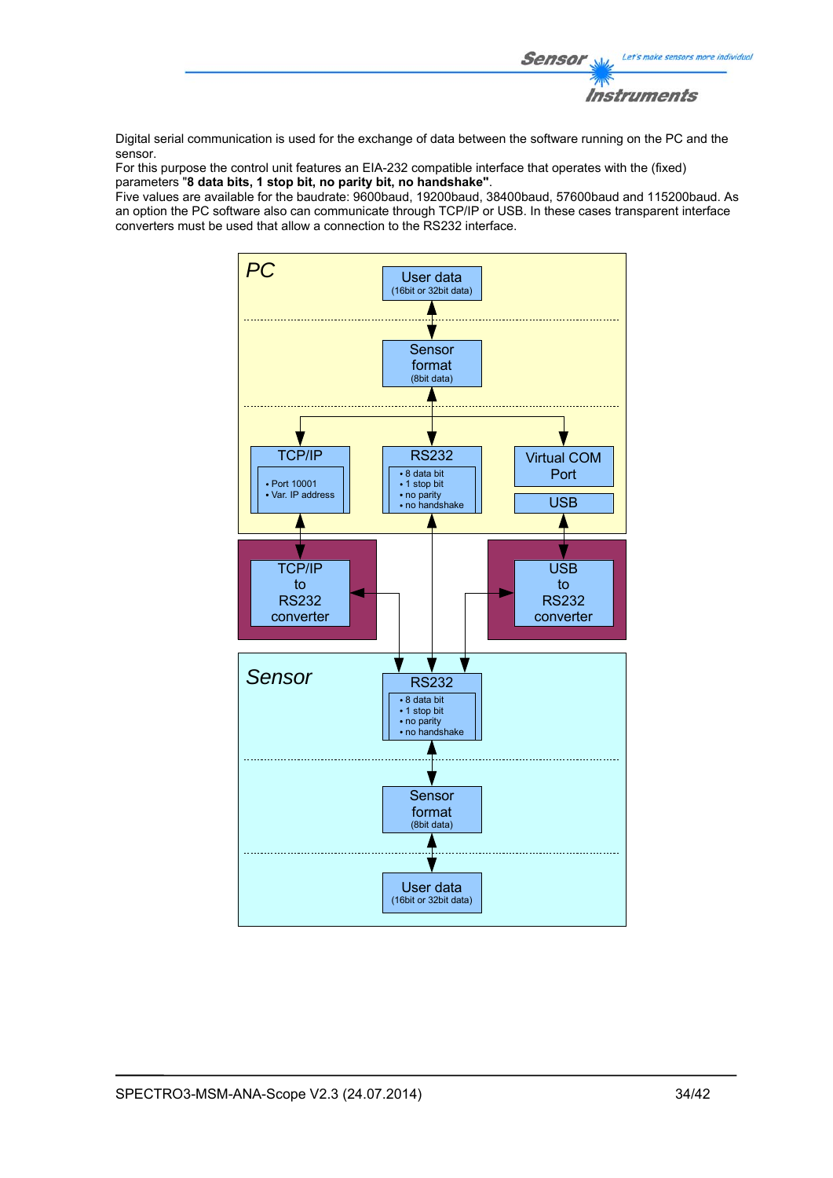![](_page_33_Picture_0.jpeg)

Digital serial communication is used for the exchange of data between the software running on the PC and the sensor.

For this purpose the control unit features an EIA-232 compatible interface that operates with the (fixed) parameters "**8 data bits, 1 stop bit, no parity bit, no handshake"**.

Five values are available for the baudrate: 9600baud, 19200baud, 38400baud, 57600baud and 115200baud. As an option the PC software also can communicate through TCP/IP or USB. In these cases transparent interface converters must be used that allow a connection to the RS232 interface.

![](_page_33_Figure_4.jpeg)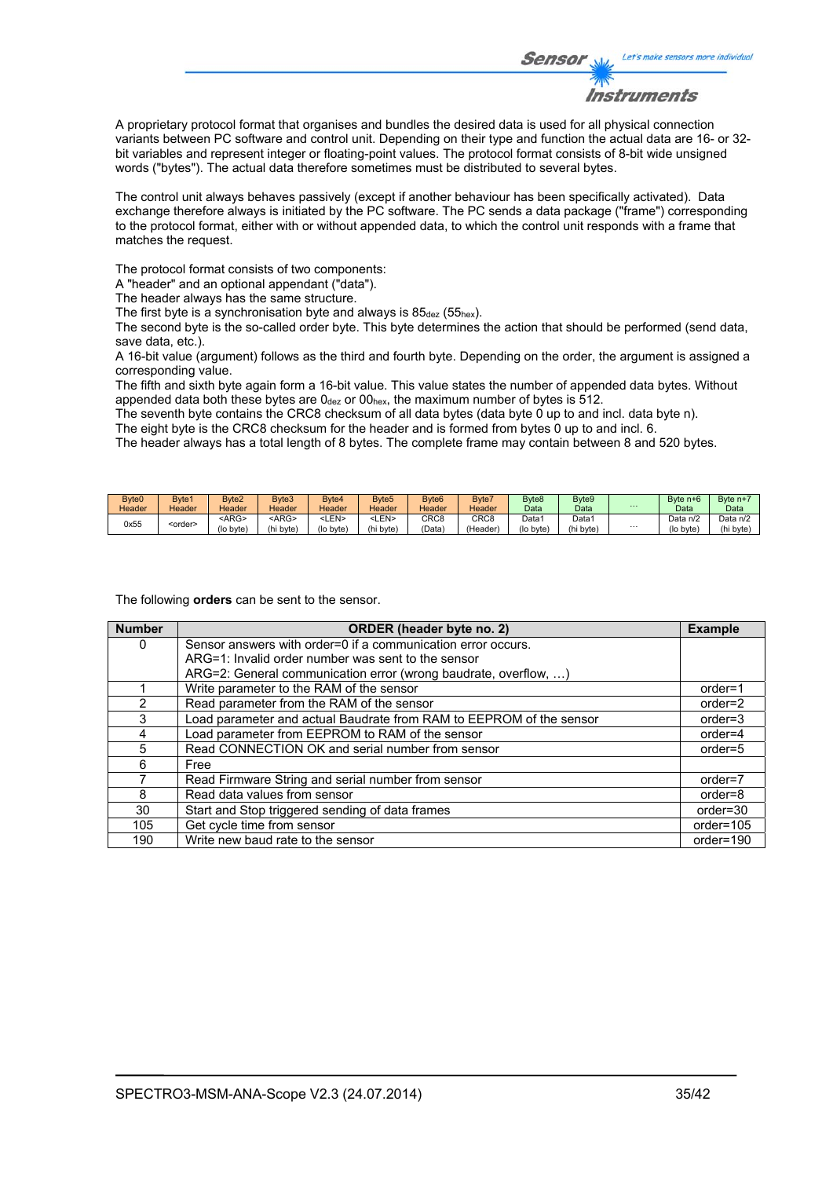![](_page_34_Picture_0.jpeg)

A proprietary protocol format that organises and bundles the desired data is used for all physical connection variants between PC software and control unit. Depending on their type and function the actual data are 16- or 32 bit variables and represent integer or floating-point values. The protocol format consists of 8-bit wide unsigned words ("bytes"). The actual data therefore sometimes must be distributed to several bytes.

The control unit always behaves passively (except if another behaviour has been specifically activated). Data exchange therefore always is initiated by the PC software. The PC sends a data package ("frame") corresponding to the protocol format, either with or without appended data, to which the control unit responds with a frame that matches the request.

The protocol format consists of two components:

A "header" and an optional appendant ("data").

The header always has the same structure.

The first byte is a synchronisation byte and always is  $85_{\text{dez}}$  (55<sub>hex</sub>).

The second byte is the so-called order byte. This byte determines the action that should be performed (send data, save data, etc.).

A 16-bit value (argument) follows as the third and fourth byte. Depending on the order, the argument is assigned a corresponding value.

The fifth and sixth byte again form a 16-bit value. This value states the number of appended data bytes. Without appended data both these bytes are  $0_{\text{dez}}$  or  $00_{\text{hex}}$ , the maximum number of bytes is 512.

The seventh byte contains the CRC8 checksum of all data bytes (data byte 0 up to and incl. data byte n).

The eight byte is the CRC8 checksum for the header and is formed from bytes 0 up to and incl. 6.

The header always has a total length of 8 bytes. The complete frame may contain between 8 and 520 bytes.

| Byte <sub>0</sub> | Byte1           | Byte2       | Byte3       | Byte4     | Byte <sub>5</sub> | Byte <sub>6</sub> | Byte7            | Byte8             | Byte9     |          | Byte $n+6$ | Byte $n+7$ |
|-------------------|-----------------|-------------|-------------|-----------|-------------------|-------------------|------------------|-------------------|-----------|----------|------------|------------|
| Header            | Header          | Header      | Header      | Header    | Header            | Header            | Header           | Data              | Data      | $\cdots$ | Data       | Data       |
| 0x55              |                 | <arg></arg> | <arg></arg> | -LEN>     | LEN>              | CRC8              | CRC <sub>8</sub> | Data <sup>®</sup> | Data1     |          | Data n/2   | Data n/2   |
|                   | <order></order> | (lo byte)   | (hi byte)   | (lo byte) | (hi byte)         | 'Data             | 'Header,         | (lo byte)         | (hi byte) | $\cdots$ | (lo byte   | (hi byte)  |

The following **orders** can be sent to the sensor.

| <b>Number</b> | ORDER (header byte no. 2)                                           | <b>Example</b> |
|---------------|---------------------------------------------------------------------|----------------|
| 0             | Sensor answers with order=0 if a communication error occurs.        |                |
|               | ARG=1: Invalid order number was sent to the sensor                  |                |
|               | ARG=2: General communication error (wrong baudrate, overflow, )     |                |
|               | Write parameter to the RAM of the sensor                            | $order=1$      |
| $\mathcal{P}$ | Read parameter from the RAM of the sensor                           | $order=2$      |
| 3             | Load parameter and actual Baudrate from RAM to EEPROM of the sensor | $order = 3$    |
| 4             | Load parameter from EEPROM to RAM of the sensor                     | $order=4$      |
| 5             | Read CONNECTION OK and serial number from sensor                    | $order=5$      |
| 6             | Free                                                                |                |
|               | Read Firmware String and serial number from sensor                  | order=7        |
| 8             | Read data values from sensor                                        | order=8        |
| 30            | Start and Stop triggered sending of data frames                     | $order = 30$   |
| 105           | Get cycle time from sensor                                          | order=105      |
| 190           | Write new baud rate to the sensor                                   | order=190      |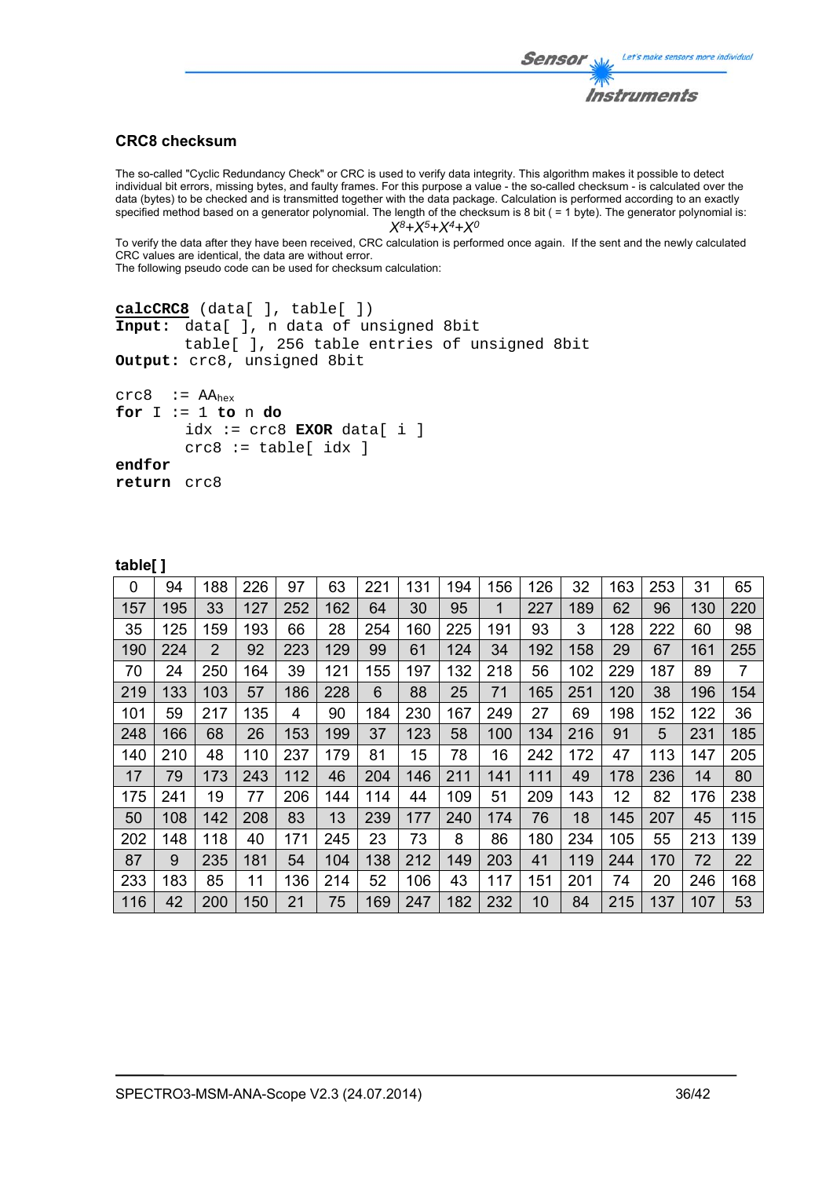# Let's make sensors more individual Sensor Instruments

# **CRC8 checksum**

The so-called "Cyclic Redundancy Check" or CRC is used to verify data integrity. This algorithm makes it possible to detect individual bit errors, missing bytes, and faulty frames. For this purpose a value - the so-called checksum - is calculated over the data (bytes) to be checked and is transmitted together with the data package. Calculation is performed according to an exactly specified method based on a generator polynomial. The length of the checksum is 8 bit ( = 1 byte). The generator polynomial is: *X8+X5+X4+X0*

To verify the data after they have been received, CRC calculation is performed once again. If the sent and the newly calculated CRC values are identical, the data are without error.

The following pseudo code can be used for checksum calculation:

```
calcCRC8 (data[ ], table[ ]) 
Input: data[ ], n data of unsigned 8bit 
         table[ ], 256 table entries of unsigned 8bit 
Output: crc8, unsigned 8bit 
crc8 := AA_{hex}for I := 1 to n do 
        idx := crc8 EXOR data[ i ]
```

```
 crc8 := table[ idx ] 
endfor
```

```
return crc8
```

| 0   | 94  | 188            | 226 | 97  | 63  | 221 | 131 | 194 | 156 | 126 | 32  | 163 | 253 | 31  | 65  |
|-----|-----|----------------|-----|-----|-----|-----|-----|-----|-----|-----|-----|-----|-----|-----|-----|
| 157 | 195 | 33             | 127 | 252 | 162 | 64  | 30  | 95  | 1   | 227 | 189 | 62  | 96  | 130 | 220 |
| 35  | 125 | 159            | 193 | 66  | 28  | 254 | 160 | 225 | 191 | 93  | 3   | 128 | 222 | 60  | 98  |
| 190 | 224 | $\overline{2}$ | 92  | 223 | 129 | 99  | 61  | 124 | 34  | 192 | 158 | 29  | 67  | 161 | 255 |
| 70  | 24  | 250            | 164 | 39  | 121 | 155 | 197 | 132 | 218 | 56  | 102 | 229 | 187 | 89  | 7   |
| 219 | 133 | 103            | 57  | 186 | 228 | 6   | 88  | 25  | 71  | 165 | 251 | 120 | 38  | 196 | 154 |
| 101 | 59  | 217            | 135 | 4   | 90  | 184 | 230 | 167 | 249 | 27  | 69  | 198 | 152 | 122 | 36  |
| 248 | 166 | 68             | 26  | 153 | 199 | 37  | 123 | 58  | 100 | 134 | 216 | 91  | 5   | 231 | 185 |
| 140 | 210 | 48             | 110 | 237 | 179 | 81  | 15  | 78  | 16  | 242 | 172 | 47  | 113 | 147 | 205 |
| 17  | 79  | 173            | 243 | 112 | 46  | 204 | 146 | 211 | 141 | 111 | 49  | 178 | 236 | 14  | 80  |
| 175 | 241 | 19             | 77  | 206 | 144 | 114 | 44  | 109 | 51  | 209 | 143 | 12  | 82  | 176 | 238 |
| 50  | 108 | 142            | 208 | 83  | 13  | 239 | 177 | 240 | 174 | 76  | 18  | 145 | 207 | 45  | 115 |
| 202 | 148 | 118            | 40  | 171 | 245 | 23  | 73  | 8   | 86  | 180 | 234 | 105 | 55  | 213 | 139 |
| 87  | 9   | 235            | 181 | 54  | 104 | 138 | 212 | 149 | 203 | 41  | 119 | 244 | 170 | 72  | 22  |
| 233 | 183 | 85             | 11  | 136 | 214 | 52  | 106 | 43  | 117 | 151 | 201 | 74  | 20  | 246 | 168 |
| 116 | 42  | 200            | 150 | 21  | 75  | 169 | 247 | 182 | 232 | 10  | 84  | 215 | 137 | 107 | 53  |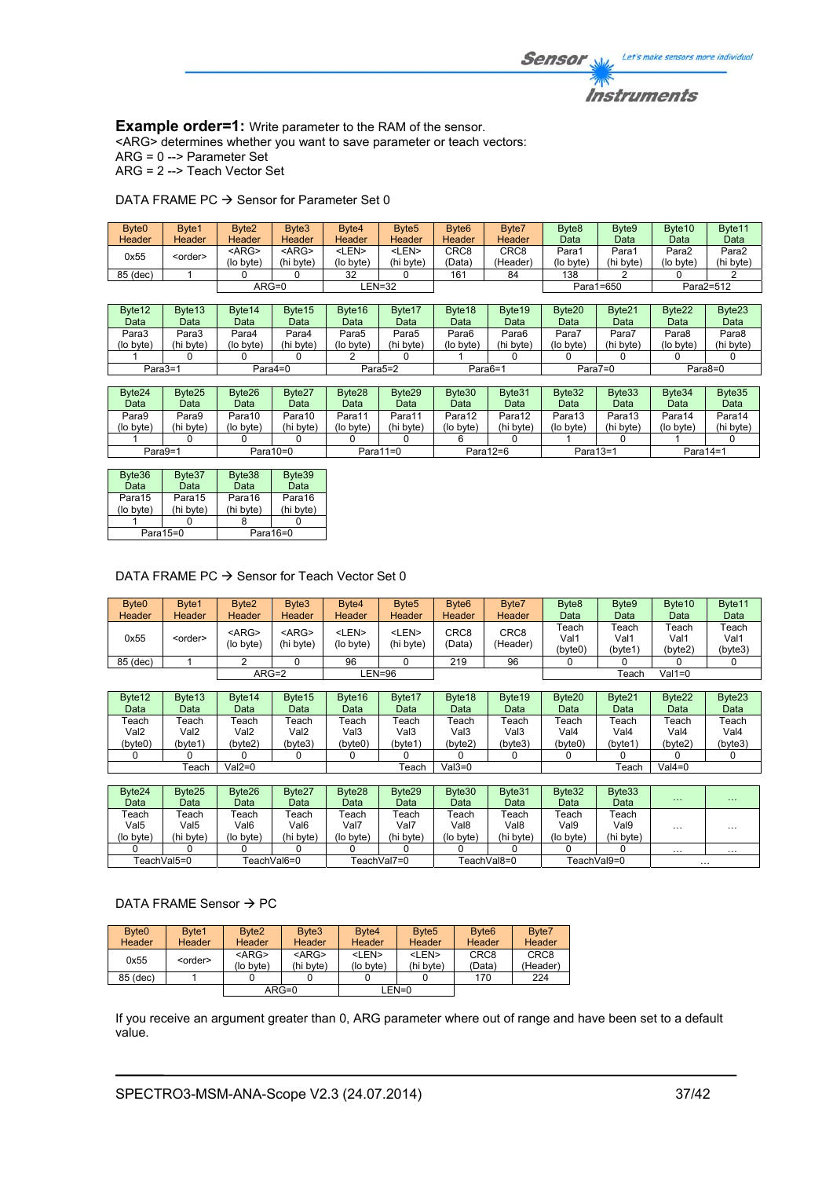**Example order=1:** Write parameter to the RAM of the sensor. <ARG> determines whether you want to save parameter or teach vectors: ARG = 0 --> Parameter Set

ARG = 2 --> Teach Vector Set

DATA FRAME PC  $\rightarrow$  Sensor for Parameter Set 0

| Byte <sub>0</sub> | Byte1              | Byte <sub>2</sub>  | Byte3              | Byte4       | Byte <sub>5</sub> | Byte <sub>6</sub> | Byte7            | Byte <sub>8</sub> | Byte9     | Byte10            | Byte11    |
|-------------------|--------------------|--------------------|--------------------|-------------|-------------------|-------------------|------------------|-------------------|-----------|-------------------|-----------|
| Header            | <b>Header</b>      | Header             | Header             | Header      | Header            | Header            | <b>Header</b>    | Data              | Data      | Data              | Data      |
| 0x55              |                    | $<$ ARG $>$        | $<$ ARG $>$        | <len></len> | <len></len>       | CRC <sub>8</sub>  | CRC <sub>8</sub> | Para1             | Para1     | Para <sub>2</sub> | Para2     |
|                   | <order></order>    | (lo byte)          | (hi byte)          | (lo byte)   | (hi byte)         | (Data)            | (Header)         | (lo byte)         | (hi byte) | (lo byte)         | (hi byte) |
| 85 (dec)          |                    |                    |                    | 32          |                   | 161               | 84               | 138               |           |                   |           |
|                   | $ARG=0$<br>LEN=32  |                    |                    |             |                   |                   |                  | Para1=650         |           | Para2=512         |           |
|                   |                    |                    |                    |             |                   |                   |                  |                   |           |                   |           |
| Byte12            | Byte <sub>13</sub> | Byte <sub>14</sub> | Byte <sub>15</sub> | Byte16      | Byte17            | Byte18            | Byte19           | Byte20            | Byte21    | Byte22            | Byte23    |
| Data              | Data               | Data               | Data               | Data        | Data              | Data              | Data             | Data              | Data      | Data              | Data      |
| Para3             | Para3              | Para4              | Para4              | Para5       | Para5             | Para6             | Para6            | Para7             | Para7     | Para8             | Para8     |
| (lo byte)         | (hi byte)          | (lo byte)          | (hi byte)          | (lo byte)   | (hi byte)         | (lo byte)         | (hi byte)        | (lo byte)         | (hi byte) | (lo byte)         | (hi byte) |
|                   |                    |                    |                    |             |                   |                   |                  |                   |           |                   |           |

| Byte24    | Byte25    | Byte26    | Byte27      | Byte28    | Byte29      | Byte30    | Byte31    | Byte32    | Byte33    | Byte34    | Byte35    |
|-----------|-----------|-----------|-------------|-----------|-------------|-----------|-----------|-----------|-----------|-----------|-----------|
| Data      | Data      | Data      | Data        | Data      | Data        | Data      | Data      | Data      | Data      | Data      | Data      |
| Para9     | Para9     | Para10    | Para10      | Para11    | Para11      | Para12    | Para12    | Para13    | Para13    | Para14    | Para14    |
| (lo byte) | (hi byte) | (lo byte) | (hi byte)   | (lo byte) | (hi byte)   | (lo byte) | (hi byte) | (lo byte) | (hi byte) | (lo bvte) | (hi byte) |
|           |           |           |             |           |             |           |           |           |           |           |           |
| Para9=1   |           |           | Para $10=0$ |           | Para $11=0$ | Para12=6  |           | Para13=1  |           | Para14=1  |           |

Para3=1 Para4=0 Para5=2 Para6=1 Para7=0 Para8=0

| Byte36    | Byte37    | Byte38    | Byte39      |
|-----------|-----------|-----------|-------------|
| Data      | Data      | Data      | Data        |
| Para15    | Para15    | Para16    | Para16      |
| (lo byte) | (hi byte) | (hi byte) | (hi byte)   |
|           |           |           |             |
|           | Para15=0  |           | Para $16=0$ |

DATA FRAME PC  $\rightarrow$  Sensor for Teach Vector Set 0

| Byte <sub>0</sub>  | Byte1              | Byte2                    | Byte3                    | Byte4                     | Byte <sub>5</sub>         | Byte <sub>6</sub>          | Byte7                        | Byte <sub>8</sub>        | Byte9                    | Byte <sub>10</sub>       | Byte11                   |
|--------------------|--------------------|--------------------------|--------------------------|---------------------------|---------------------------|----------------------------|------------------------------|--------------------------|--------------------------|--------------------------|--------------------------|
| Header             | Header             | Header                   | Header                   | Header                    | Header                    | Header                     | Header                       | Data                     | Data                     | Data                     | Data                     |
| 0x55               | <order></order>    | $<$ ARG $>$<br>(lo byte) | $<$ ARG $>$<br>(hi byte) | <len><br/>(lo byte)</len> | <len><br/>(hi byte)</len> | CRC <sub>8</sub><br>(Data) | CRC <sub>8</sub><br>(Header) | Геасһ<br>Val1<br>(bvte0) | Teach<br>Val1<br>(byte1) | Teach<br>Val1<br>(byte2) | Teach<br>Val1<br>(byte3) |
| 85 (dec)           |                    |                          |                          | 96                        |                           | 219                        | 96                           |                          |                          |                          |                          |
|                    |                    | $ARG=2$                  |                          |                           | LEN=96                    |                            |                              |                          | Геасһ                    | $Val1=0$                 |                          |
|                    |                    |                          |                          |                           |                           |                            |                              |                          |                          |                          |                          |
| Byte <sub>12</sub> | Byte <sub>13</sub> | Byte <sub>14</sub>       | Byte <sub>15</sub>       | Byte16                    | Byte17                    | Byte18                     | Byte <sub>19</sub>           | Byte20                   | Byte21                   | Byte22                   | Byte23                   |
| Data               | Data               | Data                     | Data                     | Data                      | Data                      | Data                       | Data                         | Data                     | Data                     | Data                     | Data                     |
| Teach              | Геасһ              | Геасһ                    | Teach                    | Teach                     | Teach                     | Teach                      | Teach                        | Teach                    | Геасһ                    | Teach                    | Teach                    |

|                  | <sup>-</sup> each | $Val2=0$         |         |         | Teach   | $Val3=0$ |         |         | $\tau$ each | √al4=0  |         |
|------------------|-------------------|------------------|---------|---------|---------|----------|---------|---------|-------------|---------|---------|
|                  |                   |                  |         |         |         |          |         |         |             |         |         |
| (byte0)          | (byte1)           | (byte2)          | (byte3) | (byte0) | (byte1) | (byte2)  | (byte3) | (byte0) | (byte1      | (byte2) | (byte3) |
| Val <sub>2</sub> | Val <sub>2</sub>  | Val <sub>2</sub> | Val2    | √al3    | Val3    | Val3     | Val3    | Val4    | Val4        | Val4    | Val4    |
| eacn             | eacn              | eacn             | ı eacn  | ı eacn  | eacn    | eacn     | ı eacr  | eacn    | eacn        | eacn    | reacr   |

| Byte24      | Byte25    | Byte26            | Byte27      | Byte28    | Byte <sub>29</sub> | Byte30    | Byte31      | Byte32    | Byte33      |          |          |
|-------------|-----------|-------------------|-------------|-----------|--------------------|-----------|-------------|-----------|-------------|----------|----------|
| Data        | Data      | Data              | Data        | Data      | Data               | Data      | Data        | Data      | Data        | $\cdots$ | $\cdots$ |
| Геасһ       | ⊺each     | <sup>-</sup> each | Геасһ       | Геасһ     | Геасһ              | Teach     | Геасһ       | ୮each     | ⊺each       |          |          |
| Val5        | √al5      | Val6              | Val6        | Val7      | Val7               | Val8      | Val8        | Val9      | Val9        | $\cdots$ | $\cdots$ |
| (lo byte)   | (hi bvte) | (lo byte)         | (hi byte)   | (lo byte) | (hi byte)          | (lo byte) | (hi byte)   | (lo byte) | (hi bvte)   |          |          |
|             |           |                   |             |           |                    |           |             |           |             | .        | $\cdots$ |
| TeachVal5=0 |           |                   | TeachVal6=0 |           | TeachVal7=0        |           | FeachVal8=0 |           | TeachVal9=0 | $\cdots$ |          |

DATA FRAME Sensor  $\rightarrow$  PC

| Byte <sub>0</sub><br><b>Header</b> | Byte1<br><b>Header</b> | Byte <sub>2</sub><br><b>Header</b> | Byte3<br>Header          | Byte4<br><b>Header</b>    | Byte <sub>5</sub><br><b>Header</b> | Byte <sub>6</sub><br>Header | Byte7<br>Header              |
|------------------------------------|------------------------|------------------------------------|--------------------------|---------------------------|------------------------------------|-----------------------------|------------------------------|
| 0x55                               | <order></order>        | $<$ ARG $>$<br>(lo byte)           | $<$ ARG $>$<br>(hi byte) | <len><br/>(lo byte)</len> | <len><br/>(hi byte)</len>          | CRC <sub>8</sub><br>(Data)  | CRC <sub>8</sub><br>(Header) |
| 85 (dec)                           |                        |                                    |                          |                           |                                    | 170                         | 224                          |
|                                    |                        |                                    | $ARG=0$                  |                           | $LEN=0$                            |                             |                              |

If you receive an argument greater than 0, ARG parameter where out of range and have been set to a default value.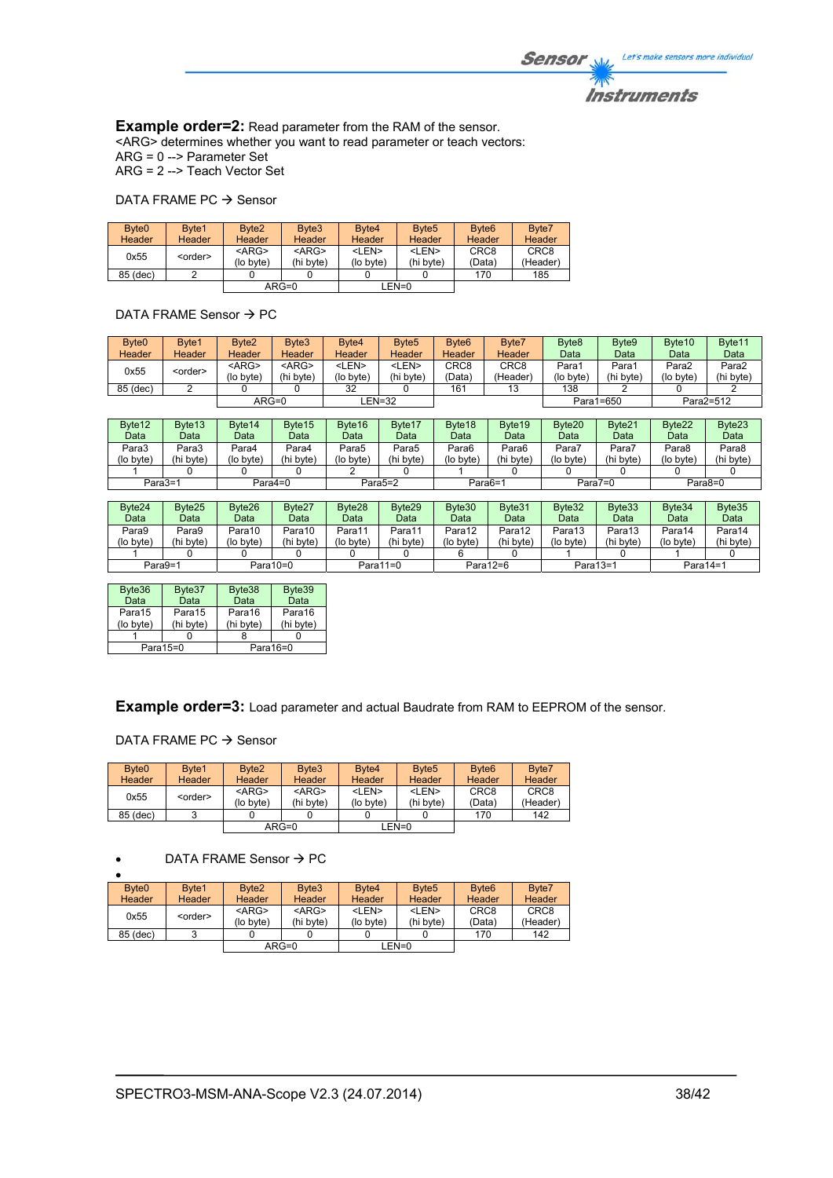**Example order=2:** Read parameter from the RAM of the sensor. <ARG> determines whether you want to read parameter or teach vectors: ARG = 0 --> Parameter Set ARG = 2 --> Teach Vector Set

#### DATA FRAME PC  $\rightarrow$  Sensor

| Byte <sub>0</sub><br><b>Header</b> | Byte1<br>Header | Byte <sub>2</sub><br><b>Header</b> | Byte3<br>Header          | Byte4<br><b>Header</b>    | Byte <sub>5</sub><br><b>Header</b> | Byte <sub>6</sub><br><b>Header</b> | Byte7<br>Header              |
|------------------------------------|-----------------|------------------------------------|--------------------------|---------------------------|------------------------------------|------------------------------------|------------------------------|
| 0x55                               | <order></order> | $<$ ARG><br>(lo byte)              | $<$ ARG $>$<br>(hi byte) | <len><br/>(lo byte)</len> | <len><br/>(hi byte)</len>          | CRC <sub>8</sub><br>(Data)         | CRC <sub>8</sub><br>(Header) |
| 85 (dec)                           |                 |                                    |                          |                           |                                    | 170                                | 185                          |
|                                    |                 |                                    | $ARG=0$                  |                           | $LEN=0$                            |                                    |                              |

### DATA FRAME Sensor  $\rightarrow$  PC

| Byte <sub>0</sub> | Byte1           | Byte <sub>2</sub> | Byte3         | Byte4       | Byte <sub>5</sub> | Byte <sub>6</sub> | Byte7            | Byte <sub>8</sub> | Byte9     | Byte <sub>10</sub> | Byte <sub>11</sub> |
|-------------------|-----------------|-------------------|---------------|-------------|-------------------|-------------------|------------------|-------------------|-----------|--------------------|--------------------|
| Header            | <b>Header</b>   | Header            | <b>Header</b> | Header      | Header            | Header            | <b>Header</b>    | Data              | Data      | Data               | Data               |
| 0x55              |                 | $<$ ARG $>$       | $<$ ARG $>$   | <len></len> | <len></len>       | CRC <sub>8</sub>  | CRC <sub>8</sub> | Para1             | Para1     | Para2              | Para2              |
|                   | <order></order> | (lo bvte)         | (hi byte)     | (lo byte)   | 'hi byte)         | (Data`            | (Header)         | (lo byte)         | (hi byte) | (lo bvte)          | (hi byte)          |
| 85 (dec)          |                 |                   |               | 32          |                   | 161               | 13               | 138               |           |                    |                    |
|                   |                 | ARG=0             |               |             | EN=32_            |                   |                  |                   | Para1=650 |                    | Para2=512          |

| Byte <sub>12</sub><br>Data | Byte13<br>Data | Byte <sub>14</sub><br>Data | Byte <sub>15</sub><br>Data | Byte16<br>Data       | Byte17<br>Data | Byte18<br>Data | Byte <sub>19</sub><br>Data | Byte <sub>20</sub><br>Data | Byte21<br>Data | Byte22<br>Data | Byte <sub>23</sub><br>Data |
|----------------------------|----------------|----------------------------|----------------------------|----------------------|----------------|----------------|----------------------------|----------------------------|----------------|----------------|----------------------------|
| Para3                      | Para3          | Para4                      | Para4                      | Para5                | Para5          | Para6          | Para6                      | Para7                      | Para7          | Para8          | Para8                      |
| (lo byte)                  | 'hi byte)      | (lo byte)                  | (hi byte)                  | (lo byte)            | (hi byte)      | (lo byte)      | (hi byte)                  | (lo byte)                  | (hi bvte)      | (lo bvte)      | (hi bvte)                  |
|                            |                |                            |                            |                      |                |                |                            |                            |                |                |                            |
| Para3=1                    |                | Para4=0                    |                            | Para <sub>5</sub> =2 |                | Para6=1        |                            | Para $7=0$                 |                |                | Para8=0                    |

| Byte24<br>Data | Byte25<br>Data | Byte26<br>Data | Byte27<br>Data | Byte28<br>Data | Byte29<br>Data | Byte30<br>Data | Byte31<br>Data | Byte32<br>Data | Byte33<br>Data | Byte34<br>Data | Byte35<br>Data |
|----------------|----------------|----------------|----------------|----------------|----------------|----------------|----------------|----------------|----------------|----------------|----------------|
| Para9          | Para9          | Para10         | Para10         | Para11         | Para11         | Para12         | Para12         | Para13         | Para13         | Para14         | Para14         |
| (lo byte)      | (hi byte)      | (lo byte)      | (hi byte)      | (lo byte)      | (hi byte)      | (lo byte)      | (hi byte)      | (lo byte)      | (hi byte)      | (lo byte)      | (hi byte)      |
|                |                |                |                |                |                |                |                |                |                |                |                |
| Para9=1        |                |                | Para $10=0$    |                | Para $11=0$    | Para $12=6$    |                | Para13=1       |                | Para $14=1$    |                |

| Byte36<br>Data                             | Byte37<br>Data | Byte38<br>Data      | Byte39<br>Data      |  |
|--------------------------------------------|----------------|---------------------|---------------------|--|
| Para15<br>Para15<br>(hi byte)<br>(lo byte) |                | Para16<br>(hi byte) | Para16<br>(hi byte) |  |
|                                            |                |                     |                     |  |
|                                            | Para15=0       |                     | Para $16=0$         |  |

**Example order=3:** Load parameter and actual Baudrate from RAM to EEPROM of the sensor.

DATA FRAME PC  $\rightarrow$  Sensor

| Byte <sub>0</sub><br>Header | Byte1<br>Header | Byte <sub>2</sub><br>Header | Byte3<br>Header          | Byte4<br>Header           | Byte <sub>5</sub><br><b>Header</b> | Byte <sub>6</sub><br>Header | Byte7<br>Header              |
|-----------------------------|-----------------|-----------------------------|--------------------------|---------------------------|------------------------------------|-----------------------------|------------------------------|
| 0x55                        | <order></order> | $<$ ARG><br>(lo byte)       | $<$ ARG $>$<br>(hi byte) | <len><br/>(lo byte)</len> | <len><br/>(hi byte)</len>          | CRC <sub>8</sub><br>(Data)  | CRC <sub>8</sub><br>(Header) |
| 85 (dec)                    |                 |                             |                          |                           |                                    | 170                         | 142                          |
|                             |                 | $ARG=0$                     |                          | $LEN=0$                   |                                    |                             |                              |

### $\bullet$  DATA FRAME Sensor  $\rightarrow$  PC

| Byte <sub>0</sub> | Byte1           | Byte <sub>2</sub> | Byte3       | Byte4         | Byte <sub>5</sub> | Byte <sub>6</sub> | Byte7            |
|-------------------|-----------------|-------------------|-------------|---------------|-------------------|-------------------|------------------|
| <b>Header</b>     | <b>Header</b>   | Header            | Header      | <b>Header</b> | Header            | Header            | Header           |
| 0x55              |                 | $<$ ARG $>$       | $<$ ARG $>$ | <len></len>   | <len></len>       | CRC <sub>8</sub>  | CRC <sub>8</sub> |
|                   | <order></order> | (lo byte)         | (hi bvte)   | (lo byte)     | (hi byte)         | (Data)            | (Header)         |
| 85 (dec)          | ঽ               |                   |             |               |                   | 170               | 142              |
|                   |                 | $ARG=0$           |             |               | LEN=0             |                   |                  |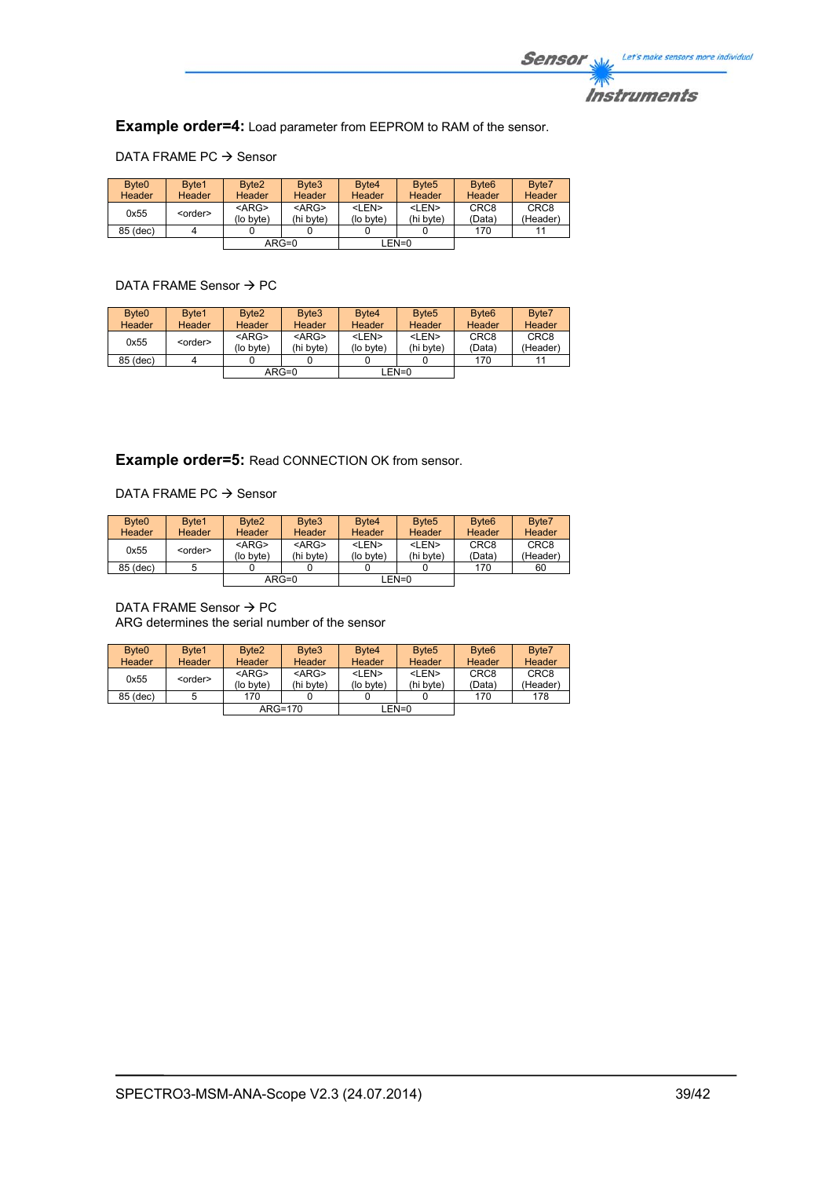![](_page_38_Picture_0.jpeg)

**Example order=4:** Load parameter from EEPROM to RAM of the sensor.

# DATA FRAME PC  $\rightarrow$  Sensor

| Byte <sub>0</sub> | Byte1           | Byte <sub>2</sub> | Byte3       | Byte4       | Byte <sub>5</sub> | Byte <sub>6</sub> | Byte7            |
|-------------------|-----------------|-------------------|-------------|-------------|-------------------|-------------------|------------------|
| Header            | Header          | <b>Header</b>     | Header      | Header      | Header            | <b>Header</b>     | Header           |
| 0x55              | <order></order> | $<$ ARG $>$       | $<$ ARG $>$ | <len></len> | <len></len>       | CRC <sub>8</sub>  | CRC <sub>8</sub> |
|                   |                 | (lo byte)         | (hi byte)   | (lo byte)   | (hi bvte)         | (Data)            | (Header)         |
| 85 (dec)          |                 |                   |             |             |                   | 170               |                  |
|                   |                 | $ARG=0$           |             |             | LEN=0             |                   |                  |

# DATA FRAME Sensor  $\rightarrow$  PC

| Byte <sub>0</sub><br>Header | Byte1<br>Header | Byte <sub>2</sub><br><b>Header</b> | Byte3<br><b>Header</b>   | Byte4<br>Header           | Byte <sub>5</sub><br>Header | Byte <sub>6</sub><br>Header | Byte7<br>Header              |
|-----------------------------|-----------------|------------------------------------|--------------------------|---------------------------|-----------------------------|-----------------------------|------------------------------|
| 0x55                        | <order></order> | $<$ ARG $>$<br>(lo byte)           | $<$ ARG $>$<br>(hi byte) | <len><br/>(lo byte)</len> | <len><br/>(hi byte)</len>   | CRC <sub>8</sub><br>(Data`  | CRC <sub>8</sub><br>(Header) |
| 85 (dec)                    |                 |                                    |                          |                           |                             | 170                         | 11                           |
|                             |                 |                                    | $ARG=0$                  |                           | LEN=0                       |                             |                              |

# **Example order=5:** Read CONNECTION OK from sensor.

DATA FRAME PC  $\rightarrow$  Sensor

| Byte <sub>0</sub><br><b>Header</b> | Byte1<br><b>Header</b> | Byte <sub>2</sub><br><b>Header</b> | Byte3<br><b>Header</b>   | Byte4<br>Header           | Byte <sub>5</sub><br><b>Header</b> | Byte <sub>6</sub><br>Header | Byte7<br>Header              |
|------------------------------------|------------------------|------------------------------------|--------------------------|---------------------------|------------------------------------|-----------------------------|------------------------------|
| 0x55                               | <order></order>        | $<$ ARG $>$<br>(lo byte)           | $<$ ARG $>$<br>(hi byte) | <len><br/>(lo byte)</len> | <len><br/>(hi byte)</len>          | CRC <sub>8</sub><br>(Data)  | CRC <sub>8</sub><br>(Header) |
| 85 (dec)                           |                        |                                    |                          |                           |                                    | 170                         | 60                           |
|                                    |                        |                                    | $ARG=0$                  |                           | LEN=0                              |                             |                              |

DATA FRAME Sensor  $\rightarrow$  PC

ARG determines the serial number of the sensor

| Byte <sub>0</sub><br><b>Header</b> | Byte1<br><b>Header</b> | Byte <sub>2</sub><br><b>Header</b> | Byte3<br>Header          | Byte4<br><b>Header</b>    | Byte <sub>5</sub><br>Header | Byte <sub>6</sub><br>Header | Byte7<br>Header              |
|------------------------------------|------------------------|------------------------------------|--------------------------|---------------------------|-----------------------------|-----------------------------|------------------------------|
| 0x55                               | <order></order>        | $<$ ARG><br>(lo byte)              | $<$ ARG $>$<br>(hi byte) | <len><br/>(lo byte)</len> | <len><br/>(hi byte)</len>   | CRC <sub>8</sub><br>(Data)  | CRC <sub>8</sub><br>(Header) |
| 85 (dec)                           |                        | 170                                |                          |                           |                             | 170                         | 178                          |
|                                    |                        |                                    | $ARG=170$                |                           | $LEN=0$                     |                             |                              |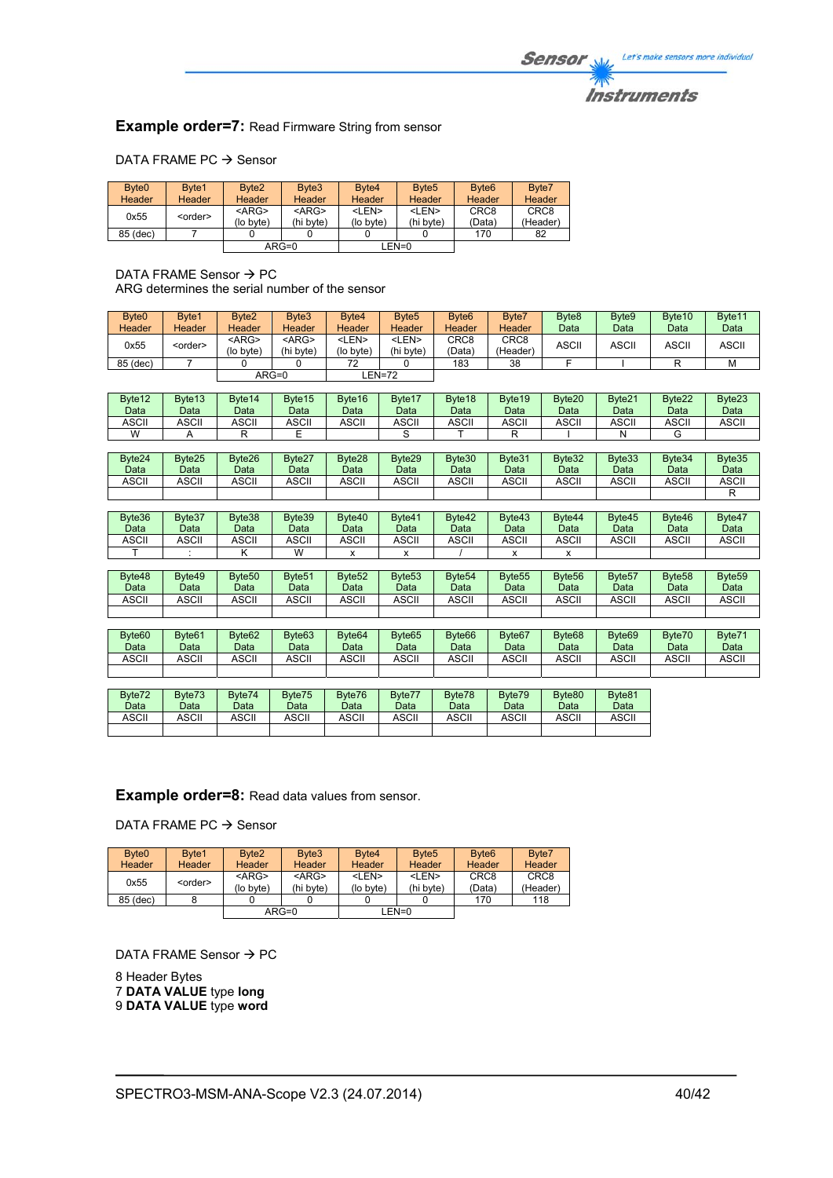# **Instruments**

# **Example order=7: Read Firmware String from sensor**

# DATA FRAME PC  $\rightarrow$  Sensor

| Byte <sub>0</sub> | Byte1           | Byte <sub>2</sub> | Byte3         | Byte4         | Byte <sub>5</sub> | Byte <sub>6</sub> | Byte7            |
|-------------------|-----------------|-------------------|---------------|---------------|-------------------|-------------------|------------------|
| Header            | <b>Header</b>   | <b>Header</b>     | <b>Header</b> | <b>Header</b> | Header            | <b>Header</b>     | Header           |
| 0x55              |                 | $<$ ARG $>$       | $<$ ARG $>$   | <len></len>   | <len></len>       | CRC <sub>8</sub>  | CRC <sub>8</sub> |
|                   | <order></order> | (lo byte)         | (hi byte)     | (lo byte)     | (hi byte)         | (Data)            | (Header)         |
| 85 (dec)          |                 |                   |               |               |                   | 170               | 82               |
|                   |                 |                   | $ARG=0$       |               | LEN=0             |                   |                  |

DATA FRAME Sensor  $\rightarrow$  PC ARG determines the serial number of the sensor

| Byte <sub>0</sub><br>Header | Byte1<br><b>Header</b> | Byte2<br><b>Header</b>    | Byte3<br><b>Header</b>    | Byte4<br>Header           | Byte <sub>5</sub><br>Header | Byte <sub>6</sub><br><b>Header</b> | Byte7<br>Header              | Byte <sub>8</sub><br>Data | Byte9<br>Data | Byte <sub>10</sub><br>Data | Byte11<br>Data |
|-----------------------------|------------------------|---------------------------|---------------------------|---------------------------|-----------------------------|------------------------------------|------------------------------|---------------------------|---------------|----------------------------|----------------|
| 0x55                        | <order></order>        | <arg><br/>(lo byte)</arg> | <arg><br/>(hi byte)</arg> | <len><br/>(lo byte)</len> | <len><br/>(hi byte)</len>   | CRC <sub>8</sub><br>(Data)         | CRC <sub>8</sub><br>(Header) | <b>ASCII</b>              | <b>ASCII</b>  | <b>ASCII</b>               | <b>ASCII</b>   |
| 85 (dec)                    |                        |                           |                           | 72                        |                             | 183                                | 38                           |                           |               |                            | M              |
|                             |                        |                           | $ARG=0$                   |                           | EN=72-                      |                                    |                              |                           |               |                            |                |

| Byte <sub>12</sub> | Byte <sub>13</sub> | Byte <sub>14</sub> | Byte15 | Byte16 | Byte17 | Byte <sub>18</sub> | Byte <sub>19</sub> | Byte <sub>20</sub> | Byte21 | Byte22 | Byte23 |
|--------------------|--------------------|--------------------|--------|--------|--------|--------------------|--------------------|--------------------|--------|--------|--------|
| Data               | Data               | Data               | Data   | Data   | Data   | Data               | Data               | Data               | Data   | Data   | Data   |
| ASCII              | <b>ASCII</b>       | <b>ASCII</b>       | ASCII  | ASCII  | ASCII  | ASCII              | ASCII              | ASCII              | ASCII  | ASCII  | ASCII  |
| W                  |                    |                    |        |        |        |                    |                    |                    |        |        |        |

| Byte24<br>Data | Byte25<br>Data | Byte26<br>Data | Byte27<br>Data | Byte28<br>Data | Byte29<br>Data | Byte30<br>Data | Byte31<br>Data | Byte32<br>Data | Byte33<br>Data | Byte34<br>Data | Byte35<br>Data |
|----------------|----------------|----------------|----------------|----------------|----------------|----------------|----------------|----------------|----------------|----------------|----------------|
| <b>ASCII</b>   | <b>ASCII</b>   | <b>ASCII</b>   | <b>ASCII</b>   | <b>ASCII</b>   | <b>ASCII</b>   | <b>ASCII</b>   | ASCII          | ASCII          | ASCII          | ASCII          | ASCII          |
|                |                |                |                |                |                |                |                |                |                |                |                |

| Byte36<br>Data | Byte37<br>Data | Byte38<br>Data | Byte39<br>Data | Byte40<br>Data | Byte41<br>Data | Byte42<br>Data | Byte43<br>Data | Byte44<br>Data | Byte45<br>Data | Byte46<br>Data | Byte47<br>Data |
|----------------|----------------|----------------|----------------|----------------|----------------|----------------|----------------|----------------|----------------|----------------|----------------|
| ASCII          | ASCII          | ASCII          | <b>ASCII</b>   | <b>ASCII</b>   | ASCII          | <b>ASCII</b>   | <b>ASCII</b>   | ASCII          | ASCII          | ASCII          | ASCII          |
|                |                |                | W              |                |                |                |                |                |                |                |                |

| Byte48<br>Data | Byte49<br>Data | Byte <sub>50</sub><br>Data | Byte <sub>51</sub><br>Data | Byte <sub>52</sub><br>Data | Byte <sub>53</sub><br>Data | Byte <sub>54</sub><br>Data | Byte <sub>55</sub><br>Data | Byte <sub>56</sub><br>Data | Byte <sub>57</sub><br>Data | Byte <sub>58</sub><br>Data | Byte <sub>59</sub><br>Data |
|----------------|----------------|----------------------------|----------------------------|----------------------------|----------------------------|----------------------------|----------------------------|----------------------------|----------------------------|----------------------------|----------------------------|
| ASCII          | ASCII          | ASCII                      | <b>ASCII</b>               | ASCII                      | ASCII                      | <b>ASCII</b>               | ASCII                      | ASCII                      | ASCII                      | ASCII                      | ASCII                      |
|                |                |                            |                            |                            |                            |                            |                            |                            |                            |                            |                            |

| Byte <sub>60</sub><br>Data | Byte <sub>61</sub><br>Data | Byte <sub>62</sub><br>Data | Byte63<br>Data | Byte <sub>64</sub><br>Data | Byte65<br>Data | Byte <sub>66</sub><br>Data | Byte <sub>67</sub><br>Data | Byte <sub>68</sub><br>Data | Byte <sub>69</sub><br>Data | Byte70<br>Data | Byte71<br>Data |
|----------------------------|----------------------------|----------------------------|----------------|----------------------------|----------------|----------------------------|----------------------------|----------------------------|----------------------------|----------------|----------------|
| <b>ASCII</b>               | <b>ASCII</b>               | <b>ASCII</b>               | <b>ASCII</b>   | ASCII                      | ASCII          | ASCII                      | <b>ASCI</b>                | ASCII                      | ASCII                      | ASCII          | <b>ASCII</b>   |
|                            |                            |                            |                |                            |                |                            |                            |                            |                            |                |                |

| Byte72<br>Data | Byte73<br>Data | Byte74<br>Data | Byte75<br>Data | Byte76<br>Data | Byte77<br>Data | Byte78<br>Data | Byte79<br>Data | Byte80<br>Data | Byte81<br>Data |
|----------------|----------------|----------------|----------------|----------------|----------------|----------------|----------------|----------------|----------------|
| ASCII          | ASCII          | ASCII          | ASCII          | ASCII          | <b>ASCII</b>   | ASCII          | ASCII          | ASCII          | ASCII          |
|                |                |                |                |                |                |                |                |                |                |

**Example order=8:** Read data values from sensor.

DATA FRAME PC  $\rightarrow$  Sensor

| Byte <sub>0</sub> | Byte1           | Byte <sub>2</sub> | Byte3         | Byte4       | Byte <sub>5</sub> | Byte <sub>6</sub> | Byte7            |
|-------------------|-----------------|-------------------|---------------|-------------|-------------------|-------------------|------------------|
| <b>Header</b>     | <b>Header</b>   | Header            | <b>Header</b> | Header      | Header            | Header            | Header           |
| 0x55              | <order></order> | $<$ ARG $>$       | $<$ ARG $>$   | <len></len> | <len></len>       | CRC <sub>8</sub>  | CRC <sub>8</sub> |
|                   |                 | (lo byte)         | (hi byte)     | (lo byte)   | (hi byte)         | (Data)            | (Header)         |
| 85 (dec)          |                 |                   |               |             |                   | 170               | 118              |
| $ARG=0$           |                 |                   |               | LEN=0       |                   |                   |                  |

DATA FRAME Sensor  $\rightarrow$  PC

8 Header Bytes 7 **DATA VALUE** type **long** 9 **DATA VALUE** type **word**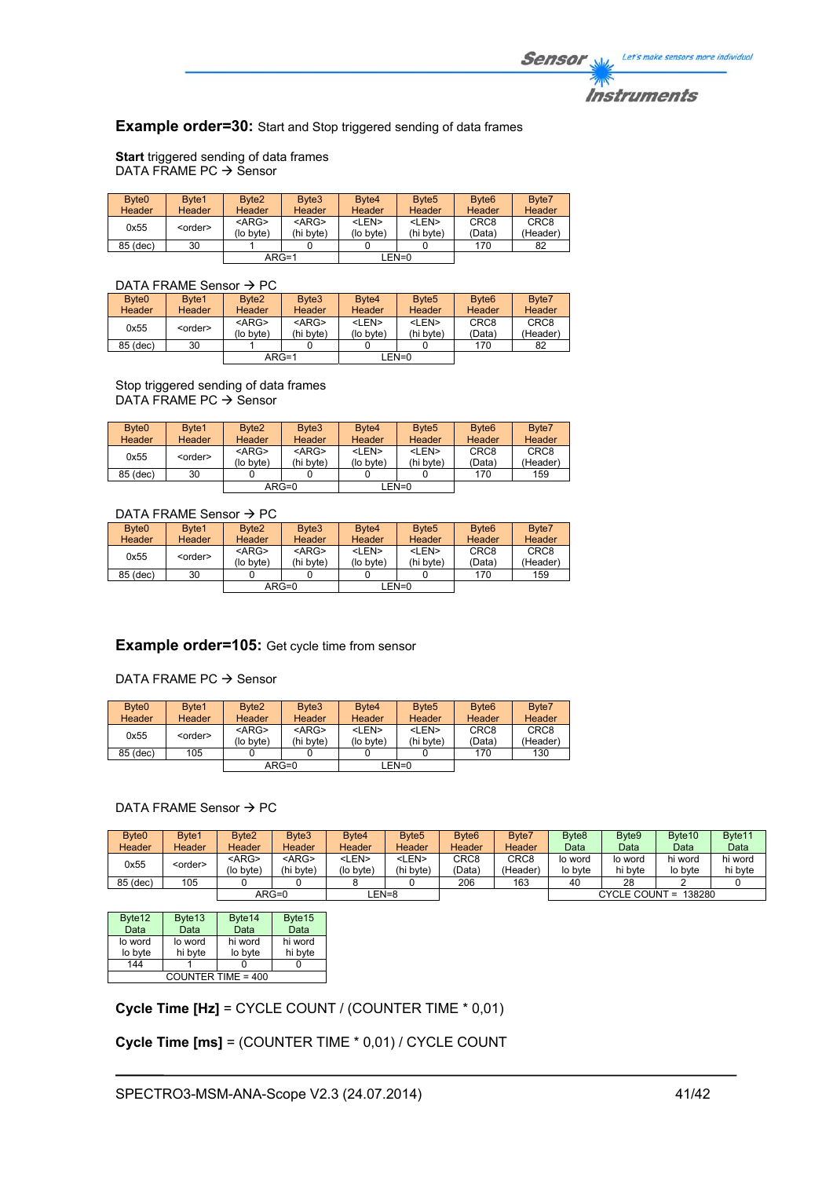**Example order=30:** Start and Stop triggered sending of data frames

**Start** triggered sending of data frames DATA FRAME PC  $\rightarrow$  Sensor

| Byte <sub>0</sub><br>Header | Byte1<br>Header | Byte <sub>2</sub><br><b>Header</b> | Byte3<br>Header          | Byte4<br>Header           | Byte <sub>5</sub><br><b>Header</b> | Byte <sub>6</sub><br><b>Header</b> | Byte7<br>Header              |
|-----------------------------|-----------------|------------------------------------|--------------------------|---------------------------|------------------------------------|------------------------------------|------------------------------|
| 0x55                        | <order></order> | $<$ ARG $>$<br>(lo byte)           | $<$ ARG $>$<br>(hi byte) | <len><br/>(lo byte)</len> | <len><br/>(hi byte)</len>          | CRC <sub>8</sub><br>(Data)         | CRC <sub>8</sub><br>(Header) |
| 85 (dec)                    | 30              |                                    |                          |                           |                                    | 170                                | 82                           |
|                             |                 | $ARG=1$                            |                          |                           | EN=0_                              |                                    |                              |

# DATA FRAME Sensor  $\rightarrow$  PC

| Byte <sub>0</sub> | Byte1           | Byte <sub>2</sub> | Byte3       | Byte4       | Byte <sub>5</sub> | Byte <sub>6</sub> | Byte7            |  |  |  |
|-------------------|-----------------|-------------------|-------------|-------------|-------------------|-------------------|------------------|--|--|--|
| Header            | <b>Header</b>   | Header            | Header      | Header      | <b>Header</b>     | <b>Header</b>     | Header           |  |  |  |
| 0x55              | <order></order> | $<$ ARG>          | $<$ ARG $>$ | <len></len> | <len></len>       | CRC <sub>8</sub>  | CRC <sub>8</sub> |  |  |  |
|                   |                 | (lo byte)         | (hi bvte)   | (lo byte)   | (hi byte)         | (Data)            | (Header)         |  |  |  |
| 85 (dec)          | 30              |                   |             |             |                   | 170               | 82               |  |  |  |
|                   |                 | $ARG=1$           |             | $LEN=0$     |                   |                   |                  |  |  |  |
|                   |                 |                   |             |             |                   |                   |                  |  |  |  |

Stop triggered sending of data frames DATA FRAME PC  $\rightarrow$  Sensor

| Byte <sub>0</sub> | Byte1           | Byte <sub>2</sub> | Byte3         | Byte4         | Byte <sub>5</sub> | Byte <sub>6</sub> | Byte7            |
|-------------------|-----------------|-------------------|---------------|---------------|-------------------|-------------------|------------------|
| <b>Header</b>     | Header          | Header            | <b>Header</b> | <b>Header</b> | Header            | Header            | Header           |
|                   |                 | $<$ ARG>          | $<$ ARG $>$   | <len></len>   | <len></len>       | CRC <sub>8</sub>  | CRC <sub>8</sub> |
| 0x55              | <order></order> | (lo byte)         | (hi byte)     | (lo byte)     | (hi byte)         | (Data)            | (Header)         |
| 85 (dec)          | 30              |                   |               |               |                   | 170               | 159              |
|                   |                 |                   | $ARG=0$       |               | LEN=0             |                   |                  |

# DATA FRAME Sensor  $\rightarrow$  PC

| Byte <sub>0</sub> | Byte1           | Byte <sub>2</sub> | Byte3         | Byte4         | Byte <sub>5</sub> | Byte <sub>6</sub> | Byte7            |
|-------------------|-----------------|-------------------|---------------|---------------|-------------------|-------------------|------------------|
| Header            | <b>Header</b>   | Header            | <b>Header</b> | <b>Header</b> | <b>Header</b>     | Header            | <b>Header</b>    |
| 0x55              | <order></order> | $<$ ARG $>$       | $<$ ARG $>$   | <len></len>   | <len></len>       | CRC <sub>8</sub>  | CRC <sub>8</sub> |
|                   |                 | (lo byte)         | (hi byte)     | (lo byte)     | (hi byte)         | (Data)            | (Header)         |
| 85 (dec)          | 30              |                   |               |               |                   | 170               | 159              |
|                   |                 | $ARG=0$           |               |               | LEN=0             |                   |                  |

# **Example order=105:** Get cycle time from sensor

#### DATA FRAME PC  $\rightarrow$  Sensor

| Byte <sub>0</sub><br>Header | Byte1<br><b>Header</b> | Byte <sub>2</sub><br>Header | Byte3<br><b>Header</b>   | Byte4<br>Header           | Byte <sub>5</sub><br><b>Header</b> | Byte <sub>6</sub><br><b>Header</b> | Byte7<br>Header              |
|-----------------------------|------------------------|-----------------------------|--------------------------|---------------------------|------------------------------------|------------------------------------|------------------------------|
| 0x55                        | <order></order>        | $<$ ARG $>$<br>(lo byte)    | $<$ ARG $>$<br>(hi bvte) | <len><br/>(lo byte)</len> | <len><br/>(hi byte)</len>          | CRC <sub>8</sub><br>(Data)         | CRC <sub>8</sub><br>(Header) |
| 85 (dec)                    | 105                    |                             |                          |                           |                                    | 170                                | 130                          |
|                             |                        | $ARG=0$                     |                          | LEN=0                     |                                    |                                    |                              |

# DATA FRAME Sensor  $\rightarrow$  PC

| Byte <sub>0</sub><br>Header | Byte1<br>Header | Byte <sub>2</sub><br>Header | Byte3<br><b>Header</b>   | Byte4<br>Header           | Byte <sub>5</sub><br>Header | Byte <sub>6</sub><br><b>Header</b> | Byte7<br>Header  | Byte <sub>8</sub><br>Data | Byte9<br>Data        | Byte <sub>10</sub><br>Data | Byte <sub>11</sub><br>Data |
|-----------------------------|-----------------|-----------------------------|--------------------------|---------------------------|-----------------------------|------------------------------------|------------------|---------------------------|----------------------|----------------------------|----------------------------|
| 0x55                        | <order></order> | <arg><br/>(lo bvte)</arg>   | $<$ ARG $>$<br>(hi byte) | <len><br/>(lo byte)</len> | <len><br/>(hi byte)</len>   | CRC <sub>8</sub><br>(Data`         | CRC8<br>(Header) | lo word<br>lo byte        | lo word<br>hi byte   | hi word<br>lo byte         | hi word<br>hi byte         |
| 85 (dec)                    | 105             |                             |                          |                           |                             | 206                                | 163              | 40                        | 28                   |                            |                            |
|                             |                 |                             | $ARG=0$                  |                           | EN=8                        |                                    |                  |                           | CYCLE COUNT = 138280 |                            |                            |

| Byte12             | Byte13  | Byte14  | Byte15  |  |  |  |  |
|--------------------|---------|---------|---------|--|--|--|--|
| Data               | Data    | Data    | Data    |  |  |  |  |
| lo word            | lo word | hi word | hi word |  |  |  |  |
| lo byte            | hi byte | lo byte | hi byte |  |  |  |  |
| 144                |         |         |         |  |  |  |  |
| COUNTER TIME = 400 |         |         |         |  |  |  |  |

**Cycle Time [Hz]** = CYCLE COUNT / (COUNTER TIME \* 0,01)

**Cycle Time [ms]** = (COUNTER TIME \* 0,01) / CYCLE COUNT